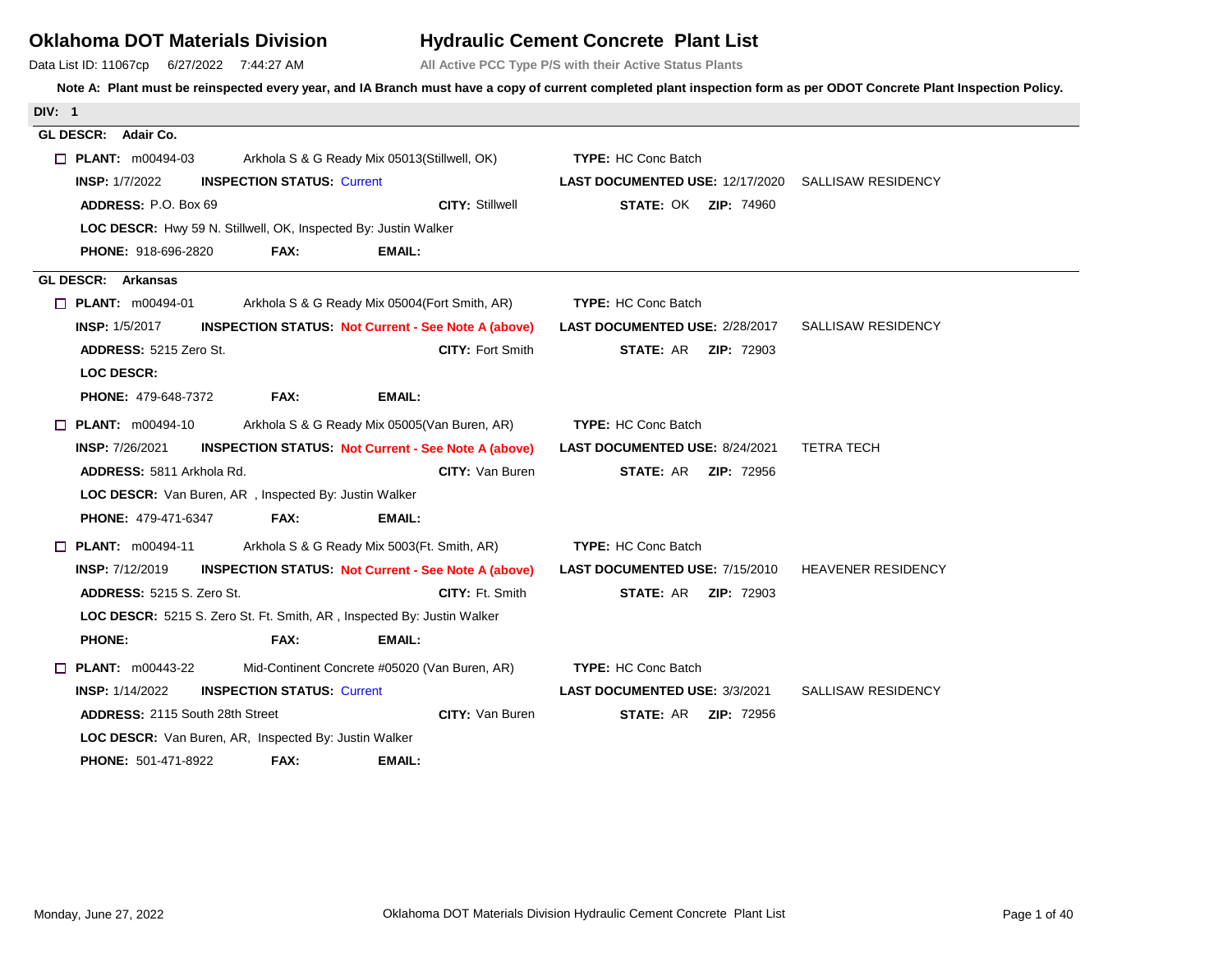## **Oklahoma DOT Materials Division**

Data List ID: 11067cp 6/27/2022 7:44:27 AM

## **Hydraulic Cement Concrete Plant List**

**All Active PCC Type P/S with their Active Status Plants**

| <b>DIV: 1</b>                                                                        |                                                                    |
|--------------------------------------------------------------------------------------|--------------------------------------------------------------------|
| GL DESCR: Adair Co.                                                                  |                                                                    |
| $\Box$ PLANT: m00494-03<br>Arkhola S & G Ready Mix 05013(Stillwell, OK)              | <b>TYPE: HC Conc Batch</b>                                         |
| <b>INSPECTION STATUS: Current</b><br><b>INSP: 1/7/2022</b>                           | <b>LAST DOCUMENTED USE: 12/17/2020 SALLISAW RESIDENCY</b>          |
| <b>CITY: Stillwell</b><br><b>ADDRESS: P.O. Box 69</b>                                | <b>STATE: OK ZIP: 74960</b>                                        |
| LOC DESCR: Hwy 59 N. Stillwell, OK, Inspected By: Justin Walker                      |                                                                    |
| FAX:<br>EMAIL:<br><b>PHONE: 918-696-2820</b>                                         |                                                                    |
| GL DESCR: Arkansas                                                                   |                                                                    |
| $\Box$ PLANT: $m00494-01$<br>Arkhola S & G Ready Mix 05004 (Fort Smith, AR)          | <b>TYPE: HC Conc Batch</b>                                         |
| <b>INSP: 1/5/2017</b><br><b>INSPECTION STATUS: Not Current - See Note A (above)</b>  | LAST DOCUMENTED USE: 2/28/2017<br>SALLISAW RESIDENCY               |
| <b>CITY: Fort Smith</b><br><b>ADDRESS: 5215 Zero St.</b>                             | <b>STATE: AR ZIP: 72903</b>                                        |
| <b>LOC DESCR:</b>                                                                    |                                                                    |
| FAX:<br><b>EMAIL:</b><br><b>PHONE: 479-648-7372</b>                                  |                                                                    |
| $\Box$ PLANT: $m00494-10$<br>Arkhola S & G Ready Mix 05005 (Van Buren, AR)           | <b>TYPE: HC Conc Batch</b>                                         |
| <b>INSP: 7/26/2021</b><br><b>INSPECTION STATUS: Not Current - See Note A (above)</b> | <b>LAST DOCUMENTED USE: 8/24/2021</b><br><b>TETRA TECH</b>         |
| <b>CITY: Van Buren</b><br>ADDRESS: 5811 Arkhola Rd.                                  | <b>STATE: AR ZIP: 72956</b>                                        |
| LOC DESCR: Van Buren, AR, Inspected By: Justin Walker                                |                                                                    |
| <b>EMAIL:</b><br><b>PHONE: 479-471-6347</b><br>FAX:                                  |                                                                    |
| $\Box$ PLANT: $m00494-11$<br>Arkhola S & G Ready Mix 5003(Ft. Smith, AR)             | <b>TYPE: HC Conc Batch</b>                                         |
| <b>INSP: 7/12/2019</b><br><b>INSPECTION STATUS: Not Current - See Note A (above)</b> | <b>LAST DOCUMENTED USE: 7/15/2010</b><br><b>HEAVENER RESIDENCY</b> |
| <b>ADDRESS: 5215 S. Zero St.</b><br><b>CITY: Ft. Smith</b>                           | <b>STATE: AR ZIP: 72903</b>                                        |
| LOC DESCR: 5215 S. Zero St. Ft. Smith, AR, Inspected By: Justin Walker               |                                                                    |
| <b>PHONE:</b><br>FAX:<br><b>EMAIL:</b>                                               |                                                                    |
| $\Box$ PLANT: m00443-22<br>Mid-Continent Concrete #05020 (Van Buren, AR)             | <b>TYPE: HC Conc Batch</b>                                         |
| <b>INSP: 1/14/2022</b><br><b>INSPECTION STATUS: Current</b>                          | <b>SALLISAW RESIDENCY</b><br><b>LAST DOCUMENTED USE: 3/3/2021</b>  |
| CITY: Van Buren<br><b>ADDRESS: 2115 South 28th Street</b>                            | <b>STATE: AR ZIP: 72956</b>                                        |
| LOC DESCR: Van Buren, AR, Inspected By: Justin Walker                                |                                                                    |
| FAX:<br><b>PHONE: 501-471-8922</b><br><b>EMAIL:</b>                                  |                                                                    |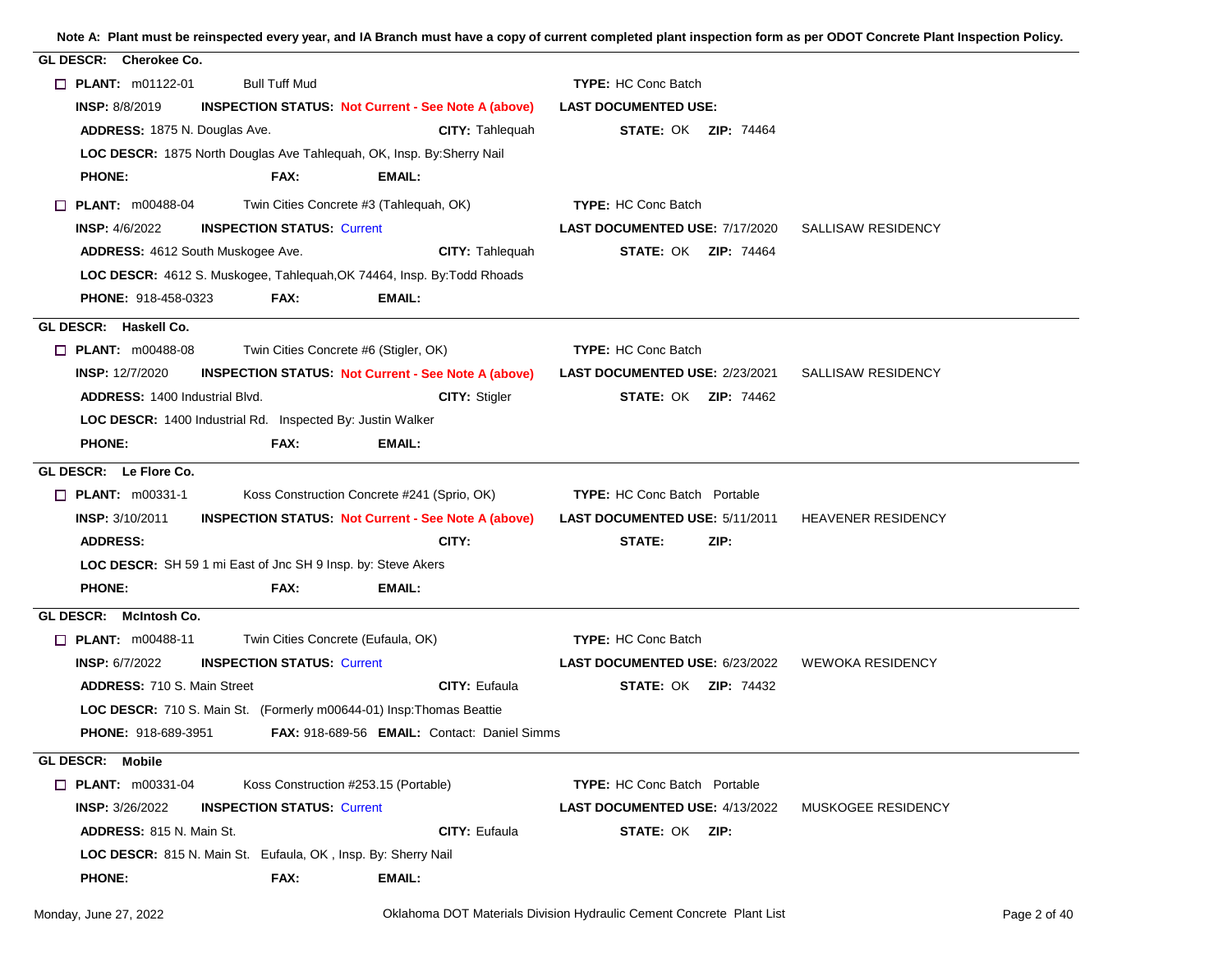| GL DESCR: Cherokee Co.                                                              |                                                                      |                                       |                           |              |
|-------------------------------------------------------------------------------------|----------------------------------------------------------------------|---------------------------------------|---------------------------|--------------|
| $\Box$ PLANT: m01122-01<br><b>Bull Tuff Mud</b>                                     |                                                                      | <b>TYPE: HC Conc Batch</b>            |                           |              |
| <b>INSP: 8/8/2019</b><br><b>INSPECTION STATUS: Not Current - See Note A (above)</b> |                                                                      | <b>LAST DOCUMENTED USE:</b>           |                           |              |
| ADDRESS: 1875 N. Douglas Ave.                                                       | <b>CITY: Tahleguah</b>                                               | <b>STATE: OK ZIP: 74464</b>           |                           |              |
| LOC DESCR: 1875 North Douglas Ave Tahlequah, OK, Insp. By: Sherry Nail              |                                                                      |                                       |                           |              |
| <b>PHONE:</b><br>FAX:                                                               | EMAIL:                                                               |                                       |                           |              |
| Twin Cities Concrete #3 (Tahlequah, OK)<br>$\Box$ PLANT: $m00488-04$                |                                                                      | <b>TYPE: HC Conc Batch</b>            |                           |              |
| <b>INSP: 4/6/2022</b><br><b>INSPECTION STATUS: Current</b>                          |                                                                      | <b>LAST DOCUMENTED USE: 7/17/2020</b> | SALLISAW RESIDENCY        |              |
| ADDRESS: 4612 South Muskogee Ave.                                                   | <b>CITY: Tahlequah</b>                                               | <b>STATE: OK ZIP: 74464</b>           |                           |              |
| LOC DESCR: 4612 S. Muskogee, Tahlequah, OK 74464, Insp. By: Todd Rhoads             |                                                                      |                                       |                           |              |
| <b>PHONE: 918-458-0323</b><br>FAX:                                                  | EMAIL:                                                               |                                       |                           |              |
| GL DESCR: Haskell Co.                                                               |                                                                      |                                       |                           |              |
| Twin Cities Concrete #6 (Stigler, OK)<br><b>PLANT:</b> $m00488-08$                  |                                                                      | <b>TYPE: HC Conc Batch</b>            |                           |              |
| <b>INSP: 12/7/2020</b>                                                              | <b>INSPECTION STATUS: Not Current - See Note A (above)</b>           | <b>LAST DOCUMENTED USE: 2/23/2021</b> | SALLISAW RESIDENCY        |              |
| <b>ADDRESS: 1400 Industrial Blvd.</b>                                               | <b>CITY: Stigler</b>                                                 | <b>STATE: OK ZIP: 74462</b>           |                           |              |
| LOC DESCR: 1400 Industrial Rd. Inspected By: Justin Walker                          |                                                                      |                                       |                           |              |
| FAX:<br><b>PHONE:</b>                                                               | EMAIL:                                                               |                                       |                           |              |
| GL DESCR: Le Flore Co.                                                              |                                                                      |                                       |                           |              |
| $\Box$ PLANT: $m00331-1$                                                            | Koss Construction Concrete #241 (Sprio, OK)                          | <b>TYPE:</b> HC Conc Batch Portable   |                           |              |
| <b>INSP: 3/10/2011</b>                                                              | <b>INSPECTION STATUS Not Current - See Note A (above)</b>            | LAST DOCUMENTED USE: 5/11/2011        | <b>HEAVENER RESIDENCY</b> |              |
| <b>ADDRESS:</b>                                                                     | CITY:                                                                | STATE:<br>ZIP:                        |                           |              |
| LOC DESCR: SH 59 1 mi East of Jnc SH 9 Insp. by: Steve Akers                        |                                                                      |                                       |                           |              |
| <b>PHONE:</b><br>FAX:                                                               | EMAIL:                                                               |                                       |                           |              |
| GL DESCR: McIntosh Co.                                                              |                                                                      |                                       |                           |              |
| Twin Cities Concrete (Eufaula, OK)<br>$\Box$ PLANT: m00488-11                       |                                                                      | <b>TYPE: HC Conc Batch</b>            |                           |              |
| <b>INSP: 6/7/2022</b><br><b>INSPECTION STATUS: Current</b>                          |                                                                      | <b>LAST DOCUMENTED USE: 6/23/2022</b> | <b>WEWOKA RESIDENCY</b>   |              |
| <b>ADDRESS: 710 S. Main Street</b>                                                  | <b>CITY: Eufaula</b>                                                 | <b>STATE: OK ZIP: 74432</b>           |                           |              |
| LOC DESCR: 710 S. Main St. (Formerly m00644-01) Insp: Thomas Beattie                |                                                                      |                                       |                           |              |
| <b>PHONE: 918-689-3951</b>                                                          | FAX: 918-689-56 EMAIL: Contact: Daniel Simms                         |                                       |                           |              |
| GL DESCR: Mobile                                                                    |                                                                      |                                       |                           |              |
| $\Box$ PLANT: $m00331-04$<br>Koss Construction #253.15 (Portable)                   |                                                                      | <b>TYPE:</b> HC Conc Batch Portable   |                           |              |
| INSP: 3/26/2022<br><b>INSPECTION STATUS: Current</b>                                |                                                                      | <b>LAST DOCUMENTED USE: 4/13/2022</b> | MUSKOGEE RESIDENCY        |              |
| ADDRESS: 815 N. Main St.                                                            | <b>CITY: Eufaula</b>                                                 | STATE: OK ZIP:                        |                           |              |
| <b>LOC DESCR:</b> 815 N. Main St. Eufaula, OK, Insp. By: Sherry Nail                |                                                                      |                                       |                           |              |
| <b>PHONE:</b><br>FAX:                                                               | EMAIL:                                                               |                                       |                           |              |
| Monday, June 27, 2022                                                               | Oklahoma DOT Materials Division Hydraulic Cement Concrete Plant List |                                       |                           | Page 2 of 40 |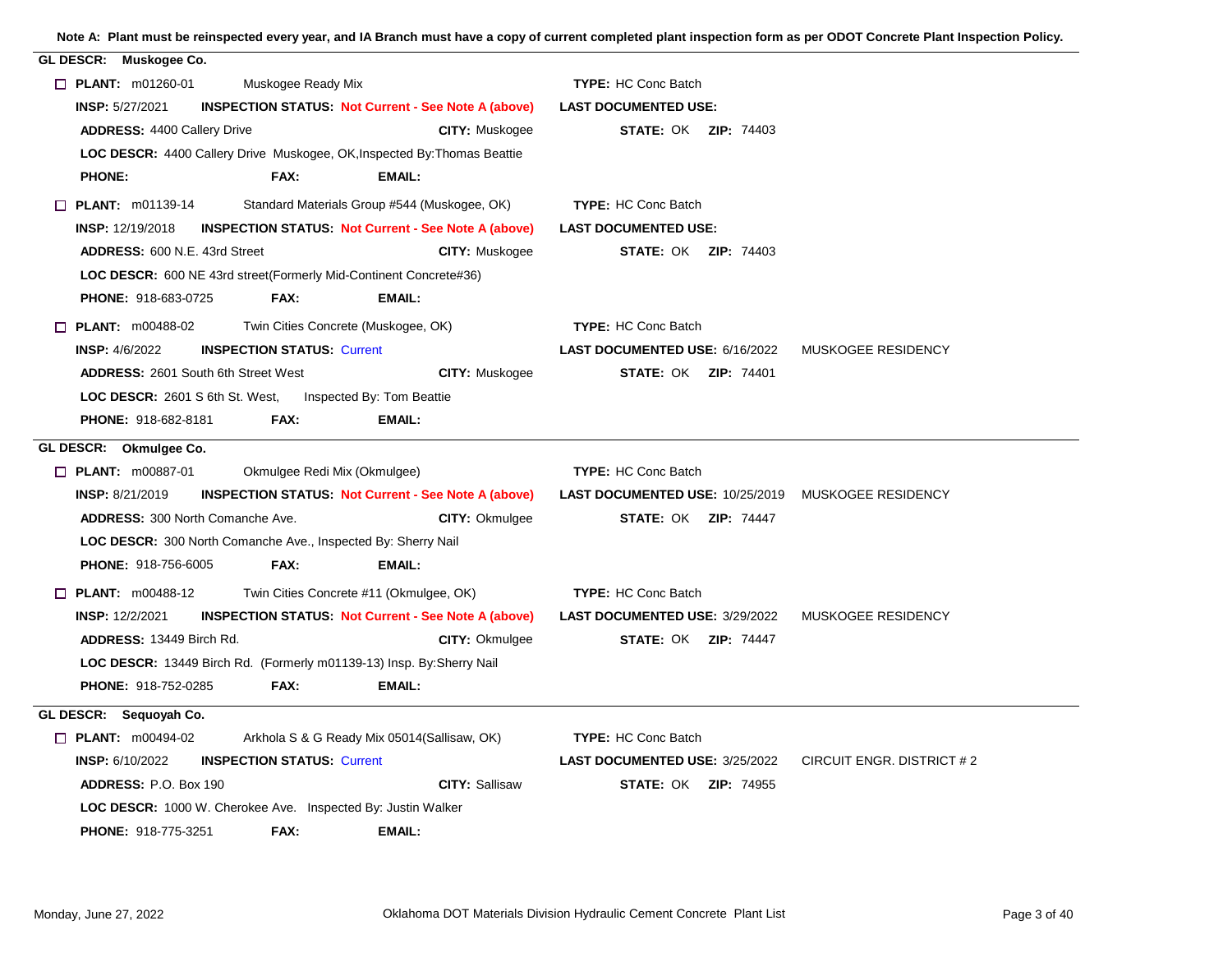| GL DESCR: Muskogee Co.                                                                |                                                                    |
|---------------------------------------------------------------------------------------|--------------------------------------------------------------------|
| $\Box$ PLANT: m01260-01<br>Muskogee Ready Mix                                         | <b>TYPE: HC Conc Batch</b>                                         |
| <b>INSP: 5/27/2021</b><br><b>INSPECTION STATUS: Not Current - See Note A (above)</b>  | <b>LAST DOCUMENTED USE:</b>                                        |
| <b>ADDRESS: 4400 Callery Drive</b><br>CITY: Muskogee                                  | <b>STATE: OK ZIP: 74403</b>                                        |
| LOC DESCR: 4400 Callery Drive Muskogee, OK, Inspected By: Thomas Beattie              |                                                                    |
| FAX:<br><b>PHONE:</b><br>EMAIL:                                                       |                                                                    |
| Standard Materials Group #544 (Muskogee, OK)<br>$\Box$ PLANT: m01139-14               | <b>TYPE: HC Conc Batch</b>                                         |
| <b>INSP: 12/19/2018</b><br><b>INSPECTION STATUS: Not Current - See Note A (above)</b> | <b>LAST DOCUMENTED USE:</b>                                        |
| <b>ADDRESS: 600 N.E. 43rd Street</b><br><b>CITY: Muskogee</b>                         | <b>STATE: OK ZIP: 74403</b>                                        |
| LOC DESCR: 600 NE 43rd street (Formerly Mid-Continent Concrete#36)                    |                                                                    |
| PHONE: 918-683-0725<br>FAX:<br><b>EMAIL:</b>                                          |                                                                    |
| $\Box$ PLANT: m00488-02<br>Twin Cities Concrete (Muskogee, OK)                        | <b>TYPE: HC Conc Batch</b>                                         |
| <b>INSP: 4/6/2022</b><br><b>INSPECTION STATUS: Current</b>                            | LAST DOCUMENTED USE: 6/16/2022<br>MUSKOGEE RESIDENCY               |
| <b>ADDRESS: 2601 South 6th Street West</b><br><b>CITY: Muskogee</b>                   | <b>STATE: OK ZIP: 74401</b>                                        |
| Inspected By: Tom Beattie<br><b>LOC DESCR: 2601 S 6th St. West,</b>                   |                                                                    |
| <b>PHONE: 918-682-8181</b><br>FAX:<br>EMAIL:                                          |                                                                    |
| GL DESCR: Okmulgee Co.                                                                |                                                                    |
| Okmulgee Redi Mix (Okmulgee)<br>$\Box$ PLANT: m00887-01                               | <b>TYPE: HC Conc Batch</b>                                         |
| <b>INSP: 8/21/2019</b><br><b>INSPECTION STATUS: Not Current - See Note A (above)</b>  | <b>LAST DOCUMENTED USE: 10/25/2019 MUSKOGEE RESIDENCY</b>          |
| <b>ADDRESS: 300 North Comanche Ave.</b><br><b>CITY: Okmulgee</b>                      | <b>STATE: OK ZIP: 74447</b>                                        |
| LOC DESCR: 300 North Comanche Ave., Inspected By: Sherry Nail                         |                                                                    |
| PHONE: 918-756-6005<br><b>EMAIL:</b><br>FAX:                                          |                                                                    |
| $\Box$ PLANT: m00488-12<br>Twin Cities Concrete #11 (Okmulgee, OK)                    | <b>TYPE: HC Conc Batch</b>                                         |
| <b>INSP: 12/2/2021</b><br><b>INSPECTION STATUS: Not Current - See Note A (above)</b>  | <b>LAST DOCUMENTED USE: 3/29/2022</b><br>MUSKOGEE RESIDENCY        |
| ADDRESS: 13449 Birch Rd.<br><b>CITY: Okmulgee</b>                                     | <b>STATE: OK ZIP: 74447</b>                                        |
| LOC DESCR: 13449 Birch Rd. (Formerly m01139-13) Insp. By: Sherry Nail                 |                                                                    |
| <b>PHONE: 918-752-0285</b><br>FAX:<br>EMAIL:                                          |                                                                    |
| GL DESCR: Sequoyah Co.                                                                |                                                                    |
| $\Box$ PLANT: m00494-02<br>Arkhola S & G Ready Mix 05014 (Sallisaw, OK)               | <b>TYPE: HC Conc Batch</b>                                         |
| <b>INSPECTION STATUS: Current</b><br><b>INSP: 6/10/2022</b>                           | <b>LAST DOCUMENTED USE: 3/25/2022</b><br>CIRCUIT ENGR. DISTRICT #2 |
| <b>CITY: Sallisaw</b><br><b>ADDRESS: P.O. Box 190</b>                                 | <b>STATE: OK ZIP: 74955</b>                                        |
| <b>LOC DESCR:</b> 1000 W. Cherokee Ave. Inspected By: Justin Walker                   |                                                                    |
| <b>PHONE: 918-775-3251</b><br>FAX:<br>EMAIL:                                          |                                                                    |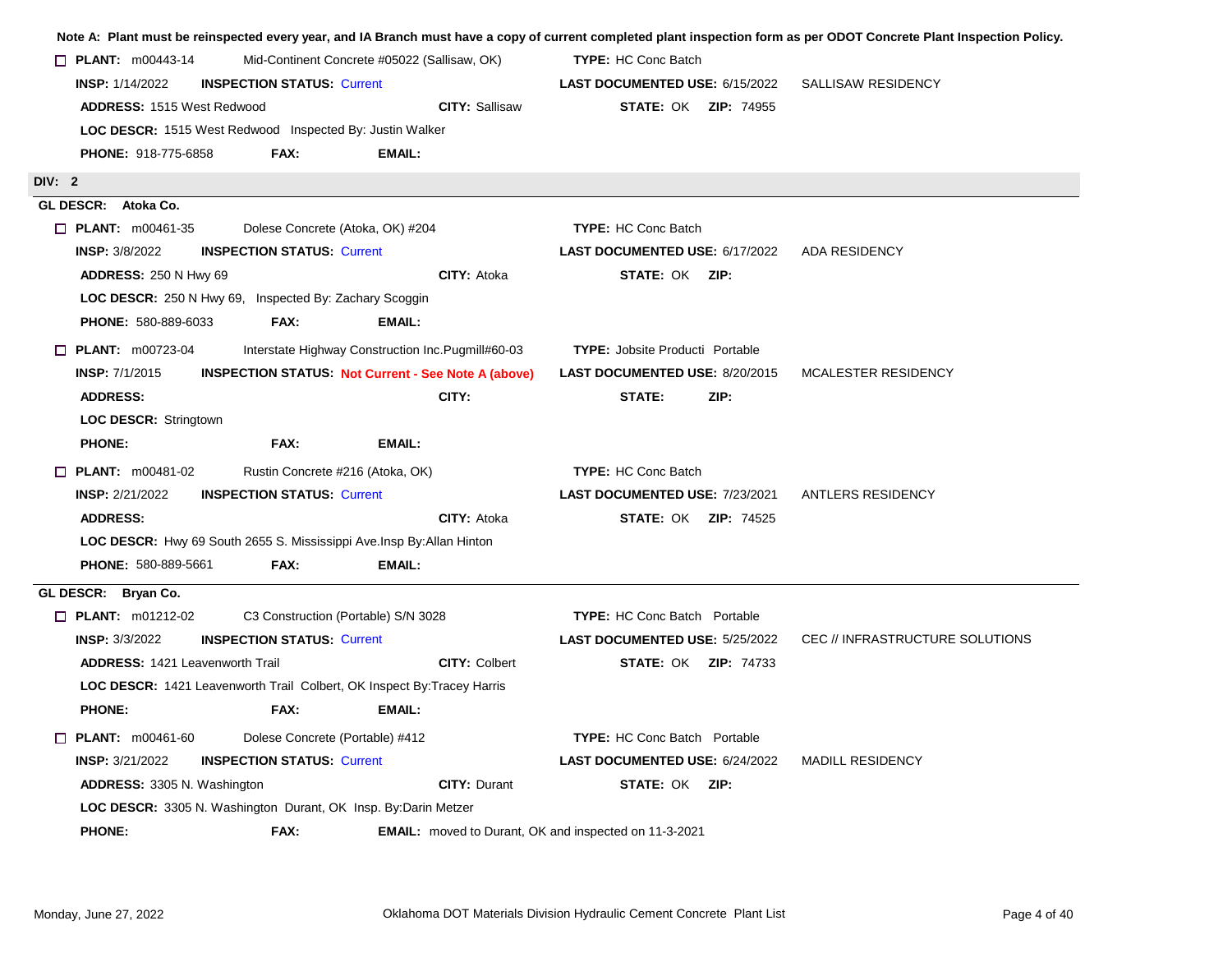|                                                                        |                                   |                                                                         |                                        | Note A: Plant must be reinspected every year, and IA Branch must have a copy of current completed plant inspection form as per ODOT Concrete Plant Inspection Policy. |
|------------------------------------------------------------------------|-----------------------------------|-------------------------------------------------------------------------|----------------------------------------|-----------------------------------------------------------------------------------------------------------------------------------------------------------------------|
| $\Box$ PLANT: $m00443-14$                                              |                                   | Mid-Continent Concrete #05022 (Sallisaw, OK)                            | <b>TYPE: HC Conc Batch</b>             |                                                                                                                                                                       |
| <b>INSP: 1/14/2022</b>                                                 | <b>INSPECTION STATUS: Current</b> |                                                                         | LAST DOCUMENTED USE: 6/15/2022         | SALLISAW RESIDENCY                                                                                                                                                    |
| <b>ADDRESS: 1515 West Redwood</b>                                      |                                   | <b>CITY: Sallisaw</b>                                                   | <b>STATE: OK ZIP: 74955</b>            |                                                                                                                                                                       |
| LOC DESCR: 1515 West Redwood Inspected By: Justin Walker               |                                   |                                                                         |                                        |                                                                                                                                                                       |
| <b>PHONE: 918-775-6858</b>                                             | FAX:                              | EMAIL:                                                                  |                                        |                                                                                                                                                                       |
| DIV: 2                                                                 |                                   |                                                                         |                                        |                                                                                                                                                                       |
| GL DESCR: Atoka Co.                                                    |                                   |                                                                         |                                        |                                                                                                                                                                       |
| $\Box$ PLANT: m00461-35                                                | Dolese Concrete (Atoka, OK) #204  |                                                                         | <b>TYPE: HC Conc Batch</b>             |                                                                                                                                                                       |
| <b>INSP: 3/8/2022</b>                                                  | <b>INSPECTION STATUS: Current</b> |                                                                         | LAST DOCUMENTED USE: 6/17/2022         | <b>ADA RESIDENCY</b>                                                                                                                                                  |
| <b>ADDRESS: 250 N Hwy 69</b>                                           |                                   | <b>CITY: Atoka</b>                                                      | <b>STATE: OK ZIP:</b>                  |                                                                                                                                                                       |
| LOC DESCR: 250 N Hwy 69, Inspected By: Zachary Scoggin                 |                                   |                                                                         |                                        |                                                                                                                                                                       |
| PHONE: 580-889-6033                                                    | FAX:                              | EMAIL:                                                                  |                                        |                                                                                                                                                                       |
| $\Box$ PLANT: m00723-04                                                |                                   | Interstate Highway Construction Inc. Pugmill#60-03                      | <b>TYPE: Jobsite Producti Portable</b> |                                                                                                                                                                       |
| <b>INSP: 7/1/2015</b>                                                  |                                   | <b>INSPECTION STATUS: Not Current - See Note A (above)</b>              | <b>LAST DOCUMENTED USE: 8/20/2015</b>  | MCALESTER RESIDENCY                                                                                                                                                   |
| <b>ADDRESS:</b>                                                        |                                   | CITY:                                                                   | STATE:<br>ZIP:                         |                                                                                                                                                                       |
| <b>LOC DESCR: Stringtown</b>                                           |                                   |                                                                         |                                        |                                                                                                                                                                       |
| <b>PHONE:</b>                                                          | FAX:                              | <b>EMAIL:</b>                                                           |                                        |                                                                                                                                                                       |
| $\Box$ PLANT: $m00481-02$                                              | Rustin Concrete #216 (Atoka, OK)  |                                                                         | <b>TYPE: HC Conc Batch</b>             |                                                                                                                                                                       |
| <b>INSP: 2/21/2022</b>                                                 | <b>INSPECTION STATUS: Current</b> |                                                                         | <b>LAST DOCUMENTED USE: 7/23/2021</b>  | <b>ANTLERS RESIDENCY</b>                                                                                                                                              |
| <b>ADDRESS:</b>                                                        |                                   | <b>CITY: Atoka</b>                                                      | <b>STATE: OK ZIP: 74525</b>            |                                                                                                                                                                       |
| LOC DESCR: Hwy 69 South 2655 S. Mississippi Ave. Insp By: Allan Hinton |                                   |                                                                         |                                        |                                                                                                                                                                       |
| <b>PHONE: 580-889-5661</b>                                             | FAX:                              | EMAIL:                                                                  |                                        |                                                                                                                                                                       |
| GL DESCR: Bryan Co.                                                    |                                   |                                                                         |                                        |                                                                                                                                                                       |
| $\Box$ PLANT: m01212-02                                                |                                   | C3 Construction (Portable) S/N 3028                                     | <b>TYPE:</b> HC Conc Batch Portable    |                                                                                                                                                                       |
| <b>INSP: 3/3/2022</b>                                                  | <b>INSPECTION STATUS: Current</b> |                                                                         | <b>LAST DOCUMENTED USE: 5/25/2022</b>  | CEC // INFRASTRUCTURE SOLUTIONS                                                                                                                                       |
| <b>ADDRESS: 1421 Leavenworth Trail</b>                                 |                                   | <b>CITY: Colbert</b>                                                    | <b>STATE: OK ZIP: 74733</b>            |                                                                                                                                                                       |
|                                                                        |                                   | LOC DESCR: 1421 Leavenworth Trail Colbert, OK Inspect By: Tracey Harris |                                        |                                                                                                                                                                       |
| <b>PHONE:</b>                                                          | FAX:                              | EMAIL:                                                                  |                                        |                                                                                                                                                                       |
| <b>PLANT: m00461-60</b>                                                | Dolese Concrete (Portable) #412   |                                                                         | <b>TYPE:</b> HC Conc Batch Portable    |                                                                                                                                                                       |
| <b>INSP: 3/21/2022</b>                                                 | <b>INSPECTION STATUS: Current</b> |                                                                         | <b>LAST DOCUMENTED USE: 6/24/2022</b>  | <b>MADILL RESIDENCY</b>                                                                                                                                               |
| ADDRESS: 3305 N. Washington                                            |                                   | <b>CITY: Durant</b>                                                     | <b>STATE: OK ZIP:</b>                  |                                                                                                                                                                       |
| LOC DESCR: 3305 N. Washington Durant, OK Insp. By:Darin Metzer         |                                   |                                                                         |                                        |                                                                                                                                                                       |
| <b>PHONE:</b>                                                          | FAX:                              | <b>EMAIL:</b> moved to Durant, OK and inspected on 11-3-2021            |                                        |                                                                                                                                                                       |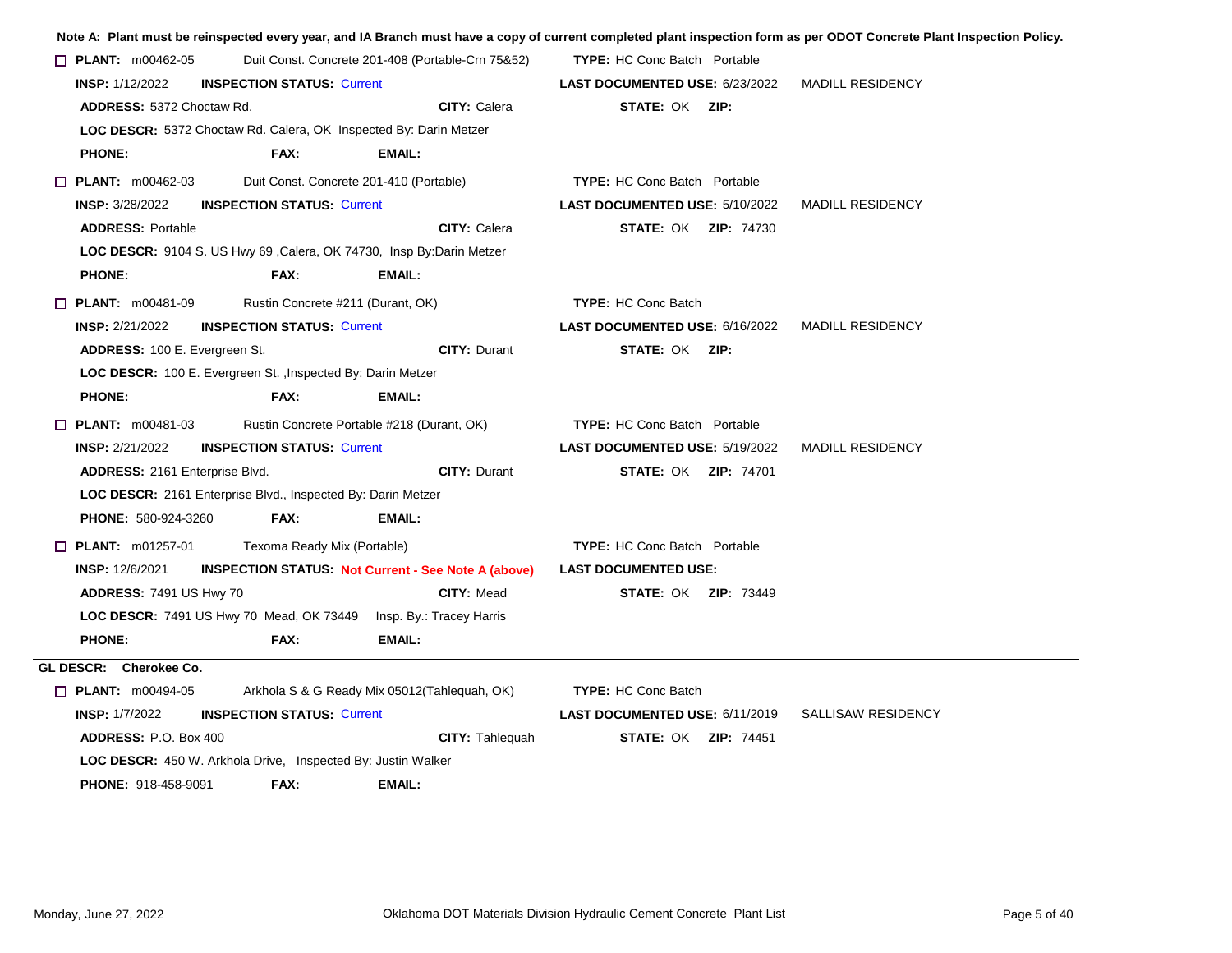|                                  |                                                                       |                                                   |                                       | Note A: Plant must be reinspected every year, and IA Branch must have a copy of current completed plant inspection form as per ODOT Concrete Plant Inspection Policy. |
|----------------------------------|-----------------------------------------------------------------------|---------------------------------------------------|---------------------------------------|-----------------------------------------------------------------------------------------------------------------------------------------------------------------------|
| $\Box$ PLANT: m00462-05          |                                                                       | Duit Const. Concrete 201-408 (Portable-Crn 75&52) | <b>TYPE:</b> HC Conc Batch Portable   |                                                                                                                                                                       |
| <b>INSP: 1/12/2022</b>           | <b>INSPECTION STATUS: Current</b>                                     |                                                   | <b>LAST DOCUMENTED USE: 6/23/2022</b> | <b>MADILL RESIDENCY</b>                                                                                                                                               |
| <b>ADDRESS: 5372 Choctaw Rd.</b> |                                                                       | <b>CITY: Calera</b>                               | <b>STATE: OK ZIP:</b>                 |                                                                                                                                                                       |
|                                  | LOC DESCR: 5372 Choctaw Rd. Calera, OK Inspected By: Darin Metzer     |                                                   |                                       |                                                                                                                                                                       |
| <b>PHONE:</b>                    | FAX:                                                                  | <b>EMAIL:</b>                                     |                                       |                                                                                                                                                                       |
| $\Box$ PLANT: m00462-03          |                                                                       | Duit Const. Concrete 201-410 (Portable)           | <b>TYPE:</b> HC Conc Batch Portable   |                                                                                                                                                                       |
| <b>INSP: 3/28/2022</b>           | <b>INSPECTION STATUS: Current</b>                                     |                                                   | <b>LAST DOCUMENTED USE: 5/10/2022</b> | <b>MADILL RESIDENCY</b>                                                                                                                                               |
| <b>ADDRESS: Portable</b>         |                                                                       | <b>CITY: Calera</b>                               | <b>STATE: OK ZIP: 74730</b>           |                                                                                                                                                                       |
|                                  | LOC DESCR: 9104 S. US Hwy 69, Calera, OK 74730, Insp By: Darin Metzer |                                                   |                                       |                                                                                                                                                                       |
| <b>PHONE:</b>                    | FAX:                                                                  | <b>EMAIL:</b>                                     |                                       |                                                                                                                                                                       |
| $\Box$ PLANT: $m00481-09$        | Rustin Concrete #211 (Durant, OK)                                     |                                                   | <b>TYPE: HC Conc Batch</b>            |                                                                                                                                                                       |
| <b>INSP: 2/21/2022</b>           | <b>INSPECTION STATUS: Current</b>                                     |                                                   | LAST DOCUMENTED USE: 6/16/2022        | <b>MADILL RESIDENCY</b>                                                                                                                                               |
| ADDRESS: 100 E. Evergreen St.    |                                                                       | <b>CITY: Durant</b>                               | STATE: OK ZIP:                        |                                                                                                                                                                       |
|                                  | LOC DESCR: 100 E. Evergreen St. , Inspected By: Darin Metzer          |                                                   |                                       |                                                                                                                                                                       |
| <b>PHONE:</b>                    | FAX:                                                                  | <b>EMAIL:</b>                                     |                                       |                                                                                                                                                                       |
| $\Box$ PLANT: m00481-03          |                                                                       | Rustin Concrete Portable #218 (Durant, OK)        | <b>TYPE:</b> HC Conc Batch Portable   |                                                                                                                                                                       |
| <b>INSP: 2/21/2022</b>           | <b>INSPECTION STATUS: Current</b>                                     |                                                   | <b>LAST DOCUMENTED USE: 5/19/2022</b> | <b>MADILL RESIDENCY</b>                                                                                                                                               |
| ADDRESS: 2161 Enterprise Blvd.   |                                                                       | <b>CITY: Durant</b>                               | <b>STATE: OK ZIP: 74701</b>           |                                                                                                                                                                       |
|                                  | LOC DESCR: 2161 Enterprise Blvd., Inspected By: Darin Metzer          |                                                   |                                       |                                                                                                                                                                       |
| <b>PHONE: 580-924-3260</b>       | FAX:                                                                  | EMAIL:                                            |                                       |                                                                                                                                                                       |
| $\Box$ PLANT: m01257-01          | Texoma Ready Mix (Portable)                                           |                                                   | <b>TYPE:</b> HC Conc Batch Portable   |                                                                                                                                                                       |
| <b>INSP: 12/6/2021</b>           | <b>INSPECTION STATUS: Not Current - See Note A (above)</b>            |                                                   | <b>LAST DOCUMENTED USE:</b>           |                                                                                                                                                                       |
| <b>ADDRESS: 7491 US Hwy 70</b>   |                                                                       | <b>CITY: Mead</b>                                 | <b>STATE: OK ZIP: 73449</b>           |                                                                                                                                                                       |
|                                  | <b>LOC DESCR: 7491 US Hwy 70 Mead, OK 73449</b>                       | Insp. By.: Tracey Harris                          |                                       |                                                                                                                                                                       |
| <b>PHONE:</b>                    | FAX:                                                                  | <b>EMAIL:</b>                                     |                                       |                                                                                                                                                                       |
| GL DESCR: Cherokee Co.           |                                                                       |                                                   |                                       |                                                                                                                                                                       |
| $\Box$ PLANT: m00494-05          |                                                                       | Arkhola S & G Ready Mix 05012 (Tahlequah, OK)     | <b>TYPE: HC Conc Batch</b>            |                                                                                                                                                                       |
| <b>INSP: 1/7/2022</b>            | <b>INSPECTION STATUS: Current</b>                                     |                                                   |                                       | <b>SALLISAW RESIDENCY</b>                                                                                                                                             |
| ADDRESS: P.O. Box 400            |                                                                       | CITY: Tahlequah                                   | <b>STATE: OK ZIP: 74451</b>           |                                                                                                                                                                       |
|                                  | <b>LOC DESCR:</b> 450 W. Arkhola Drive, Inspected By: Justin Walker   |                                                   |                                       |                                                                                                                                                                       |
| <b>PHONE: 918-458-9091</b>       | FAX:                                                                  | EMAIL:                                            |                                       |                                                                                                                                                                       |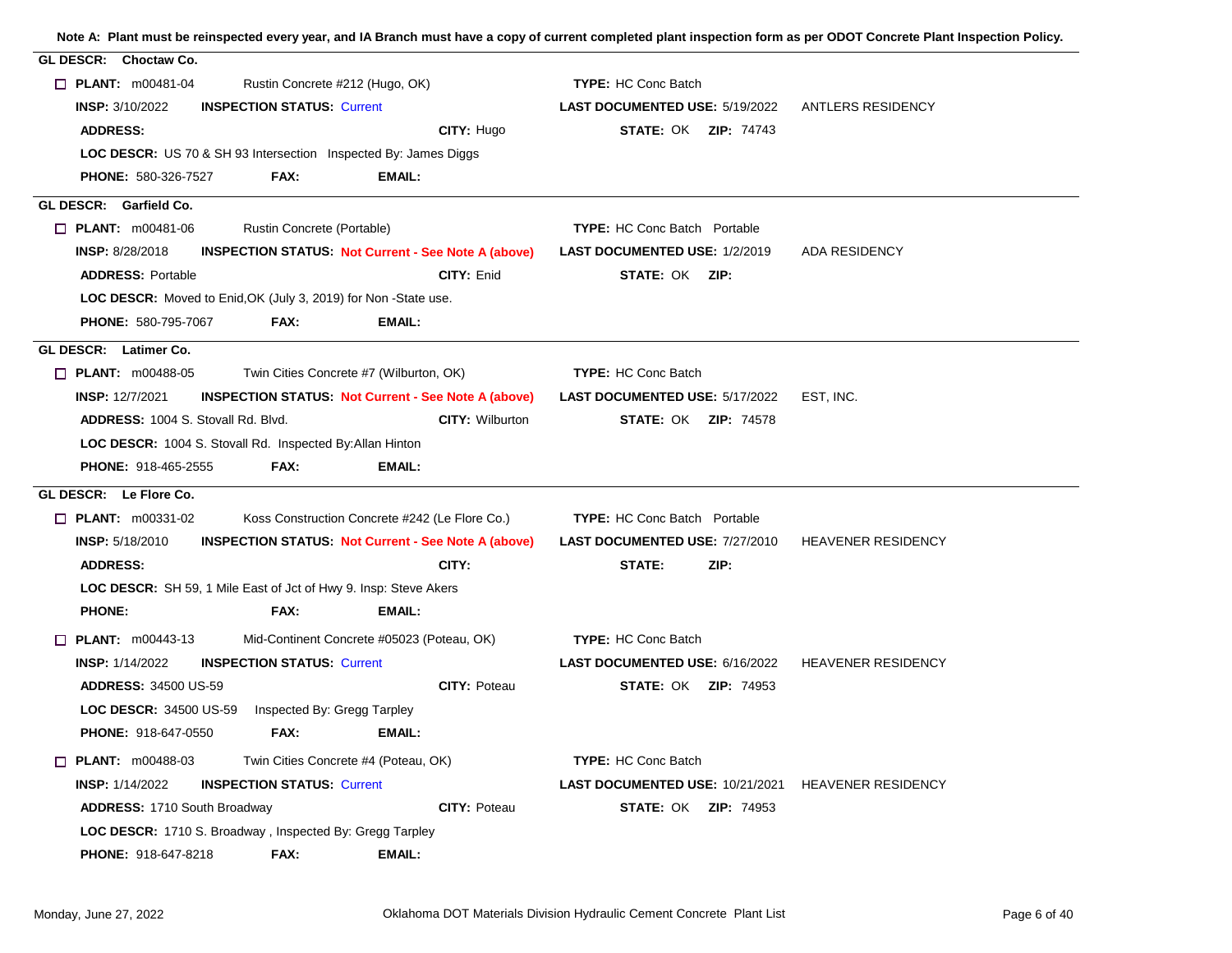| GL DESCR: Choctaw Co.                                                                   |                                                           |                           |
|-----------------------------------------------------------------------------------------|-----------------------------------------------------------|---------------------------|
| $\Box$ PLANT: $m00481-04$<br>Rustin Concrete #212 (Hugo, OK)                            | <b>TYPE: HC Conc Batch</b>                                |                           |
| <b>INSP: 3/10/2022</b><br><b>INSPECTION STATUS: Current</b>                             | LAST DOCUMENTED USE: 5/19/2022                            | ANTLERS RESIDENCY         |
| CITY: Hugo<br><b>ADDRESS:</b>                                                           | <b>STATE: OK ZIP: 74743</b>                               |                           |
| <b>LOC DESCR:</b> US 70 & SH 93 Intersection Inspected By: James Diggs                  |                                                           |                           |
| FAX:<br><b>PHONE: 580-326-7527</b><br>EMAIL:                                            |                                                           |                           |
| GL DESCR: Garfield Co.                                                                  |                                                           |                           |
| <b>D</b> PLANT: m00481-06<br>Rustin Concrete (Portable)                                 | <b>TYPE:</b> HC Conc Batch Portable                       |                           |
| <b>INSP: 8/28/2018</b><br><b>INSPECTION STATUS: Not Current - See Note A (above)</b>    | <b>LAST DOCUMENTED USE: 1/2/2019</b>                      | ADA RESIDENCY             |
| <b>ADDRESS: Portable</b><br>CITY: Enid                                                  | STATE: OK ZIP:                                            |                           |
| LOC DESCR: Moved to Enid, OK (July 3, 2019) for Non-State use.                          |                                                           |                           |
| <b>PHONE: 580-795-7067</b><br>FAX:<br>EMAIL:                                            |                                                           |                           |
| GL DESCR: Latimer Co.                                                                   |                                                           |                           |
| Twin Cities Concrete #7 (Wilburton, OK)<br>$\Box$ PLANT: m00488-05                      | <b>TYPE: HC Conc Batch</b>                                |                           |
| <b>INSP: 12/7/2021</b><br><b>INSPECTION STATUS Not Current - See Note A (above)</b>     | LAST DOCUMENTED USE: 5/17/2022                            | EST, INC.                 |
| <b>ADDRESS: 1004 S. Stovall Rd. Blvd.</b><br>CITY: Wilburton                            | <b>STATE: OK ZIP: 74578</b>                               |                           |
| <b>LOC DESCR: 1004 S. Stovall Rd. Inspected By: Allan Hinton</b>                        |                                                           |                           |
| PHONE: 918-465-2555<br>FAX:<br><b>EMAIL:</b>                                            |                                                           |                           |
| GL DESCR: Le Flore Co.                                                                  |                                                           |                           |
| $\Box$ PLANT: m00331-02<br>Koss Construction Concrete #242 (Le Flore Co.)               | <b>TYPE:</b> HC Conc Batch Portable                       |                           |
| <b>INSP: 5/18/2010</b><br><b>INSPECTION STATUS Not Current - See Note A (above)</b>     | <b>LAST DOCUMENTED USE: 7/27/2010</b>                     | <b>HEAVENER RESIDENCY</b> |
| CITY:<br><b>ADDRESS:</b>                                                                | STATE:<br>ZIP:                                            |                           |
| LOC DESCR: SH 59, 1 Mile East of Jct of Hwy 9. Insp: Steve Akers                        |                                                           |                           |
| <b>PHONE:</b><br>FAX:<br>EMAIL:                                                         |                                                           |                           |
| Mid-Continent Concrete #05023 (Poteau, OK)<br><b><math>\Box</math> PLANT:</b> m00443-13 | <b>TYPE: HC Conc Batch</b>                                |                           |
| <b>INSP: 1/14/2022</b><br><b>INSPECTION STATUS: Current</b>                             | LAST DOCUMENTED USE: 6/16/2022                            | <b>HEAVENER RESIDENCY</b> |
| <b>ADDRESS: 34500 US-59</b><br>CITY: Poteau                                             | <b>STATE: OK ZIP: 74953</b>                               |                           |
| <b>LOC DESCR:</b> 34500 US-59    Inspected By: Gregg Tarpley                            |                                                           |                           |
| <b>PHONE: 918-647-0550</b><br>FAX:<br><b>EMAIL:</b>                                     |                                                           |                           |
| $\Box$ PLANT: m00488-03<br>Twin Cities Concrete #4 (Poteau, OK)                         | <b>TYPE: HC Conc Batch</b>                                |                           |
| <b>INSP: 1/14/2022</b><br><b>INSPECTION STATUS: Current</b>                             | <b>LAST DOCUMENTED USE: 10/21/2021 HEAVENER RESIDENCY</b> |                           |
| <b>ADDRESS: 1710 South Broadway</b><br><b>CITY: Poteau</b>                              | <b>STATE: OK ZIP: 74953</b>                               |                           |
| <b>LOC DESCR:</b> 1710 S. Broadway, Inspected By: Gregg Tarpley                         |                                                           |                           |
| PHONE: 918-647-8218<br>FAX:<br>EMAIL:                                                   |                                                           |                           |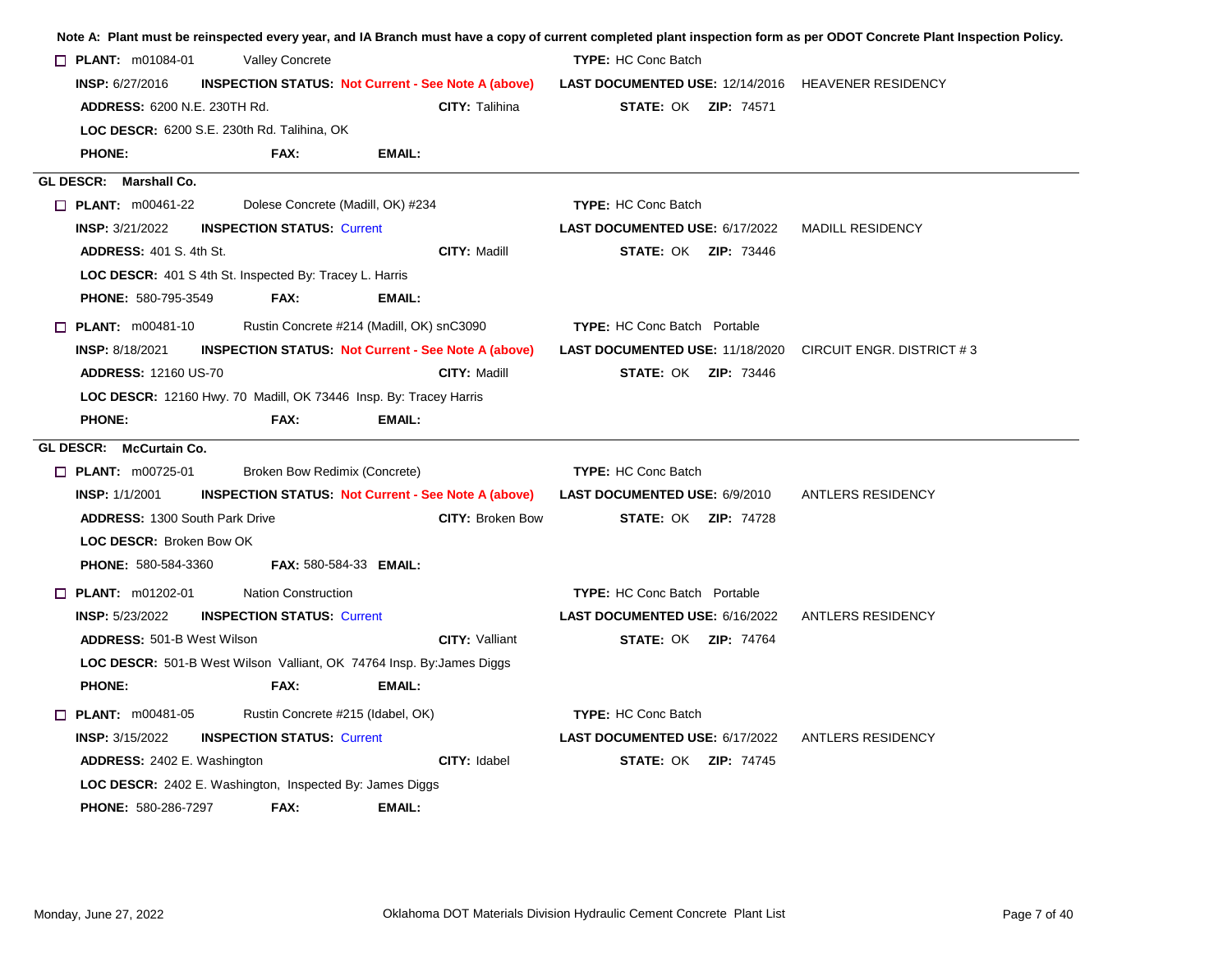| $\Box$ PLANT: m01084-01               | <b>Valley Concrete</b>                                            |                                                                              | <b>TYPE: HC Conc Batch</b>                                       |                         |
|---------------------------------------|-------------------------------------------------------------------|------------------------------------------------------------------------------|------------------------------------------------------------------|-------------------------|
| <b>INSP: 6/27/2016</b>                |                                                                   | <b>INSPECTION STATUS Not Current - See Note A (above)</b>                    | <b>LAST DOCUMENTED USE: 12/14/2016 HEAVENER RESIDENCY</b>        |                         |
| <b>ADDRESS: 6200 N.E. 230TH Rd.</b>   |                                                                   | <b>CITY: Talihina</b>                                                        | <b>STATE: OK ZIP: 74571</b>                                      |                         |
|                                       | LOC DESCR: 6200 S.E. 230th Rd. Talihina, OK                       |                                                                              |                                                                  |                         |
| <b>PHONE:</b>                         | FAX:                                                              | <b>EMAIL:</b>                                                                |                                                                  |                         |
| GL DESCR: Marshall Co.                |                                                                   |                                                                              |                                                                  |                         |
| $\Box$ PLANT: m00461-22               |                                                                   | Dolese Concrete (Madill, OK) #234                                            | <b>TYPE: HC Conc Batch</b>                                       |                         |
| <b>INSP: 3/21/2022</b>                | <b>INSPECTION STATUS: Current</b>                                 |                                                                              | LAST DOCUMENTED USE: 6/17/2022                                   | <b>MADILL RESIDENCY</b> |
| <b>ADDRESS: 401 S. 4th St.</b>        |                                                                   | <b>CITY: Madill</b>                                                          | <b>STATE: OK ZIP: 73446</b>                                      |                         |
|                                       | LOC DESCR: 401 S 4th St. Inspected By: Tracey L. Harris           |                                                                              |                                                                  |                         |
| PHONE: 580-795-3549                   | FAX:                                                              | EMAIL:                                                                       |                                                                  |                         |
| $\Box$ PLANT: $m00481-10$             |                                                                   | Rustin Concrete #214 (Madill, OK) snC3090                                    | <b>TYPE:</b> HC Conc Batch Portable                              |                         |
| <b>INSP: 8/18/2021</b>                |                                                                   | <b>INSPECTION STATUS: Not Current - See Note A (above)</b>                   | <b>LAST DOCUMENTED USE: 11/18/2020 CIRCUIT ENGR. DISTRICT #3</b> |                         |
| <b>ADDRESS: 12160 US-70</b>           |                                                                   | CITY: Madill                                                                 | <b>STATE: OK ZIP: 73446</b>                                      |                         |
|                                       | LOC DESCR: 12160 Hwy. 70 Madill, OK 73446 Insp. By: Tracey Harris |                                                                              |                                                                  |                         |
| <b>PHONE:</b>                         | FAX:                                                              | <b>EMAIL:</b>                                                                |                                                                  |                         |
| GL DESCR: McCurtain Co.               |                                                                   |                                                                              |                                                                  |                         |
| $\Box$ PLANT: m00725-01               | Broken Bow Redimix (Concrete)                                     |                                                                              | <b>TYPE: HC Conc Batch</b>                                       |                         |
| <b>INSP: 1/1/2001</b>                 |                                                                   | <b>INSPECTION STATUS Not Current - See Note A (above)</b>                    | LAST DOCUMENTED USE: 6/9/2010                                    | ANTLERS RESIDENCY       |
| <b>ADDRESS: 1300 South Park Drive</b> |                                                                   | <b>CITY: Broken Bow</b>                                                      | <b>STATE: OK ZIP: 74728</b>                                      |                         |
| LOC DESCR: Broken Bow OK              |                                                                   |                                                                              |                                                                  |                         |
| <b>PHONE: 580-584-3360</b>            |                                                                   | <b>FAX: 580-584-33 EMAIL:</b>                                                |                                                                  |                         |
| $\Box$ PLANT: $m01202-01$             | <b>Nation Construction</b>                                        |                                                                              | <b>TYPE:</b> HC Conc Batch Portable                              |                         |
| <b>INSP: 5/23/2022</b>                | <b>INSPECTION STATUS: Current</b>                                 |                                                                              | LAST DOCUMENTED USE: 6/16/2022                                   | ANTLERS RESIDENCY       |
| <b>ADDRESS: 501-B West Wilson</b>     |                                                                   | <b>CITY: Valliant</b>                                                        | <b>STATE: OK ZIP: 74764</b>                                      |                         |
|                                       |                                                                   | <b>LOC DESCR:</b> 501-B West Wilson Valliant, OK 74764 Insp. By: James Diggs |                                                                  |                         |
| <b>PHONE:</b>                         | FAX:                                                              | EMAIL:                                                                       |                                                                  |                         |
| $\Box$ PLANT: $m00481-05$             |                                                                   | Rustin Concrete #215 (Idabel, OK)                                            | <b>TYPE: HC Conc Batch</b>                                       |                         |
| <b>INSP: 3/15/2022</b>                | <b>INSPECTION STATUS: Current</b>                                 |                                                                              | LAST DOCUMENTED USE: 6/17/2022                                   | ANTLERS RESIDENCY       |
| ADDRESS: 2402 E. Washington           |                                                                   | CITY: Idabel                                                                 | <b>STATE: OK ZIP: 74745</b>                                      |                         |
|                                       | <b>LOC DESCR:</b> 2402 E. Washington, Inspected By: James Diggs   |                                                                              |                                                                  |                         |
| PHONE: 580-286-7297                   | FAX:                                                              | EMAIL:                                                                       |                                                                  |                         |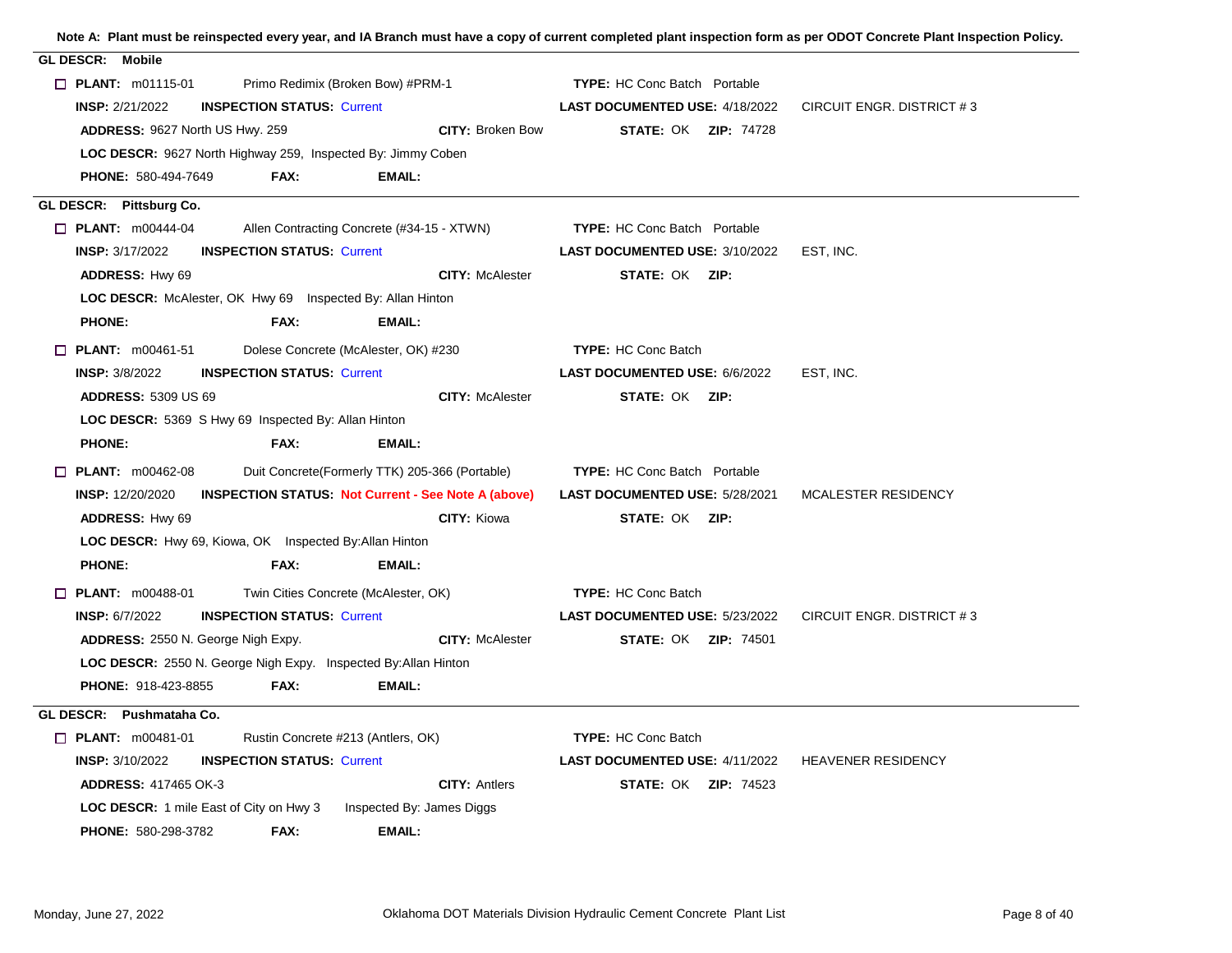| <b>GL DESCR: Mobile</b>                                                               |                                                              |  |
|---------------------------------------------------------------------------------------|--------------------------------------------------------------|--|
| $\Box$ PLANT: m01115-01<br>Primo Redimix (Broken Bow) #PRM-1                          | <b>TYPE:</b> HC Conc Batch Portable                          |  |
| <b>INSPECTION STATUS: Current</b><br><b>INSP: 2/21/2022</b>                           | LAST DOCUMENTED USE: 4/18/2022<br>CIRCUIT ENGR. DISTRICT #3  |  |
| ADDRESS: 9627 North US Hwy. 259<br><b>CITY: Broken Bow</b>                            | <b>STATE: OK ZIP: 74728</b>                                  |  |
| LOC DESCR: 9627 North Highway 259, Inspected By: Jimmy Coben                          |                                                              |  |
| <b>PHONE: 580-494-7649</b><br>FAX:<br>EMAIL:                                          |                                                              |  |
| GL DESCR: Pittsburg Co.                                                               |                                                              |  |
| <b>D</b> PLANT: m00444-04<br>Allen Contracting Concrete (#34-15 - XTWN)               | <b>TYPE:</b> HC Conc Batch Portable                          |  |
| <b>INSP: 3/17/2022</b><br><b>INSPECTION STATUS: Current</b>                           | <b>LAST DOCUMENTED USE: 3/10/2022</b><br>EST, INC.           |  |
| <b>CITY: McAlester</b><br>ADDRESS: Hwy 69                                             | <b>STATE: OK ZIP:</b>                                        |  |
| LOC DESCR: McAlester, OK Hwy 69 Inspected By: Allan Hinton                            |                                                              |  |
| <b>PHONE:</b><br>FAX:<br>EMAIL:                                                       |                                                              |  |
| $\Box$ PLANT: m00461-51<br>Dolese Concrete (McAlester, OK) #230                       | <b>TYPE: HC Conc Batch</b>                                   |  |
| <b>INSPECTION STATUS: Current</b><br><b>INSP: 3/8/2022</b>                            | <b>LAST DOCUMENTED USE: 6/6/2022</b><br>EST, INC.            |  |
| <b>ADDRESS: 5309 US 69</b><br><b>CITY: McAlester</b>                                  | <b>STATE: OK ZIP:</b>                                        |  |
| LOC DESCR: 5369 S Hwy 69 Inspected By: Allan Hinton                                   |                                                              |  |
| <b>PHONE:</b><br>FAX:<br>EMAIL:                                                       |                                                              |  |
| $\Box$ PLANT: m00462-08<br>Duit Concrete(Formerly TTK) 205-366 (Portable)             | <b>TYPE:</b> HC Conc Batch Portable                          |  |
| <b>INSP: 12/20/2020</b><br><b>INSPECTION STATUS: Not Current - See Note A (above)</b> | <b>LAST DOCUMENTED USE: 5/28/2021</b><br>MCALESTER RESIDENCY |  |
| ADDRESS: Hwy 69<br><b>CITY: Kiowa</b>                                                 | STATE: OK ZIP:                                               |  |
| LOC DESCR: Hwy 69, Kiowa, OK Inspected By: Allan Hinton                               |                                                              |  |
| <b>PHONE:</b><br>FAX:<br><b>EMAIL:</b>                                                |                                                              |  |
| Twin Cities Concrete (McAlester, OK)<br>$\Box$ PLANT: m00488-01                       | <b>TYPE: HC Conc Batch</b>                                   |  |
| <b>INSP: 6/7/2022</b><br><b>INSPECTION STATUS: Current</b>                            | LAST DOCUMENTED USE: 5/23/2022<br>CIRCUIT ENGR. DISTRICT #3  |  |
| <b>CITY: McAlester</b><br>ADDRESS: 2550 N. George Nigh Expy.                          | <b>STATE: OK ZIP: 74501</b>                                  |  |
| LOC DESCR: 2550 N. George Nigh Expy. Inspected By: Allan Hinton                       |                                                              |  |
| <b>PHONE: 918-423-8855</b><br>FAX:<br>EMAIL:                                          |                                                              |  |
| GL DESCR: Pushmataha Co.                                                              |                                                              |  |
| $\Box$ PLANT: m00481-01<br>Rustin Concrete #213 (Antlers, OK)                         | <b>TYPE: HC Conc Batch</b>                                   |  |
| <b>INSP: 3/10/2022</b><br><b>INSPECTION STATUS: Current</b>                           | LAST DOCUMENTED USE: 4/11/2022<br><b>HEAVENER RESIDENCY</b>  |  |
| <b>CITY: Antlers</b><br><b>ADDRESS: 417465 OK-3</b>                                   | <b>STATE: OK ZIP: 74523</b>                                  |  |
| <b>LOC DESCR:</b> 1 mile East of City on Hwy 3<br>Inspected By: James Diggs           |                                                              |  |
| PHONE: 580-298-3782<br>FAX:<br>EMAIL:                                                 |                                                              |  |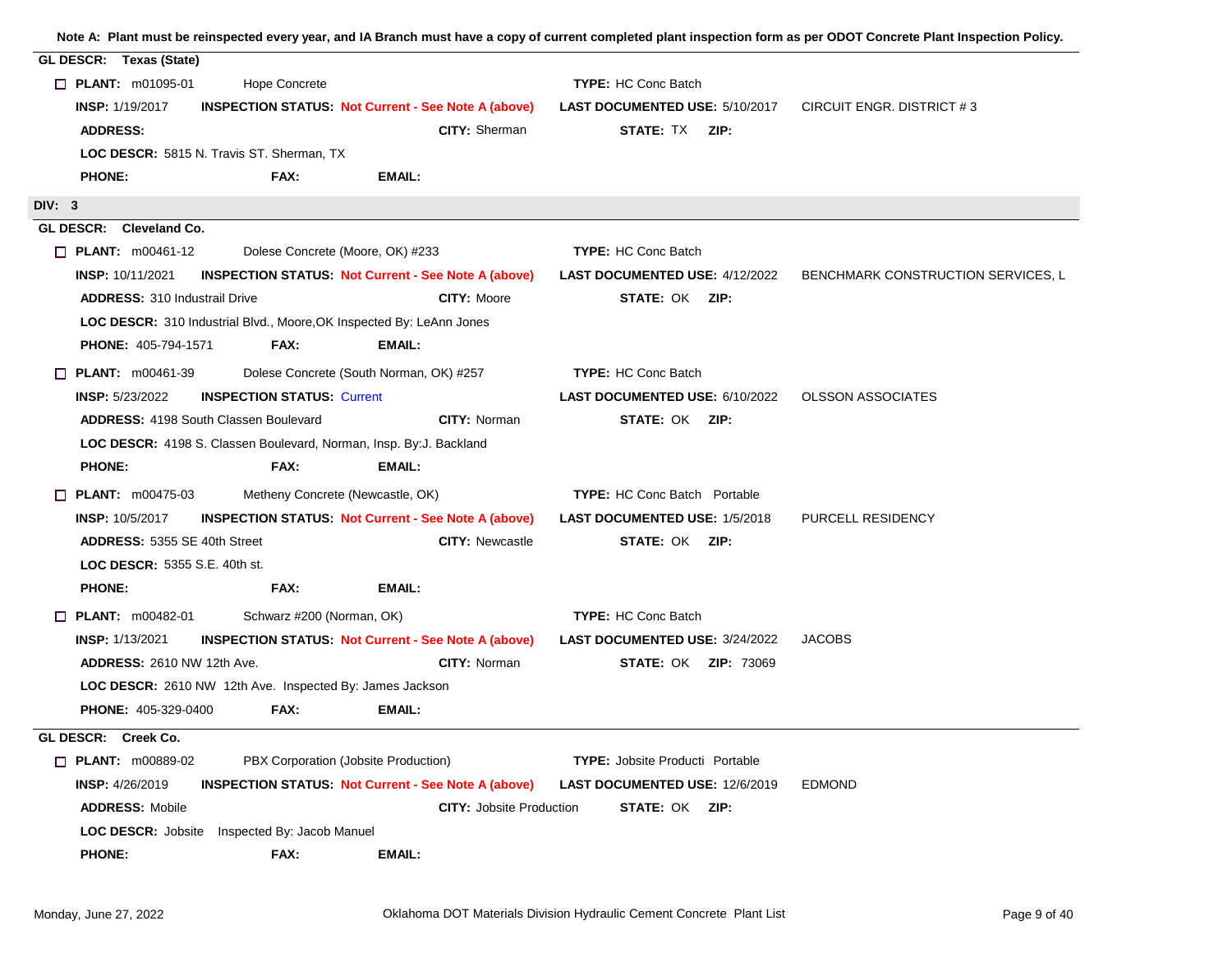| GL DESCR: Texas (State)                                                              |                                        |                                    |
|--------------------------------------------------------------------------------------|----------------------------------------|------------------------------------|
| $\Box$ PLANT: m01095-01<br><b>Hope Concrete</b>                                      | <b>TYPE: HC Conc Batch</b>             |                                    |
| <b>INSP: 1/19/2017</b><br><b>INSPECTION STATUS. Not Current - See Note A (above)</b> | <b>LAST DOCUMENTED USE: 5/10/2017</b>  | CIRCUIT ENGR. DISTRICT #3          |
| <b>CITY: Sherman</b><br><b>ADDRESS:</b>                                              | <b>STATE: TX ZIP:</b>                  |                                    |
| LOC DESCR: 5815 N. Travis ST. Sherman, TX                                            |                                        |                                    |
| FAX:<br><b>PHONE:</b><br>EMAIL:                                                      |                                        |                                    |
| DIV: 3                                                                               |                                        |                                    |
| GL DESCR: Cleveland Co.                                                              |                                        |                                    |
| $\Box$ PLANT: $m00461-12$<br>Dolese Concrete (Moore, OK) #233                        | <b>TYPE: HC Conc Batch</b>             |                                    |
| <b>INSP: 10/11/2021</b><br><b>INSPECTION STATUS Not Current - See Note A (above)</b> | <b>LAST DOCUMENTED USE: 4/12/2022</b>  | BENCHMARK CONSTRUCTION SERVICES, L |
| <b>ADDRESS: 310 Industrail Drive</b><br><b>CITY: Moore</b>                           | STATE: OK ZIP:                         |                                    |
| LOC DESCR: 310 Industrial Blvd., Moore, OK Inspected By: LeAnn Jones                 |                                        |                                    |
| <b>PHONE: 405-794-1571</b><br>FAX:<br>EMAIL:                                         |                                        |                                    |
| Dolese Concrete (South Norman, OK) #257<br>$\Box$ PLANT: m00461-39                   | <b>TYPE: HC Conc Batch</b>             |                                    |
| <b>INSP: 5/23/2022</b><br><b>INSPECTION STATUS: Current</b>                          | <b>LAST DOCUMENTED USE: 6/10/2022</b>  | <b>OLSSON ASSOCIATES</b>           |
| <b>ADDRESS: 4198 South Classen Boulevard</b><br><b>CITY: Norman</b>                  | <b>STATE: OK ZIP:</b>                  |                                    |
| LOC DESCR: 4198 S. Classen Boulevard, Norman, Insp. By:J. Backland                   |                                        |                                    |
| <b>PHONE:</b><br>FAX:<br>EMAIL:                                                      |                                        |                                    |
| $\Box$ PLANT: m00475-03<br>Metheny Concrete (Newcastle, OK)                          | <b>TYPE:</b> HC Conc Batch Portable    |                                    |
| <b>INSP: 10/5/2017</b><br><b>INSPECTION STATUS: Not Current - See Note A (above)</b> | <b>LAST DOCUMENTED USE: 1/5/2018</b>   | PURCELL RESIDENCY                  |
| ADDRESS: 5355 SE 40th Street<br><b>CITY: Newcastle</b>                               | <b>STATE: OK ZIP:</b>                  |                                    |
| <b>LOC DESCR: 5355 S.E. 40th st.</b>                                                 |                                        |                                    |
| FAX:<br><b>EMAIL:</b><br><b>PHONE:</b>                                               |                                        |                                    |
| Schwarz #200 (Norman, OK)<br><b>D</b> PLANT: $m00482-01$                             | <b>TYPE: HC Conc Batch</b>             |                                    |
| <b>INSP: 1/13/2021</b><br><b>INSPECTION STATUS Not Current - See Note A (above)</b>  | LAST DOCUMENTED USE: 3/24/2022         | <b>JACOBS</b>                      |
| CITY: Norman<br><b>ADDRESS: 2610 NW 12th Ave.</b>                                    | <b>STATE: OK ZIP: 73069</b>            |                                    |
| LOC DESCR: 2610 NW 12th Ave. Inspected By: James Jackson                             |                                        |                                    |
| <b>PHONE: 405-329-0400</b><br>FAX:<br>EMAIL:                                         |                                        |                                    |
| GL DESCR: Creek Co.                                                                  |                                        |                                    |
| $\Box$ PLANT: m00889-02<br>PBX Corporation (Jobsite Production)                      | <b>TYPE:</b> Jobsite Producti Portable |                                    |
| <b>INSP: 4/26/2019</b><br><b>INSPECTION STATUS: Not Current - See Note A (above)</b> | <b>LAST DOCUMENTED USE: 12/6/2019</b>  | <b>EDMOND</b>                      |
| <b>ADDRESS: Mobile</b><br><b>CITY: Jobsite Production</b>                            | STATE: OK ZIP:                         |                                    |
| Inspected By: Jacob Manuel<br><b>LOC DESCR: Jobsite</b>                              |                                        |                                    |
| <b>PHONE:</b><br>FAX:<br><b>EMAIL:</b>                                               |                                        |                                    |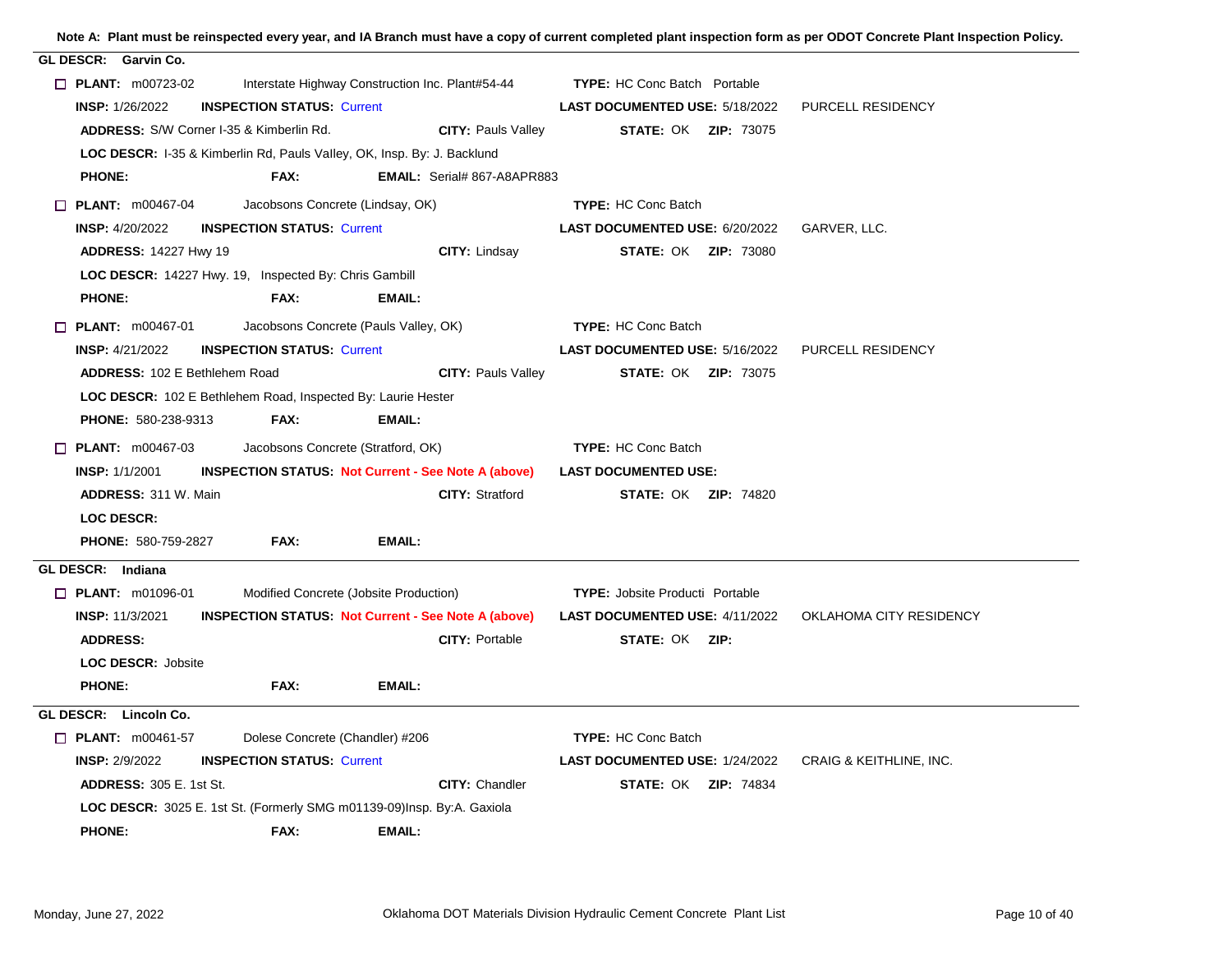| GL DESCR: Garvin Co.<br>$\Box$ PLANT: m00723-02<br>Interstate Highway Construction Inc. Plant#54-44<br><b>TYPE:</b> HC Conc Batch Portable<br><b>INSP: 1/26/2022</b><br><b>INSPECTION STATUS: Current</b><br>LAST DOCUMENTED USE: 5/18/2022<br>PURCELL RESIDENCY<br>ADDRESS: S/W Corner I-35 & Kimberlin Rd.<br><b>CITY: Pauls Valley</b><br><b>STATE: OK ZIP: 73075</b><br>LOC DESCR: I-35 & Kimberlin Rd, Pauls Valley, OK, Insp. By: J. Backlund<br>FAX:<br><b>PHONE:</b><br><b>EMAIL:</b> Serial# 867-A8APR883<br>$\Box$ PLANT: m00467-04<br>Jacobsons Concrete (Lindsay, OK)<br><b>TYPE: HC Conc Batch</b><br><b>INSP: 4/20/2022</b><br><b>INSPECTION STATUS: Current</b><br>GARVER, LLC.<br>LAST DOCUMENTED USE: 6/20/2022<br>CITY: Lindsay<br><b>STATE: OK ZIP: 73080</b><br><b>ADDRESS: 14227 Hwy 19</b><br>LOC DESCR: 14227 Hwy. 19, Inspected By: Chris Gambill<br><b>PHONE:</b><br>FAX:<br>EMAIL:<br>$\Box$ PLANT: m00467-01<br>Jacobsons Concrete (Pauls Valley, OK)<br><b>TYPE: HC Conc Batch</b><br><b>INSP: 4/21/2022</b><br><b>INSPECTION STATUS: Current</b><br>LAST DOCUMENTED USE: 5/16/2022<br><b>PURCELL RESIDENCY</b><br><b>ADDRESS: 102 E Bethlehem Road</b><br><b>CITY: Pauls Valley</b><br><b>STATE: OK ZIP: 73075</b><br>LOC DESCR: 102 E Bethlehem Road, Inspected By: Laurie Hester<br><b>PHONE: 580-238-9313</b><br>FAX:<br><b>EMAIL:</b><br>$\Box$ PLANT: m00467-03<br>Jacobsons Concrete (Stratford, OK)<br><b>TYPE: HC Conc Batch</b><br><b>INSPECTION STATUS: Not Current - See Note A (above)</b><br><b>LAST DOCUMENTED USE:</b><br><b>INSP: 1/1/2001</b><br><b>CITY: Stratford</b><br><b>ADDRESS: 311 W. Main</b><br><b>STATE: OK ZIP: 74820</b><br><b>LOC DESCR:</b><br><b>PHONE: 580-759-2827</b><br>FAX:<br>EMAIL:<br>GL DESCR: Indiana<br><b>T PLANT: m01096-01</b><br>Modified Concrete (Jobsite Production)<br><b>TYPE:</b> Jobsite Producti Portable<br><b>INSP: 11/3/2021</b><br><b>INSPECTION STATUS Not Current - See Note A (above)</b><br><b>LAST DOCUMENTED USE: 4/11/2022</b><br>OKLAHOMA CITY RESIDENCY<br><b>ADDRESS:</b><br><b>CITY: Portable</b><br><b>STATE: OK ZIP:</b><br><b>LOC DESCR: Jobsite</b><br><b>PHONE:</b><br>FAX:<br><b>EMAIL:</b><br>GL DESCR: Lincoln Co.<br>$\Box$ PLANT: m00461-57<br>Dolese Concrete (Chandler) #206<br><b>TYPE: HC Conc Batch</b><br><b>INSP: 2/9/2022</b><br><b>INSPECTION STATUS: Current</b><br>LAST DOCUMENTED USE: 1/24/2022<br><b>CRAIG &amp; KEITHLINE, INC.</b><br><b>ADDRESS: 305 E. 1st St.</b><br><b>CITY: Chandler</b><br><b>STATE: OK ZIP: 74834</b><br>LOC DESCR: 3025 E. 1st St. (Formerly SMG m01139-09)Insp. By:A. Gaxiola<br><b>PHONE:</b><br>FAX:<br><b>EMAIL:</b> |  |  |  |  |  |  |
|--------------------------------------------------------------------------------------------------------------------------------------------------------------------------------------------------------------------------------------------------------------------------------------------------------------------------------------------------------------------------------------------------------------------------------------------------------------------------------------------------------------------------------------------------------------------------------------------------------------------------------------------------------------------------------------------------------------------------------------------------------------------------------------------------------------------------------------------------------------------------------------------------------------------------------------------------------------------------------------------------------------------------------------------------------------------------------------------------------------------------------------------------------------------------------------------------------------------------------------------------------------------------------------------------------------------------------------------------------------------------------------------------------------------------------------------------------------------------------------------------------------------------------------------------------------------------------------------------------------------------------------------------------------------------------------------------------------------------------------------------------------------------------------------------------------------------------------------------------------------------------------------------------------------------------------------------------------------------------------------------------------------------------------------------------------------------------------------------------------------------------------------------------------------------------------------------------------------------------------------------------------------------------------------------------------------------------------------------------------------------------------------------------------------------------------------------------------------------------------------------------------------------------------------------------------------------------------------------------------------------------------------------------------------------------|--|--|--|--|--|--|
|                                                                                                                                                                                                                                                                                                                                                                                                                                                                                                                                                                                                                                                                                                                                                                                                                                                                                                                                                                                                                                                                                                                                                                                                                                                                                                                                                                                                                                                                                                                                                                                                                                                                                                                                                                                                                                                                                                                                                                                                                                                                                                                                                                                                                                                                                                                                                                                                                                                                                                                                                                                                                                                                                |  |  |  |  |  |  |
|                                                                                                                                                                                                                                                                                                                                                                                                                                                                                                                                                                                                                                                                                                                                                                                                                                                                                                                                                                                                                                                                                                                                                                                                                                                                                                                                                                                                                                                                                                                                                                                                                                                                                                                                                                                                                                                                                                                                                                                                                                                                                                                                                                                                                                                                                                                                                                                                                                                                                                                                                                                                                                                                                |  |  |  |  |  |  |
|                                                                                                                                                                                                                                                                                                                                                                                                                                                                                                                                                                                                                                                                                                                                                                                                                                                                                                                                                                                                                                                                                                                                                                                                                                                                                                                                                                                                                                                                                                                                                                                                                                                                                                                                                                                                                                                                                                                                                                                                                                                                                                                                                                                                                                                                                                                                                                                                                                                                                                                                                                                                                                                                                |  |  |  |  |  |  |
|                                                                                                                                                                                                                                                                                                                                                                                                                                                                                                                                                                                                                                                                                                                                                                                                                                                                                                                                                                                                                                                                                                                                                                                                                                                                                                                                                                                                                                                                                                                                                                                                                                                                                                                                                                                                                                                                                                                                                                                                                                                                                                                                                                                                                                                                                                                                                                                                                                                                                                                                                                                                                                                                                |  |  |  |  |  |  |
|                                                                                                                                                                                                                                                                                                                                                                                                                                                                                                                                                                                                                                                                                                                                                                                                                                                                                                                                                                                                                                                                                                                                                                                                                                                                                                                                                                                                                                                                                                                                                                                                                                                                                                                                                                                                                                                                                                                                                                                                                                                                                                                                                                                                                                                                                                                                                                                                                                                                                                                                                                                                                                                                                |  |  |  |  |  |  |
|                                                                                                                                                                                                                                                                                                                                                                                                                                                                                                                                                                                                                                                                                                                                                                                                                                                                                                                                                                                                                                                                                                                                                                                                                                                                                                                                                                                                                                                                                                                                                                                                                                                                                                                                                                                                                                                                                                                                                                                                                                                                                                                                                                                                                                                                                                                                                                                                                                                                                                                                                                                                                                                                                |  |  |  |  |  |  |
|                                                                                                                                                                                                                                                                                                                                                                                                                                                                                                                                                                                                                                                                                                                                                                                                                                                                                                                                                                                                                                                                                                                                                                                                                                                                                                                                                                                                                                                                                                                                                                                                                                                                                                                                                                                                                                                                                                                                                                                                                                                                                                                                                                                                                                                                                                                                                                                                                                                                                                                                                                                                                                                                                |  |  |  |  |  |  |
|                                                                                                                                                                                                                                                                                                                                                                                                                                                                                                                                                                                                                                                                                                                                                                                                                                                                                                                                                                                                                                                                                                                                                                                                                                                                                                                                                                                                                                                                                                                                                                                                                                                                                                                                                                                                                                                                                                                                                                                                                                                                                                                                                                                                                                                                                                                                                                                                                                                                                                                                                                                                                                                                                |  |  |  |  |  |  |
|                                                                                                                                                                                                                                                                                                                                                                                                                                                                                                                                                                                                                                                                                                                                                                                                                                                                                                                                                                                                                                                                                                                                                                                                                                                                                                                                                                                                                                                                                                                                                                                                                                                                                                                                                                                                                                                                                                                                                                                                                                                                                                                                                                                                                                                                                                                                                                                                                                                                                                                                                                                                                                                                                |  |  |  |  |  |  |
|                                                                                                                                                                                                                                                                                                                                                                                                                                                                                                                                                                                                                                                                                                                                                                                                                                                                                                                                                                                                                                                                                                                                                                                                                                                                                                                                                                                                                                                                                                                                                                                                                                                                                                                                                                                                                                                                                                                                                                                                                                                                                                                                                                                                                                                                                                                                                                                                                                                                                                                                                                                                                                                                                |  |  |  |  |  |  |
|                                                                                                                                                                                                                                                                                                                                                                                                                                                                                                                                                                                                                                                                                                                                                                                                                                                                                                                                                                                                                                                                                                                                                                                                                                                                                                                                                                                                                                                                                                                                                                                                                                                                                                                                                                                                                                                                                                                                                                                                                                                                                                                                                                                                                                                                                                                                                                                                                                                                                                                                                                                                                                                                                |  |  |  |  |  |  |
|                                                                                                                                                                                                                                                                                                                                                                                                                                                                                                                                                                                                                                                                                                                                                                                                                                                                                                                                                                                                                                                                                                                                                                                                                                                                                                                                                                                                                                                                                                                                                                                                                                                                                                                                                                                                                                                                                                                                                                                                                                                                                                                                                                                                                                                                                                                                                                                                                                                                                                                                                                                                                                                                                |  |  |  |  |  |  |
|                                                                                                                                                                                                                                                                                                                                                                                                                                                                                                                                                                                                                                                                                                                                                                                                                                                                                                                                                                                                                                                                                                                                                                                                                                                                                                                                                                                                                                                                                                                                                                                                                                                                                                                                                                                                                                                                                                                                                                                                                                                                                                                                                                                                                                                                                                                                                                                                                                                                                                                                                                                                                                                                                |  |  |  |  |  |  |
|                                                                                                                                                                                                                                                                                                                                                                                                                                                                                                                                                                                                                                                                                                                                                                                                                                                                                                                                                                                                                                                                                                                                                                                                                                                                                                                                                                                                                                                                                                                                                                                                                                                                                                                                                                                                                                                                                                                                                                                                                                                                                                                                                                                                                                                                                                                                                                                                                                                                                                                                                                                                                                                                                |  |  |  |  |  |  |
|                                                                                                                                                                                                                                                                                                                                                                                                                                                                                                                                                                                                                                                                                                                                                                                                                                                                                                                                                                                                                                                                                                                                                                                                                                                                                                                                                                                                                                                                                                                                                                                                                                                                                                                                                                                                                                                                                                                                                                                                                                                                                                                                                                                                                                                                                                                                                                                                                                                                                                                                                                                                                                                                                |  |  |  |  |  |  |
|                                                                                                                                                                                                                                                                                                                                                                                                                                                                                                                                                                                                                                                                                                                                                                                                                                                                                                                                                                                                                                                                                                                                                                                                                                                                                                                                                                                                                                                                                                                                                                                                                                                                                                                                                                                                                                                                                                                                                                                                                                                                                                                                                                                                                                                                                                                                                                                                                                                                                                                                                                                                                                                                                |  |  |  |  |  |  |
|                                                                                                                                                                                                                                                                                                                                                                                                                                                                                                                                                                                                                                                                                                                                                                                                                                                                                                                                                                                                                                                                                                                                                                                                                                                                                                                                                                                                                                                                                                                                                                                                                                                                                                                                                                                                                                                                                                                                                                                                                                                                                                                                                                                                                                                                                                                                                                                                                                                                                                                                                                                                                                                                                |  |  |  |  |  |  |
|                                                                                                                                                                                                                                                                                                                                                                                                                                                                                                                                                                                                                                                                                                                                                                                                                                                                                                                                                                                                                                                                                                                                                                                                                                                                                                                                                                                                                                                                                                                                                                                                                                                                                                                                                                                                                                                                                                                                                                                                                                                                                                                                                                                                                                                                                                                                                                                                                                                                                                                                                                                                                                                                                |  |  |  |  |  |  |
|                                                                                                                                                                                                                                                                                                                                                                                                                                                                                                                                                                                                                                                                                                                                                                                                                                                                                                                                                                                                                                                                                                                                                                                                                                                                                                                                                                                                                                                                                                                                                                                                                                                                                                                                                                                                                                                                                                                                                                                                                                                                                                                                                                                                                                                                                                                                                                                                                                                                                                                                                                                                                                                                                |  |  |  |  |  |  |
|                                                                                                                                                                                                                                                                                                                                                                                                                                                                                                                                                                                                                                                                                                                                                                                                                                                                                                                                                                                                                                                                                                                                                                                                                                                                                                                                                                                                                                                                                                                                                                                                                                                                                                                                                                                                                                                                                                                                                                                                                                                                                                                                                                                                                                                                                                                                                                                                                                                                                                                                                                                                                                                                                |  |  |  |  |  |  |
|                                                                                                                                                                                                                                                                                                                                                                                                                                                                                                                                                                                                                                                                                                                                                                                                                                                                                                                                                                                                                                                                                                                                                                                                                                                                                                                                                                                                                                                                                                                                                                                                                                                                                                                                                                                                                                                                                                                                                                                                                                                                                                                                                                                                                                                                                                                                                                                                                                                                                                                                                                                                                                                                                |  |  |  |  |  |  |
|                                                                                                                                                                                                                                                                                                                                                                                                                                                                                                                                                                                                                                                                                                                                                                                                                                                                                                                                                                                                                                                                                                                                                                                                                                                                                                                                                                                                                                                                                                                                                                                                                                                                                                                                                                                                                                                                                                                                                                                                                                                                                                                                                                                                                                                                                                                                                                                                                                                                                                                                                                                                                                                                                |  |  |  |  |  |  |
|                                                                                                                                                                                                                                                                                                                                                                                                                                                                                                                                                                                                                                                                                                                                                                                                                                                                                                                                                                                                                                                                                                                                                                                                                                                                                                                                                                                                                                                                                                                                                                                                                                                                                                                                                                                                                                                                                                                                                                                                                                                                                                                                                                                                                                                                                                                                                                                                                                                                                                                                                                                                                                                                                |  |  |  |  |  |  |
|                                                                                                                                                                                                                                                                                                                                                                                                                                                                                                                                                                                                                                                                                                                                                                                                                                                                                                                                                                                                                                                                                                                                                                                                                                                                                                                                                                                                                                                                                                                                                                                                                                                                                                                                                                                                                                                                                                                                                                                                                                                                                                                                                                                                                                                                                                                                                                                                                                                                                                                                                                                                                                                                                |  |  |  |  |  |  |
|                                                                                                                                                                                                                                                                                                                                                                                                                                                                                                                                                                                                                                                                                                                                                                                                                                                                                                                                                                                                                                                                                                                                                                                                                                                                                                                                                                                                                                                                                                                                                                                                                                                                                                                                                                                                                                                                                                                                                                                                                                                                                                                                                                                                                                                                                                                                                                                                                                                                                                                                                                                                                                                                                |  |  |  |  |  |  |
|                                                                                                                                                                                                                                                                                                                                                                                                                                                                                                                                                                                                                                                                                                                                                                                                                                                                                                                                                                                                                                                                                                                                                                                                                                                                                                                                                                                                                                                                                                                                                                                                                                                                                                                                                                                                                                                                                                                                                                                                                                                                                                                                                                                                                                                                                                                                                                                                                                                                                                                                                                                                                                                                                |  |  |  |  |  |  |
|                                                                                                                                                                                                                                                                                                                                                                                                                                                                                                                                                                                                                                                                                                                                                                                                                                                                                                                                                                                                                                                                                                                                                                                                                                                                                                                                                                                                                                                                                                                                                                                                                                                                                                                                                                                                                                                                                                                                                                                                                                                                                                                                                                                                                                                                                                                                                                                                                                                                                                                                                                                                                                                                                |  |  |  |  |  |  |
|                                                                                                                                                                                                                                                                                                                                                                                                                                                                                                                                                                                                                                                                                                                                                                                                                                                                                                                                                                                                                                                                                                                                                                                                                                                                                                                                                                                                                                                                                                                                                                                                                                                                                                                                                                                                                                                                                                                                                                                                                                                                                                                                                                                                                                                                                                                                                                                                                                                                                                                                                                                                                                                                                |  |  |  |  |  |  |
|                                                                                                                                                                                                                                                                                                                                                                                                                                                                                                                                                                                                                                                                                                                                                                                                                                                                                                                                                                                                                                                                                                                                                                                                                                                                                                                                                                                                                                                                                                                                                                                                                                                                                                                                                                                                                                                                                                                                                                                                                                                                                                                                                                                                                                                                                                                                                                                                                                                                                                                                                                                                                                                                                |  |  |  |  |  |  |
|                                                                                                                                                                                                                                                                                                                                                                                                                                                                                                                                                                                                                                                                                                                                                                                                                                                                                                                                                                                                                                                                                                                                                                                                                                                                                                                                                                                                                                                                                                                                                                                                                                                                                                                                                                                                                                                                                                                                                                                                                                                                                                                                                                                                                                                                                                                                                                                                                                                                                                                                                                                                                                                                                |  |  |  |  |  |  |
|                                                                                                                                                                                                                                                                                                                                                                                                                                                                                                                                                                                                                                                                                                                                                                                                                                                                                                                                                                                                                                                                                                                                                                                                                                                                                                                                                                                                                                                                                                                                                                                                                                                                                                                                                                                                                                                                                                                                                                                                                                                                                                                                                                                                                                                                                                                                                                                                                                                                                                                                                                                                                                                                                |  |  |  |  |  |  |
|                                                                                                                                                                                                                                                                                                                                                                                                                                                                                                                                                                                                                                                                                                                                                                                                                                                                                                                                                                                                                                                                                                                                                                                                                                                                                                                                                                                                                                                                                                                                                                                                                                                                                                                                                                                                                                                                                                                                                                                                                                                                                                                                                                                                                                                                                                                                                                                                                                                                                                                                                                                                                                                                                |  |  |  |  |  |  |
|                                                                                                                                                                                                                                                                                                                                                                                                                                                                                                                                                                                                                                                                                                                                                                                                                                                                                                                                                                                                                                                                                                                                                                                                                                                                                                                                                                                                                                                                                                                                                                                                                                                                                                                                                                                                                                                                                                                                                                                                                                                                                                                                                                                                                                                                                                                                                                                                                                                                                                                                                                                                                                                                                |  |  |  |  |  |  |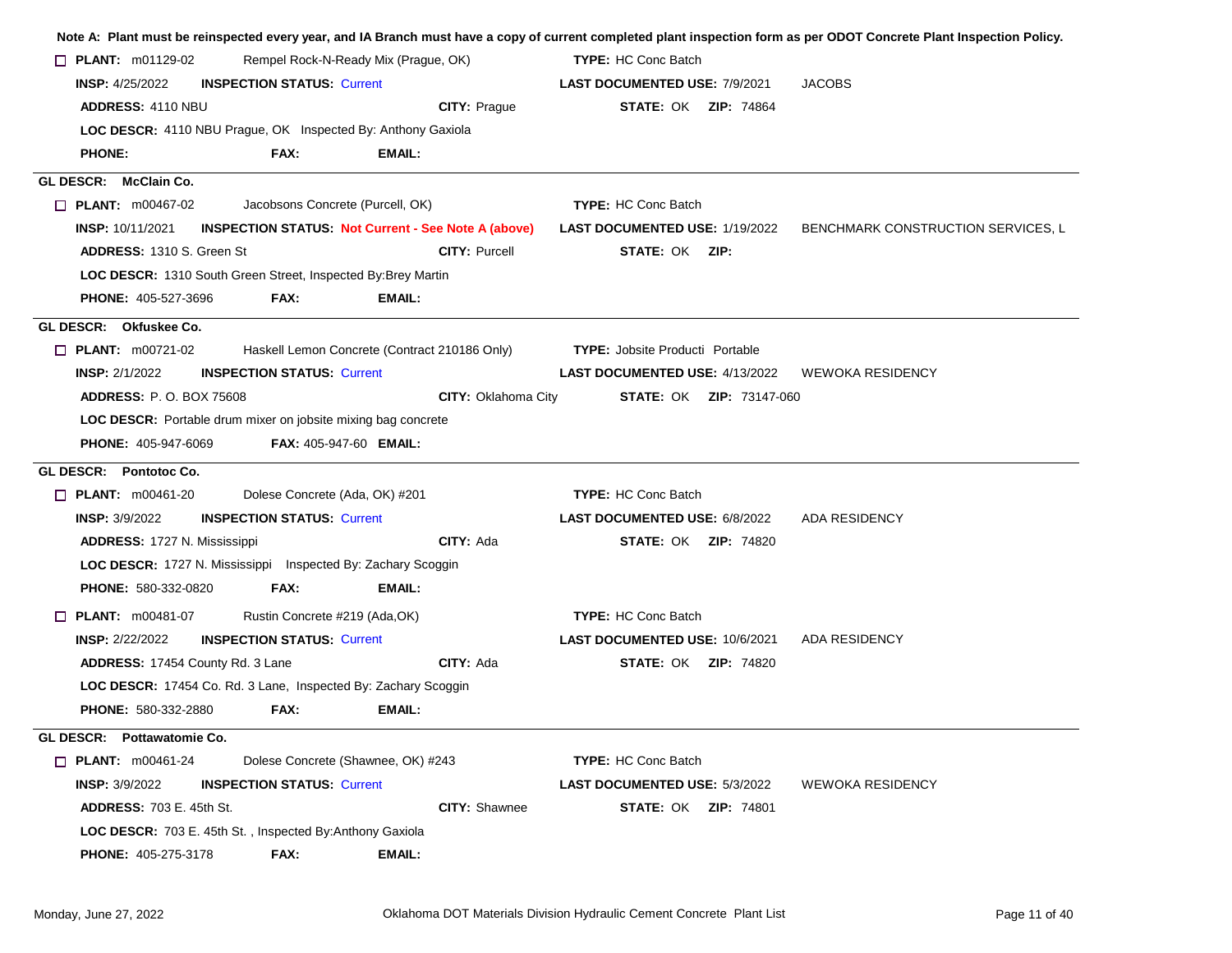|                                                                      |                                   |                                                            |                                        |                                 | Note A: Plant must be reinspected every year, and IA Branch must have a copy of current completed plant inspection form as per ODOT Concrete Plant Inspection Policy. |
|----------------------------------------------------------------------|-----------------------------------|------------------------------------------------------------|----------------------------------------|---------------------------------|-----------------------------------------------------------------------------------------------------------------------------------------------------------------------|
| $\Box$ PLANT: m01129-02                                              |                                   | Rempel Rock-N-Ready Mix (Prague, OK)                       | <b>TYPE:</b> HC Conc Batch             |                                 |                                                                                                                                                                       |
| <b>INSP: 4/25/2022</b>                                               | <b>INSPECTION STATUS: Current</b> |                                                            | <b>LAST DOCUMENTED USE: 7/9/2021</b>   |                                 | <b>JACOBS</b>                                                                                                                                                         |
| ADDRESS: 4110 NBU                                                    |                                   | CITY: Prague                                               |                                        | <b>STATE: OK ZIP: 74864</b>     |                                                                                                                                                                       |
| LOC DESCR: 4110 NBU Prague, OK Inspected By: Anthony Gaxiola         |                                   |                                                            |                                        |                                 |                                                                                                                                                                       |
| <b>PHONE:</b>                                                        | FAX:                              | EMAIL:                                                     |                                        |                                 |                                                                                                                                                                       |
| GL DESCR: McClain Co.                                                |                                   |                                                            |                                        |                                 |                                                                                                                                                                       |
| $\Box$ PLANT: $m00467-02$                                            | Jacobsons Concrete (Purcell, OK)  |                                                            | <b>TYPE: HC Conc Batch</b>             |                                 |                                                                                                                                                                       |
| <b>INSP: 10/11/2021</b>                                              |                                   | <b>INSPECTION STATUS: Not Current - See Note A (above)</b> | <b>LAST DOCUMENTED USE: 1/19/2022</b>  |                                 | BENCHMARK CONSTRUCTION SERVICES, L                                                                                                                                    |
| <b>ADDRESS: 1310 S. Green St.</b>                                    |                                   | <b>CITY: Purcell</b>                                       | <b>STATE: OK ZIP:</b>                  |                                 |                                                                                                                                                                       |
| LOC DESCR: 1310 South Green Street, Inspected By: Brey Martin        |                                   |                                                            |                                        |                                 |                                                                                                                                                                       |
| PHONE: 405-527-3696                                                  | FAX:                              | EMAIL:                                                     |                                        |                                 |                                                                                                                                                                       |
| GL DESCR: Okfuskee Co.                                               |                                   |                                                            |                                        |                                 |                                                                                                                                                                       |
| $\Box$ PLANT: m00721-02                                              |                                   | Haskell Lemon Concrete (Contract 210186 Only)              | <b>TYPE: Jobsite Producti Portable</b> |                                 |                                                                                                                                                                       |
| <b>INSP: 2/1/2022</b>                                                | <b>INSPECTION STATUS: Current</b> |                                                            | <b>LAST DOCUMENTED USE: 4/13/2022</b>  |                                 | <b>WEWOKA RESIDENCY</b>                                                                                                                                               |
| <b>ADDRESS: P.O. BOX 75608</b>                                       |                                   |                                                            | <b>CITY: Oklahoma City</b>             | <b>STATE: OK ZIP: 73147-060</b> |                                                                                                                                                                       |
| <b>LOC DESCR:</b> Portable drum mixer on jobsite mixing bag concrete |                                   |                                                            |                                        |                                 |                                                                                                                                                                       |
| PHONE: 405-947-6069                                                  |                                   | <b>FAX: 405-947-60 EMAIL:</b>                              |                                        |                                 |                                                                                                                                                                       |
| GL DESCR: Pontotoc Co.                                               |                                   |                                                            |                                        |                                 |                                                                                                                                                                       |
| $\Box$ PLANT: m00461-20                                              | Dolese Concrete (Ada, OK) #201    |                                                            | <b>TYPE: HC Conc Batch</b>             |                                 |                                                                                                                                                                       |
| <b>INSP: 3/9/2022</b>                                                | <b>INSPECTION STATUS: Current</b> |                                                            | <b>LAST DOCUMENTED USE: 6/8/2022</b>   |                                 | <b>ADA RESIDENCY</b>                                                                                                                                                  |
| <b>ADDRESS: 1727 N. Mississippi</b>                                  |                                   | CITY: Ada                                                  |                                        | <b>STATE: OK ZIP: 74820</b>     |                                                                                                                                                                       |
| LOC DESCR: 1727 N. Mississippi Inspected By: Zachary Scoggin         |                                   |                                                            |                                        |                                 |                                                                                                                                                                       |
| PHONE: 580-332-0820                                                  | FAX:                              | EMAIL:                                                     |                                        |                                 |                                                                                                                                                                       |
| $\Box$ PLANT: m00481-07                                              | Rustin Concrete #219 (Ada, OK)    |                                                            | <b>TYPE: HC Conc Batch</b>             |                                 |                                                                                                                                                                       |
| <b>INSP: 2/22/2022</b>                                               | <b>INSPECTION STATUS: Current</b> |                                                            | <b>LAST DOCUMENTED USE: 10/6/2021</b>  |                                 | ADA RESIDENCY                                                                                                                                                         |
| ADDRESS: 17454 County Rd. 3 Lane                                     |                                   | CITY: Ada                                                  |                                        | <b>STATE: OK ZIP: 74820</b>     |                                                                                                                                                                       |
| LOC DESCR: 17454 Co. Rd. 3 Lane, Inspected By: Zachary Scoggin       |                                   |                                                            |                                        |                                 |                                                                                                                                                                       |
| <b>PHONE: 580-332-2880</b>                                           | FAX:                              | EMAIL:                                                     |                                        |                                 |                                                                                                                                                                       |
|                                                                      |                                   |                                                            |                                        |                                 |                                                                                                                                                                       |
| GL DESCR: Pottawatomie Co.                                           |                                   |                                                            |                                        |                                 |                                                                                                                                                                       |
| $\Box$ PLANT: m00461-24                                              |                                   | Dolese Concrete (Shawnee, OK) #243                         | <b>TYPE: HC Conc Batch</b>             |                                 |                                                                                                                                                                       |
| <b>INSP: 3/9/2022</b>                                                | <b>INSPECTION STATUS: Current</b> |                                                            | LAST DOCUMENTED USE: 5/3/2022          |                                 | <b>WEWOKA RESIDENCY</b>                                                                                                                                               |
| <b>ADDRESS: 703 E. 45th St.</b>                                      |                                   | <b>CITY: Shawnee</b>                                       |                                        | <b>STATE: OK ZIP: 74801</b>     |                                                                                                                                                                       |
| <b>LOC DESCR:</b> 703 E. 45th St., Inspected By: Anthony Gaxiola     |                                   |                                                            |                                        |                                 |                                                                                                                                                                       |
| <b>PHONE: 405-275-3178</b>                                           | FAX:                              | <b>EMAIL:</b>                                              |                                        |                                 |                                                                                                                                                                       |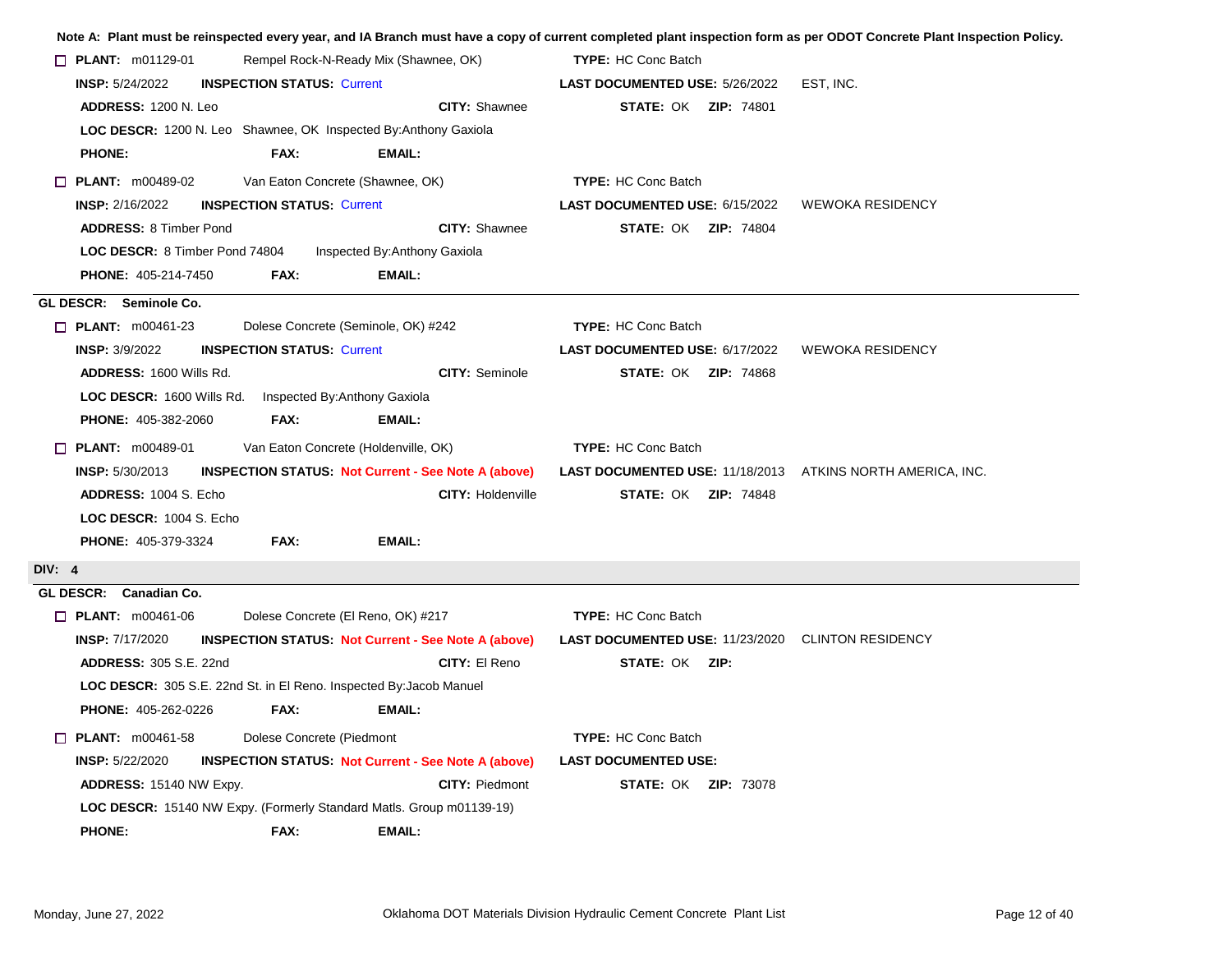|                                                                     |                                    |                                                                      |                                                                   | Note A: Plant must be reinspected every year, and IA Branch must have a copy of current completed plant inspection form as per ODOT Concrete Plant Inspection Policy. |
|---------------------------------------------------------------------|------------------------------------|----------------------------------------------------------------------|-------------------------------------------------------------------|-----------------------------------------------------------------------------------------------------------------------------------------------------------------------|
| $\Box$ PLANT: m01129-01                                             |                                    | Rempel Rock-N-Ready Mix (Shawnee, OK)                                | <b>TYPE: HC Conc Batch</b>                                        |                                                                                                                                                                       |
| <b>INSP: 5/24/2022</b>                                              | <b>INSPECTION STATUS: Current</b>  |                                                                      | LAST DOCUMENTED USE: 5/26/2022                                    | EST, INC.                                                                                                                                                             |
| ADDRESS: 1200 N. Leo                                                |                                    | <b>CITY: Shawnee</b>                                                 | <b>STATE: OK ZIP: 74801</b>                                       |                                                                                                                                                                       |
|                                                                     |                                    | LOC DESCR: 1200 N. Leo Shawnee, OK Inspected By: Anthony Gaxiola     |                                                                   |                                                                                                                                                                       |
| <b>PHONE:</b>                                                       | FAX:                               | EMAIL:                                                               |                                                                   |                                                                                                                                                                       |
| $\Box$ PLANT: m00489-02                                             | Van Eaton Concrete (Shawnee, OK)   |                                                                      | <b>TYPE: HC Conc Batch</b>                                        |                                                                                                                                                                       |
| <b>INSP: 2/16/2022</b>                                              | <b>INSPECTION STATUS: Current</b>  |                                                                      | LAST DOCUMENTED USE: 6/15/2022                                    | <b>WEWOKA RESIDENCY</b>                                                                                                                                               |
| <b>ADDRESS: 8 Timber Pond</b>                                       |                                    | <b>CITY: Shawnee</b>                                                 | <b>STATE: OK ZIP: 74804</b>                                       |                                                                                                                                                                       |
| LOC DESCR: 8 Timber Pond 74804                                      |                                    | Inspected By: Anthony Gaxiola                                        |                                                                   |                                                                                                                                                                       |
| PHONE: 405-214-7450                                                 | FAX:                               | <b>EMAIL:</b>                                                        |                                                                   |                                                                                                                                                                       |
| GL DESCR: Seminole Co.                                              |                                    |                                                                      |                                                                   |                                                                                                                                                                       |
| $\Box$ PLANT: m00461-23                                             |                                    | Dolese Concrete (Seminole, OK) #242                                  | <b>TYPE: HC Conc Batch</b>                                        |                                                                                                                                                                       |
| <b>INSP: 3/9/2022</b>                                               | <b>INSPECTION STATUS: Current</b>  |                                                                      | LAST DOCUMENTED USE: 6/17/2022                                    | <b>WEWOKA RESIDENCY</b>                                                                                                                                               |
| ADDRESS: 1600 Wills Rd.                                             |                                    | <b>CITY: Seminole</b>                                                | <b>STATE: OK ZIP: 74868</b>                                       |                                                                                                                                                                       |
| LOC DESCR: 1600 Wills Rd.                                           | Inspected By: Anthony Gaxiola      |                                                                      |                                                                   |                                                                                                                                                                       |
| <b>PHONE: 405-382-2060</b>                                          | FAX:                               | <b>EMAIL:</b>                                                        |                                                                   |                                                                                                                                                                       |
| $\Box$ PLANT: m00489-01                                             |                                    | Van Eaton Concrete (Holdenville, OK)                                 | <b>TYPE: HC Conc Batch</b>                                        |                                                                                                                                                                       |
| <b>INSP: 5/30/2013</b>                                              |                                    | <b>INSPECTION STATUS: Not Current - See Note A (above)</b>           | <b>LAST DOCUMENTED USE: 11/18/2013 ATKINS NORTH AMERICA, INC.</b> |                                                                                                                                                                       |
| ADDRESS: 1004 S. Echo                                               |                                    | <b>CITY: Holdenville</b>                                             | <b>STATE: OK ZIP: 74848</b>                                       |                                                                                                                                                                       |
| LOC DESCR: 1004 S. Echo                                             |                                    |                                                                      |                                                                   |                                                                                                                                                                       |
| <b>PHONE: 405-379-3324</b>                                          | <b>FAX:</b>                        | EMAIL:                                                               |                                                                   |                                                                                                                                                                       |
| <b>DIV: 4</b>                                                       |                                    |                                                                      |                                                                   |                                                                                                                                                                       |
| GL DESCR: Canadian Co.                                              |                                    |                                                                      |                                                                   |                                                                                                                                                                       |
| $\Box$ PLANT: m00461-06                                             | Dolese Concrete (El Reno, OK) #217 |                                                                      | <b>TYPE: HC Conc Batch</b>                                        |                                                                                                                                                                       |
| <b>INSP: 7/17/2020</b>                                              |                                    | <b>INSPECTION STATUS: Not Current - See Note A (above)</b>           | <b>LAST DOCUMENTED USE: 11/23/2020 CLINTON RESIDENCY</b>          |                                                                                                                                                                       |
| <b>ADDRESS: 305 S.E. 22nd</b>                                       |                                    | CITY: El Reno                                                        | <b>STATE: OK ZIP:</b>                                             |                                                                                                                                                                       |
| LOC DESCR: 305 S.E. 22nd St. in El Reno. Inspected By: Jacob Manuel |                                    |                                                                      |                                                                   |                                                                                                                                                                       |
| <b>PHONE: 405-262-0226</b>                                          | FAX:                               | <b>EMAIL:</b>                                                        |                                                                   |                                                                                                                                                                       |
| <b><math>\Box</math> PLANT:</b> m00461-58                           | Dolese Concrete (Piedmont          |                                                                      | <b>TYPE: HC Conc Batch</b>                                        |                                                                                                                                                                       |
| <b>INSP: 5/22/2020</b>                                              |                                    | <b>INSPECTION STATUS: Not Current - See Note A (above)</b>           | <b>LAST DOCUMENTED USE:</b>                                       |                                                                                                                                                                       |
| ADDRESS: 15140 NW Expy.                                             |                                    | <b>CITY: Piedmont</b>                                                | <b>STATE: OK ZIP: 73078</b>                                       |                                                                                                                                                                       |
|                                                                     |                                    | LOC DESCR: 15140 NW Expy. (Formerly Standard Matls. Group m01139-19) |                                                                   |                                                                                                                                                                       |
| <b>PHONE:</b>                                                       | FAX:                               | EMAIL:                                                               |                                                                   |                                                                                                                                                                       |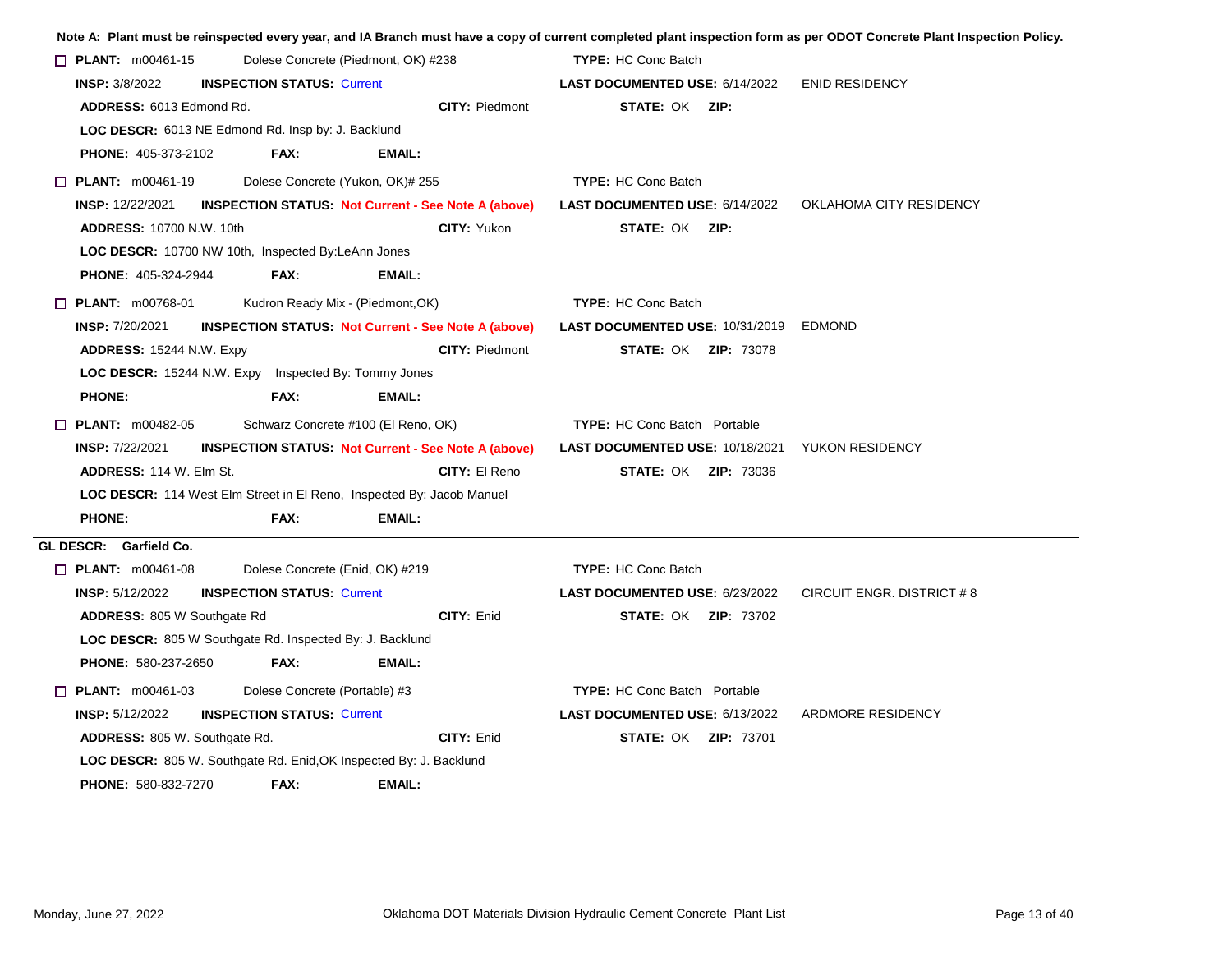|                                                                       |                                                            |               |                                                            |                                     |                             | Note A: Plant must be reinspected every year, and IA Branch must have a copy of current completed plant inspection form as per ODOT Concrete Plant Inspection Policy. |
|-----------------------------------------------------------------------|------------------------------------------------------------|---------------|------------------------------------------------------------|-------------------------------------|-----------------------------|-----------------------------------------------------------------------------------------------------------------------------------------------------------------------|
| $\Box$ PLANT: $m00461-15$                                             | Dolese Concrete (Piedmont, OK) #238                        |               |                                                            | <b>TYPE: HC Conc Batch</b>          |                             |                                                                                                                                                                       |
| <b>INSP: 3/8/2022</b>                                                 | <b>INSPECTION STATUS: Current</b>                          |               |                                                            | LAST DOCUMENTED USE: 6/14/2022      |                             | <b>ENID RESIDENCY</b>                                                                                                                                                 |
| ADDRESS: 6013 Edmond Rd.                                              |                                                            |               | <b>CITY: Piedmont</b>                                      | <b>STATE: OK ZIP:</b>               |                             |                                                                                                                                                                       |
| LOC DESCR: 6013 NE Edmond Rd. Insp by: J. Backlund                    |                                                            |               |                                                            |                                     |                             |                                                                                                                                                                       |
| <b>PHONE: 405-373-2102</b>                                            | FAX:                                                       | EMAIL:        |                                                            |                                     |                             |                                                                                                                                                                       |
| $\Box$ PLANT: m00461-19                                               | Dolese Concrete (Yukon, OK)# 255                           |               |                                                            | <b>TYPE: HC Conc Batch</b>          |                             |                                                                                                                                                                       |
| <b>INSP: 12/22/2021</b>                                               |                                                            |               | <b>INSPECTION STATUS: Not Current - See Note A (above)</b> | LAST DOCUMENTED USE: 6/14/2022      |                             | OKLAHOMA CITY RESIDENCY                                                                                                                                               |
| <b>ADDRESS: 10700 N.W. 10th</b>                                       |                                                            |               | <b>CITY: Yukon</b>                                         | <b>STATE: OK ZIP:</b>               |                             |                                                                                                                                                                       |
| LOC DESCR: 10700 NW 10th, Inspected By:LeAnn Jones                    |                                                            |               |                                                            |                                     |                             |                                                                                                                                                                       |
| <b>PHONE: 405-324-2944</b>                                            | FAX:                                                       | EMAIL:        |                                                            |                                     |                             |                                                                                                                                                                       |
| $\Box$ PLANT: $m00768-01$                                             | Kudron Ready Mix - (Piedmont, OK)                          |               |                                                            | <b>TYPE: HC Conc Batch</b>          |                             |                                                                                                                                                                       |
| <b>INSP: 7/20/2021</b>                                                |                                                            |               | <b>INSPECTION STATUS: Not Current - See Note A (above)</b> | LAST DOCUMENTED USE: 10/31/2019     |                             | <b>EDMOND</b>                                                                                                                                                         |
| <b>ADDRESS: 15244 N.W. Expy</b>                                       |                                                            |               | <b>CITY: Piedmont</b>                                      |                                     | <b>STATE: OK ZIP: 73078</b> |                                                                                                                                                                       |
| <b>LOC DESCR:</b> 15244 N.W. Expy Inspected By: Tommy Jones           |                                                            |               |                                                            |                                     |                             |                                                                                                                                                                       |
| <b>PHONE:</b>                                                         | FAX:                                                       | <b>EMAIL:</b> |                                                            |                                     |                             |                                                                                                                                                                       |
| $\Box$ PLANT: m00482-05                                               | Schwarz Concrete #100 (El Reno, OK)                        |               |                                                            | <b>TYPE:</b> HC Conc Batch Portable |                             |                                                                                                                                                                       |
| <b>INSP: 7/22/2021</b>                                                | <b>INSPECTION STATUS. Not Current - See Note A (above)</b> |               |                                                            | LAST DOCUMENTED USE: 10/18/2021     |                             | YUKON RESIDENCY                                                                                                                                                       |
| <b>ADDRESS: 114 W. Elm St.</b>                                        |                                                            |               | CITY: El Reno                                              |                                     | <b>STATE: OK ZIP: 73036</b> |                                                                                                                                                                       |
| LOC DESCR: 114 West Elm Street in El Reno, Inspected By: Jacob Manuel |                                                            |               |                                                            |                                     |                             |                                                                                                                                                                       |
| <b>PHONE:</b>                                                         | FAX:                                                       | <b>EMAIL:</b> |                                                            |                                     |                             |                                                                                                                                                                       |
| GL DESCR: Garfield Co.                                                |                                                            |               |                                                            |                                     |                             |                                                                                                                                                                       |
| $\Box$ PLANT: $m00461-08$                                             | Dolese Concrete (Enid, OK) #219                            |               |                                                            | <b>TYPE:</b> HC Conc Batch          |                             |                                                                                                                                                                       |
| <b>INSP: 5/12/2022</b>                                                | <b>INSPECTION STATUS: Current</b>                          |               |                                                            | LAST DOCUMENTED USE: 6/23/2022      |                             | CIRCUIT ENGR. DISTRICT #8                                                                                                                                             |
| <b>ADDRESS: 805 W Southgate Rd</b>                                    |                                                            |               | CITY: Enid                                                 |                                     | <b>STATE: OK ZIP: 73702</b> |                                                                                                                                                                       |
| LOC DESCR: 805 W Southgate Rd. Inspected By: J. Backlund              |                                                            |               |                                                            |                                     |                             |                                                                                                                                                                       |
| <b>PHONE: 580-237-2650</b>                                            | FAX:                                                       | <b>EMAIL:</b> |                                                            |                                     |                             |                                                                                                                                                                       |
| $\Box$ PLANT: $m00461-03$                                             | Dolese Concrete (Portable) #3                              |               |                                                            | <b>TYPE: HC Conc Batch Portable</b> |                             |                                                                                                                                                                       |
| <b>INSP: 5/12/2022</b>                                                | <b>INSPECTION STATUS: Current</b>                          |               |                                                            | LAST DOCUMENTED USE: 6/13/2022      |                             | ARDMORE RESIDENCY                                                                                                                                                     |
| ADDRESS: 805 W. Southgate Rd.                                         |                                                            |               | CITY: Enid                                                 |                                     | <b>STATE: OK ZIP: 73701</b> |                                                                                                                                                                       |
| LOC DESCR: 805 W. Southgate Rd. Enid, OK Inspected By: J. Backlund    |                                                            |               |                                                            |                                     |                             |                                                                                                                                                                       |
| <b>PHONE: 580-832-7270</b>                                            | FAX:                                                       | EMAIL:        |                                                            |                                     |                             |                                                                                                                                                                       |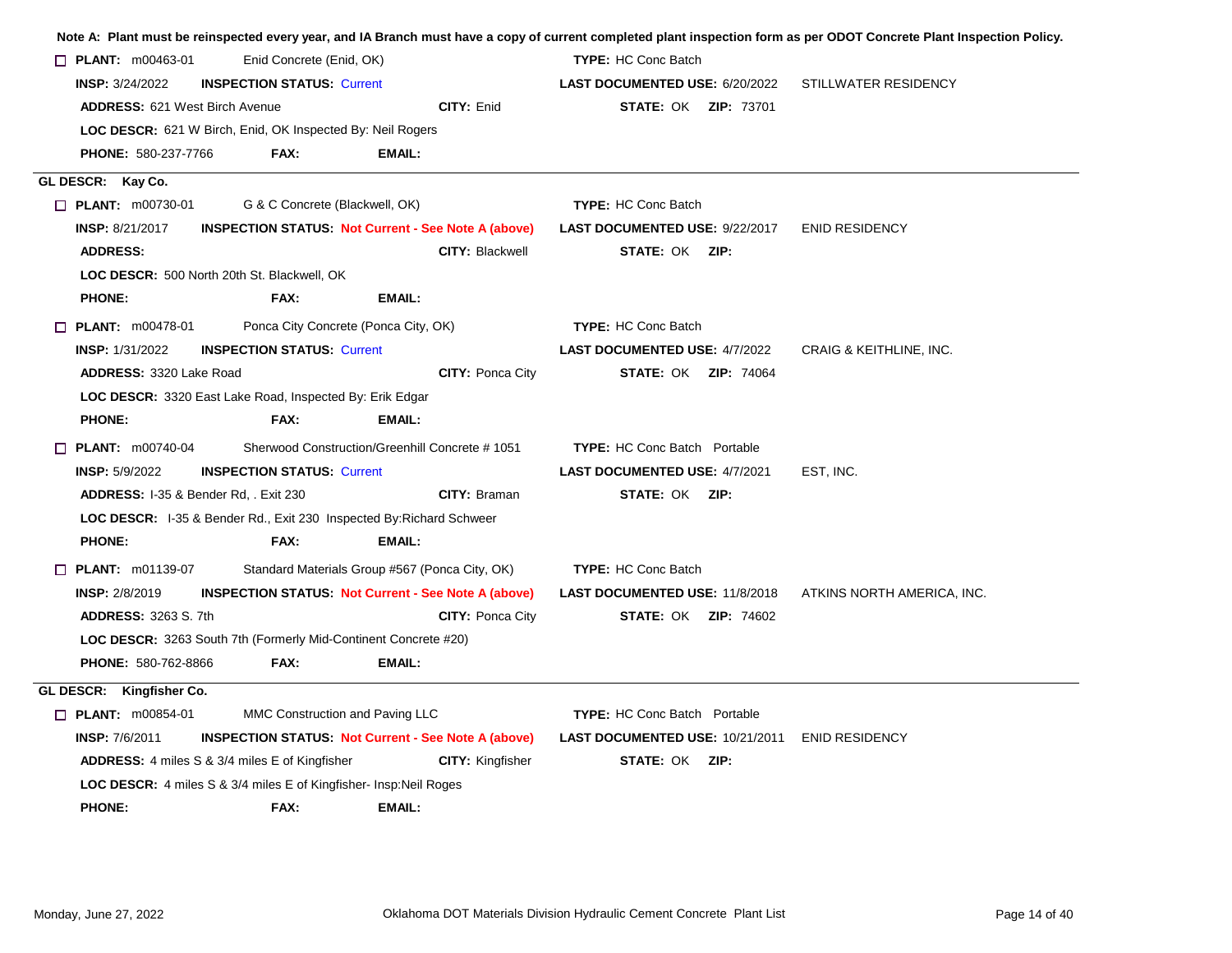|                                                  |                                                                        |                                                                      |                                                | Note A: Plant must be reinspected every year, and IA Branch must have a copy of current completed plant inspection form as per ODOT Concrete Plant Inspection Policy. |
|--------------------------------------------------|------------------------------------------------------------------------|----------------------------------------------------------------------|------------------------------------------------|-----------------------------------------------------------------------------------------------------------------------------------------------------------------------|
| $\Box$ PLANT: m00463-01                          | Enid Concrete (Enid, OK)                                               |                                                                      | <b>TYPE: HC Conc Batch</b>                     |                                                                                                                                                                       |
| <b>INSP: 3/24/2022</b>                           | <b>INSPECTION STATUS: Current</b>                                      |                                                                      | <b>LAST DOCUMENTED USE: 6/20/2022</b>          | <b>STILLWATER RESIDENCY</b>                                                                                                                                           |
| <b>ADDRESS: 621 West Birch Avenue</b>            |                                                                        | CITY: Enid                                                           | <b>STATE: OK ZIP: 73701</b>                    |                                                                                                                                                                       |
|                                                  | <b>LOC DESCR:</b> 621 W Birch, Enid, OK Inspected By: Neil Rogers      |                                                                      |                                                |                                                                                                                                                                       |
| <b>PHONE: 580-237-7766</b>                       | FAX:                                                                   | EMAIL:                                                               |                                                |                                                                                                                                                                       |
| GL DESCR: Kay Co.                                |                                                                        |                                                                      |                                                |                                                                                                                                                                       |
| $\Box$ PLANT: m00730-01                          | G & C Concrete (Blackwell, OK)                                         |                                                                      | <b>TYPE: HC Conc Batch</b>                     |                                                                                                                                                                       |
| <b>INSP: 8/21/2017</b>                           |                                                                        | <b>INSPECTION STATUS: Not Current - See Note A (above)</b>           | <b>LAST DOCUMENTED USE: 9/22/2017</b>          | <b>ENID RESIDENCY</b>                                                                                                                                                 |
| <b>ADDRESS:</b>                                  |                                                                        | <b>CITY: Blackwell</b>                                               | <b>STATE: OK ZIP:</b>                          |                                                                                                                                                                       |
|                                                  | LOC DESCR: 500 North 20th St. Blackwell, OK                            |                                                                      |                                                |                                                                                                                                                                       |
| <b>PHONE:</b>                                    | FAX:                                                                   | <b>EMAIL:</b>                                                        |                                                |                                                                                                                                                                       |
| $\Box$ PLANT: $m00478-01$                        | Ponca City Concrete (Ponca City, OK)                                   |                                                                      | <b>TYPE: HC Conc Batch</b>                     |                                                                                                                                                                       |
| <b>INSP: 1/31/2022</b>                           | <b>INSPECTION STATUS: Current</b>                                      |                                                                      | <b>LAST DOCUMENTED USE: 4/7/2022</b>           | CRAIG & KEITHLINE, INC.                                                                                                                                               |
| <b>ADDRESS: 3320 Lake Road</b>                   |                                                                        | CITY: Ponca City                                                     | <b>STATE: OK ZIP: 74064</b>                    |                                                                                                                                                                       |
|                                                  | LOC DESCR: 3320 East Lake Road, Inspected By: Erik Edgar               |                                                                      |                                                |                                                                                                                                                                       |
| <b>PHONE:</b>                                    | FAX:                                                                   | <b>EMAIL:</b>                                                        |                                                |                                                                                                                                                                       |
| $\Box$ PLANT: m00740-04                          |                                                                        | Sherwood Construction/Greenhill Concrete #1051                       | <b>TYPE:</b> HC Conc Batch Portable            |                                                                                                                                                                       |
| <b>INSP: 5/9/2022</b>                            | <b>INSPECTION STATUS: Current</b>                                      |                                                                      | LAST DOCUMENTED USE: 4/7/2021                  | EST, INC.                                                                                                                                                             |
| <b>ADDRESS: I-35 &amp; Bender Rd. . Exit 230</b> |                                                                        | CITY: Braman                                                         | <b>STATE: OK ZIP:</b>                          |                                                                                                                                                                       |
|                                                  |                                                                        | LOC DESCR: I-35 & Bender Rd., Exit 230 Inspected By: Richard Schweer |                                                |                                                                                                                                                                       |
| <b>PHONE:</b>                                    | FAX:                                                                   | <b>EMAIL:</b>                                                        |                                                |                                                                                                                                                                       |
| <b>D</b> PLANT: m01139-07                        |                                                                        | Standard Materials Group #567 (Ponca City, OK)                       | <b>TYPE: HC Conc Batch</b>                     |                                                                                                                                                                       |
| <b>INSP: 2/8/2019</b>                            |                                                                        | <b>INSPECTION STATUS: Not Current - See Note A (above)</b>           | LAST DOCUMENTED USE: 11/8/2018                 | ATKINS NORTH AMERICA, INC.                                                                                                                                            |
| <b>ADDRESS: 3263 S. 7th</b>                      |                                                                        | <b>CITY: Ponca City</b>                                              | <b>STATE: OK ZIP: 74602</b>                    |                                                                                                                                                                       |
|                                                  | <b>LOC DESCR: 3263 South 7th (Formerly Mid-Continent Concrete #20)</b> |                                                                      |                                                |                                                                                                                                                                       |
| PHONE: 580-762-8866                              | FAX:                                                                   | <b>EMAIL:</b>                                                        |                                                |                                                                                                                                                                       |
| GL DESCR: Kingfisher Co.                         |                                                                        |                                                                      |                                                |                                                                                                                                                                       |
| <b>T PLANT: m00854-01</b>                        | MMC Construction and Paving LLC                                        |                                                                      | <b>TYPE:</b> HC Conc Batch Portable            |                                                                                                                                                                       |
| <b>INSP: 7/6/2011</b>                            |                                                                        | <b>INSPECTION STATUS: Not Current - See Note A (above)</b>           | LAST DOCUMENTED USE: 10/21/2011 ENID RESIDENCY |                                                                                                                                                                       |
|                                                  | <b>ADDRESS:</b> 4 miles S & 3/4 miles E of Kingfisher                  | <b>CITY: Kingfisher</b>                                              | <b>STATE: OK ZIP:</b>                          |                                                                                                                                                                       |
|                                                  | LOC DESCR: 4 miles S & 3/4 miles E of Kingfisher- Insp:Neil Roges      |                                                                      |                                                |                                                                                                                                                                       |
| <b>PHONE:</b>                                    | FAX:                                                                   | <b>EMAIL:</b>                                                        |                                                |                                                                                                                                                                       |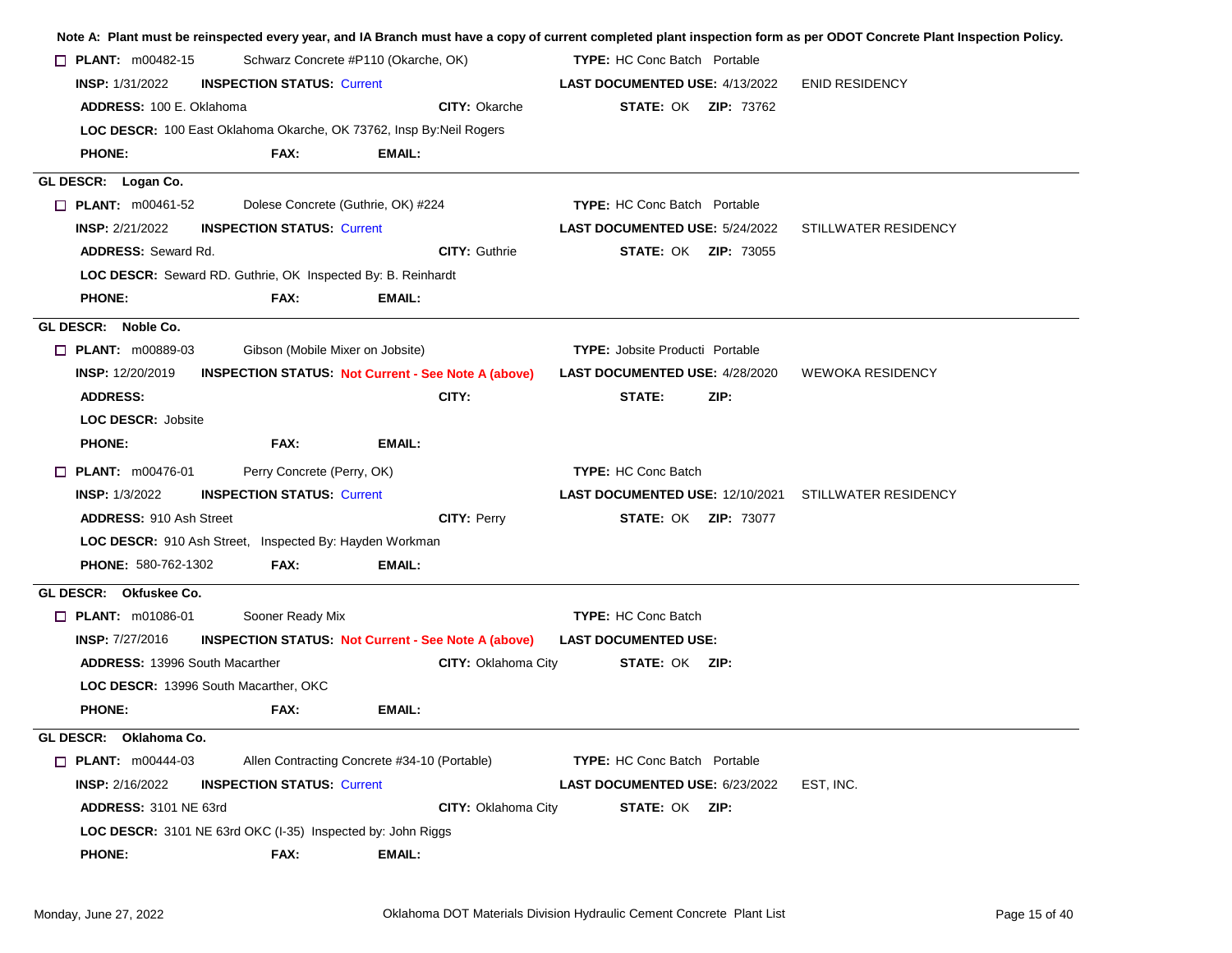|                                                                     |                                                            |               |                            |                                        |  |      |                                     | Note A: Plant must be reinspected every year, and IA Branch must have a copy of current completed plant inspection form as per ODOT Concrete Plant Inspection Policy. |  |  |  |
|---------------------------------------------------------------------|------------------------------------------------------------|---------------|----------------------------|----------------------------------------|--|------|-------------------------------------|-----------------------------------------------------------------------------------------------------------------------------------------------------------------------|--|--|--|
| <b><math>\Box</math> PLANT:</b> m00482-15                           | Schwarz Concrete #P110 (Okarche, OK)                       |               |                            |                                        |  |      | <b>TYPE:</b> HC Conc Batch Portable |                                                                                                                                                                       |  |  |  |
| <b>INSP:</b> 1/31/2022                                              | <b>INSPECTION STATUS: Current</b>                          |               |                            | LAST DOCUMENTED USE: 4/13/2022         |  |      |                                     | <b>ENID RESIDENCY</b>                                                                                                                                                 |  |  |  |
| ADDRESS: 100 E. Oklahoma                                            |                                                            |               | <b>CITY: Okarche</b>       |                                        |  |      | <b>STATE: OK ZIP: 73762</b>         |                                                                                                                                                                       |  |  |  |
| LOC DESCR: 100 East Oklahoma Okarche, OK 73762, Insp By:Neil Rogers |                                                            |               |                            |                                        |  |      |                                     |                                                                                                                                                                       |  |  |  |
| <b>PHONE:</b>                                                       | FAX:                                                       | EMAIL:        |                            |                                        |  |      |                                     |                                                                                                                                                                       |  |  |  |
| GL DESCR: Logan Co.                                                 |                                                            |               |                            |                                        |  |      |                                     |                                                                                                                                                                       |  |  |  |
| $\Box$ PLANT: m00461-52                                             | Dolese Concrete (Guthrie, OK) #224                         |               |                            | <b>TYPE:</b> HC Conc Batch Portable    |  |      |                                     |                                                                                                                                                                       |  |  |  |
| <b>INSP: 2/21/2022</b>                                              | <b>INSPECTION STATUS: Current</b>                          |               |                            | <b>LAST DOCUMENTED USE: 5/24/2022</b>  |  |      |                                     | STILLWATER RESIDENCY                                                                                                                                                  |  |  |  |
| <b>ADDRESS: Seward Rd.</b>                                          |                                                            |               | <b>CITY: Guthrie</b>       |                                        |  |      | <b>STATE: OK ZIP: 73055</b>         |                                                                                                                                                                       |  |  |  |
| LOC DESCR: Seward RD. Guthrie, OK Inspected By: B. Reinhardt        |                                                            |               |                            |                                        |  |      |                                     |                                                                                                                                                                       |  |  |  |
| <b>PHONE:</b>                                                       | FAX:                                                       | EMAIL:        |                            |                                        |  |      |                                     |                                                                                                                                                                       |  |  |  |
| GL DESCR: Noble Co.                                                 |                                                            |               |                            |                                        |  |      |                                     |                                                                                                                                                                       |  |  |  |
| $\Box$ PLANT: m00889-03                                             | Gibson (Mobile Mixer on Jobsite)                           |               |                            | <b>TYPE:</b> Jobsite Producti Portable |  |      |                                     |                                                                                                                                                                       |  |  |  |
| <b>INSP: 12/20/2019</b>                                             | <b>INSPECTION STATUS Not Current - See Note A (above)</b>  |               |                            | <b>LAST DOCUMENTED USE: 4/28/2020</b>  |  |      |                                     | <b>WEWOKA RESIDENCY</b>                                                                                                                                               |  |  |  |
| <b>ADDRESS:</b>                                                     |                                                            |               | CITY:                      | STATE:                                 |  | ZIP: |                                     |                                                                                                                                                                       |  |  |  |
| <b>LOC DESCR: Jobsite</b>                                           |                                                            |               |                            |                                        |  |      |                                     |                                                                                                                                                                       |  |  |  |
| <b>PHONE:</b>                                                       | FAX:                                                       | <b>EMAIL:</b> |                            |                                        |  |      |                                     |                                                                                                                                                                       |  |  |  |
| <b>D</b> PLANT: m00476-01                                           | Perry Concrete (Perry, OK)                                 |               |                            | <b>TYPE: HC Conc Batch</b>             |  |      |                                     |                                                                                                                                                                       |  |  |  |
| <b>INSP: 1/3/2022</b>                                               | <b>INSPECTION STATUS: Current</b>                          |               |                            |                                        |  |      |                                     | <b>LAST DOCUMENTED USE: 12/10/2021 STILLWATER RESIDENCY</b>                                                                                                           |  |  |  |
| <b>ADDRESS: 910 Ash Street</b>                                      |                                                            |               | <b>CITY: Perry</b>         |                                        |  |      | <b>STATE: OK ZIP: 73077</b>         |                                                                                                                                                                       |  |  |  |
| LOC DESCR: 910 Ash Street, Inspected By: Hayden Workman             |                                                            |               |                            |                                        |  |      |                                     |                                                                                                                                                                       |  |  |  |
| <b>PHONE: 580-762-1302</b>                                          | FAX:                                                       | <b>EMAIL:</b> |                            |                                        |  |      |                                     |                                                                                                                                                                       |  |  |  |
| GL DESCR: Okfuskee Co.                                              |                                                            |               |                            |                                        |  |      |                                     |                                                                                                                                                                       |  |  |  |
| $\Box$ PLANT: m01086-01                                             | Sooner Ready Mix                                           |               |                            | <b>TYPE: HC Conc Batch</b>             |  |      |                                     |                                                                                                                                                                       |  |  |  |
| <b>INSP: 7/27/2016</b>                                              | <b>INSPECTION STATUS: Not Current - See Note A (above)</b> |               |                            | <b>LAST DOCUMENTED USE:</b>            |  |      |                                     |                                                                                                                                                                       |  |  |  |
| ADDRESS: 13996 South Macarther                                      |                                                            |               | <b>CITY: Oklahoma City</b> | <b>STATE: OK ZIP:</b>                  |  |      |                                     |                                                                                                                                                                       |  |  |  |
| LOC DESCR: 13996 South Macarther, OKC                               |                                                            |               |                            |                                        |  |      |                                     |                                                                                                                                                                       |  |  |  |
| <b>PHONE:</b>                                                       | FAX:                                                       | EMAIL:        |                            |                                        |  |      |                                     |                                                                                                                                                                       |  |  |  |
| GL DESCR: Oklahoma Co.                                              |                                                            |               |                            |                                        |  |      |                                     |                                                                                                                                                                       |  |  |  |
| $\Box$ PLANT: $m00444-03$                                           | Allen Contracting Concrete #34-10 (Portable)               |               |                            | <b>TYPE:</b> HC Conc Batch Portable    |  |      |                                     |                                                                                                                                                                       |  |  |  |
| <b>INSP: 2/16/2022</b>                                              | <b>INSPECTION STATUS: Current</b>                          |               |                            | LAST DOCUMENTED USE: 6/23/2022         |  |      |                                     | EST, INC.                                                                                                                                                             |  |  |  |
| <b>ADDRESS: 3101 NE 63rd</b>                                        |                                                            |               | <b>CITY: Oklahoma City</b> | <b>STATE: OK ZIP:</b>                  |  |      |                                     |                                                                                                                                                                       |  |  |  |
| <b>LOC DESCR:</b> 3101 NE 63rd OKC (1-35) Inspected by: John Riggs  |                                                            |               |                            |                                        |  |      |                                     |                                                                                                                                                                       |  |  |  |
| <b>PHONE:</b>                                                       | FAX:                                                       | <b>EMAIL:</b> |                            |                                        |  |      |                                     |                                                                                                                                                                       |  |  |  |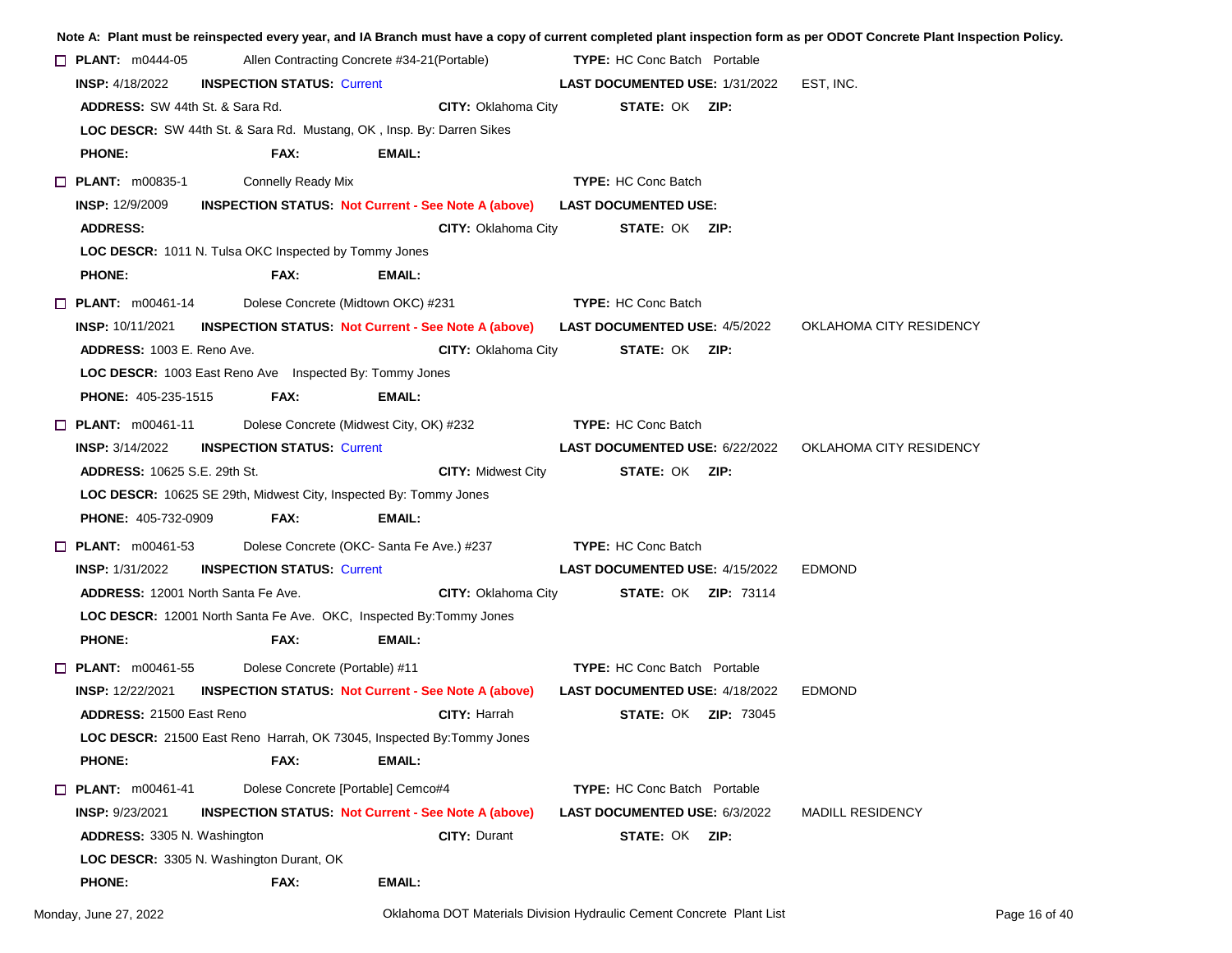|                                           |                                                                               |        |                            |                                      |                                                 | Note A: Plant must be reinspected every year, and IA Branch must have a copy of current completed plant inspection form as per ODOT Concrete Plant Inspection Policy. |
|-------------------------------------------|-------------------------------------------------------------------------------|--------|----------------------------|--------------------------------------|-------------------------------------------------|-----------------------------------------------------------------------------------------------------------------------------------------------------------------------|
| $\Box$ PLANT: m0444-05                    | Allen Contracting Concrete #34-21(Portable)                                   |        |                            | <b>TYPE:</b> HC Conc Batch Portable  |                                                 |                                                                                                                                                                       |
| <b>INSP:</b> 4/18/2022                    | <b>INSPECTION STATUS: Current</b>                                             |        |                            |                                      | <b>LAST DOCUMENTED USE: 1/31/2022 EST, INC.</b> |                                                                                                                                                                       |
| <b>ADDRESS:</b> SW 44th St. & Sara Rd.    |                                                                               |        | <b>CITY: Oklahoma City</b> | <b>STATE: OK ZIP:</b>                |                                                 |                                                                                                                                                                       |
|                                           | LOC DESCR: SW 44th St. & Sara Rd. Mustang, OK, Insp. By: Darren Sikes         |        |                            |                                      |                                                 |                                                                                                                                                                       |
| <b>PHONE:</b>                             | FAX:                                                                          | EMAIL: |                            |                                      |                                                 |                                                                                                                                                                       |
| $\Box$ PLANT: m00835-1                    | <b>Connelly Ready Mix</b>                                                     |        |                            | <b>TYPE: HC Conc Batch</b>           |                                                 |                                                                                                                                                                       |
| <b>INSP: 12/9/2009</b>                    | <b>INSPECTION STATUS Not Current - See Note A (above)</b>                     |        |                            | <b>LAST DOCUMENTED USE:</b>          |                                                 |                                                                                                                                                                       |
| <b>ADDRESS:</b>                           |                                                                               |        | CITY: Oklahoma City        | <b>STATE: OK ZIP:</b>                |                                                 |                                                                                                                                                                       |
|                                           | <b>LOC DESCR:</b> 1011 N. Tulsa OKC Inspected by Tommy Jones                  |        |                            |                                      |                                                 |                                                                                                                                                                       |
| <b>PHONE:</b>                             | FAX:                                                                          | EMAIL: |                            |                                      |                                                 |                                                                                                                                                                       |
| $\Box$ PLANT: m00461-14                   | Dolese Concrete (Midtown OKC) #231                                            |        |                            | <b>TYPE:</b> HC Conc Batch           |                                                 |                                                                                                                                                                       |
| <b>INSP: 10/11/2021</b>                   | <b>INSPECTION STATUS Not Current - See Note A (above)</b>                     |        |                            | <b>LAST DOCUMENTED USE: 4/5/2022</b> |                                                 | OKLAHOMA CITY RESIDENCY                                                                                                                                               |
| <b>ADDRESS: 1003 E. Reno Ave.</b>         |                                                                               |        | <b>CITY: Oklahoma City</b> | <b>STATE: OK ZIP:</b>                |                                                 |                                                                                                                                                                       |
|                                           | LOC DESCR: 1003 East Reno Ave  Inspected By: Tommy Jones                      |        |                            |                                      |                                                 |                                                                                                                                                                       |
| <b>PHONE: 405-235-1515</b>                | FAX:                                                                          | EMAIL: |                            |                                      |                                                 |                                                                                                                                                                       |
| $\Box$ PLANT: m00461-11                   | Dolese Concrete (Midwest City, OK) #232                                       |        |                            | <b>TYPE: HC Conc Batch</b>           |                                                 |                                                                                                                                                                       |
| <b>INSP:</b> 3/14/2022                    | <b>INSPECTION STATUS: Current</b>                                             |        |                            |                                      | <b>LAST DOCUMENTED USE: 6/22/2022</b>           | OKLAHOMA CITY RESIDENCY                                                                                                                                               |
| <b>ADDRESS: 10625 S.E. 29th St.</b>       |                                                                               |        | <b>CITY: Midwest City</b>  | <b>STATE: OK ZIP:</b>                |                                                 |                                                                                                                                                                       |
|                                           | <b>LOC DESCR:</b> 10625 SE 29th, Midwest City, Inspected By: Tommy Jones      |        |                            |                                      |                                                 |                                                                                                                                                                       |
| <b>PHONE: 405-732-0909</b>                | FAX:                                                                          | EMAIL: |                            |                                      |                                                 |                                                                                                                                                                       |
| $\Box$ PLANT: m00461-53                   | Dolese Concrete (OKC- Santa Fe Ave.) #237                                     |        |                            | <b>TYPE: HC Conc Batch</b>           |                                                 |                                                                                                                                                                       |
| <b>INSP:</b> 1/31/2022                    | <b>INSPECTION STATUS: Current</b>                                             |        |                            |                                      | <b>LAST DOCUMENTED USE: 4/15/2022</b>           | <b>EDMOND</b>                                                                                                                                                         |
| <b>ADDRESS: 12001 North Santa Fe Ave.</b> |                                                                               |        | <b>CITY: Oklahoma City</b> | <b>STATE: OK ZIP: 73114</b>          |                                                 |                                                                                                                                                                       |
|                                           | <b>LOC DESCR:</b> 12001 North Santa Fe Ave. OKC, Inspected By: Tommy Jones    |        |                            |                                      |                                                 |                                                                                                                                                                       |
| <b>PHONE:</b>                             | FAX:                                                                          | EMAIL: |                            |                                      |                                                 |                                                                                                                                                                       |
| $\Box$ PLANT: m00461-55                   | Dolese Concrete (Portable) #11                                                |        |                            | <b>TYPE:</b> HC Conc Batch Portable  |                                                 |                                                                                                                                                                       |
| <b>INSP:</b> 12/22/2021                   | <b>INSPECTION STATUS: Not Current - See Note A (above)</b>                    |        |                            |                                      | <b>LAST DOCUMENTED USE: 4/18/2022</b>           | <b>EDMOND</b>                                                                                                                                                         |
| <b>ADDRESS: 21500 East Reno</b>           |                                                                               |        | <b>CITY:</b> Harrah        | <b>STATE: OK ZIP: 73045</b>          |                                                 |                                                                                                                                                                       |
|                                           | <b>LOC DESCR:</b> 21500 East Reno Harrah, OK 73045, Inspected By: Tommy Jones |        |                            |                                      |                                                 |                                                                                                                                                                       |
| <b>PHONE:</b>                             | FAX:                                                                          | EMAIL: |                            |                                      |                                                 |                                                                                                                                                                       |
| $\Box$ PLANT: m00461-41                   | Dolese Concrete [Portable] Cemco#4                                            |        |                            | TYPE: HC Conc Batch Portable         |                                                 |                                                                                                                                                                       |
| <b>INSP: 9/23/2021</b>                    | <b>INSPECTION STATUS: Not Current - See Note A (above)</b>                    |        |                            | <b>LAST DOCUMENTED USE: 6/3/2022</b> |                                                 | <b>MADILL RESIDENCY</b>                                                                                                                                               |
| <b>ADDRESS: 3305 N. Washington</b>        |                                                                               |        | <b>CITY: Durant</b>        | <b>STATE: OK ZIP:</b>                |                                                 |                                                                                                                                                                       |
|                                           | LOC DESCR: 3305 N. Washington Durant, OK                                      |        |                            |                                      |                                                 |                                                                                                                                                                       |
| <b>PHONE:</b>                             | FAX:                                                                          | EMAIL: |                            |                                      |                                                 |                                                                                                                                                                       |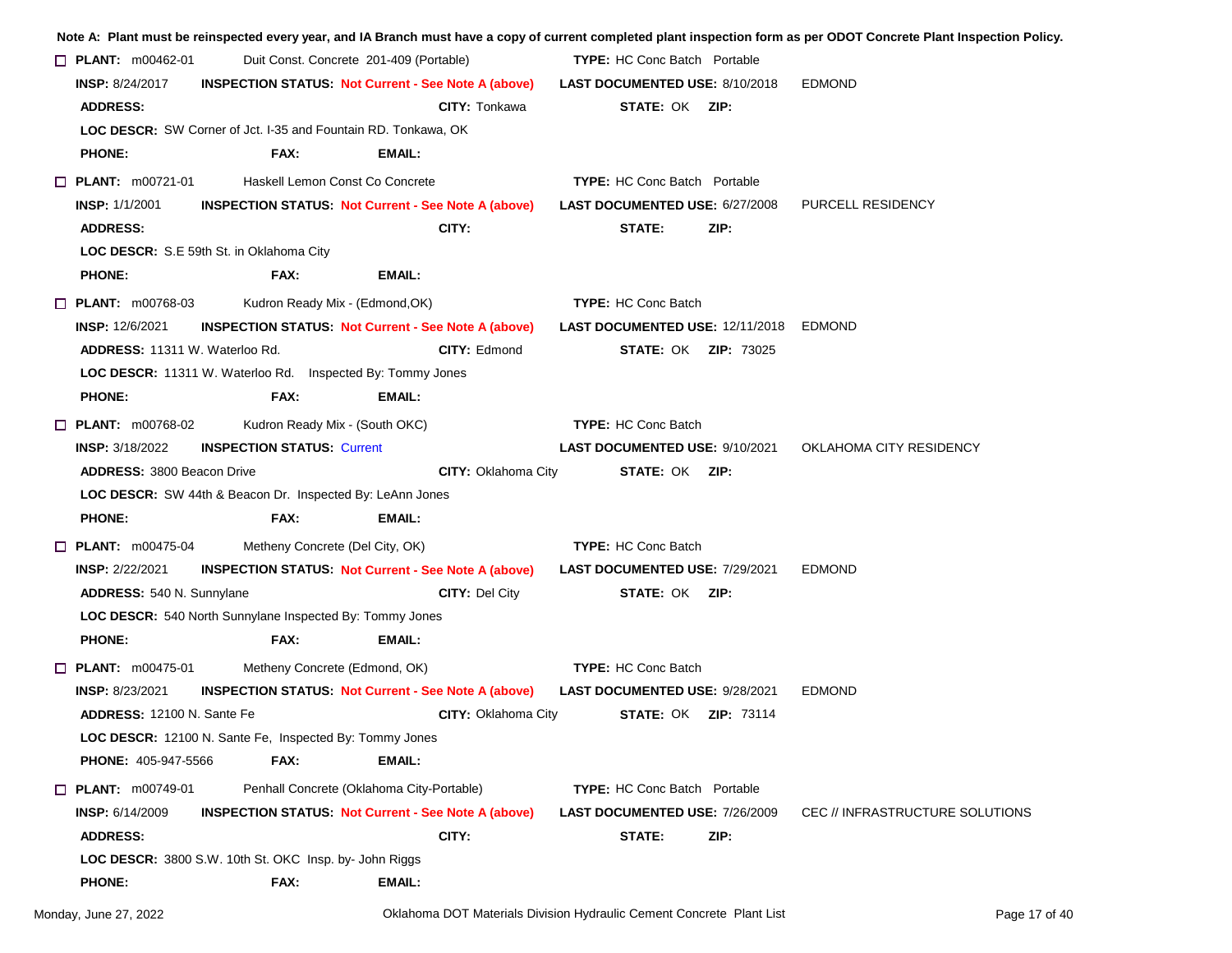|  |                                   |                                                                       |                                           |                            |                                     |                                        | Note A: Plant must be reinspected every year, and IA Branch must have a copy of current completed plant inspection form as per ODOT Concrete Plant Inspection Policy. |
|--|-----------------------------------|-----------------------------------------------------------------------|-------------------------------------------|----------------------------|-------------------------------------|----------------------------------------|-----------------------------------------------------------------------------------------------------------------------------------------------------------------------|
|  | $\Box$ PLANT: m00462-01           |                                                                       | Duit Const. Concrete 201-409 (Portable)   |                            | <b>TYPE:</b> HC Conc Batch Portable |                                        |                                                                                                                                                                       |
|  | <b>INSP: 8/24/2017</b>            | <b>INSPECTION STATUS. Not Current - See Note A (above)</b>            |                                           |                            |                                     | LAST DOCUMENTED USE: 8/10/2018         | <b>EDMOND</b>                                                                                                                                                         |
|  | <b>ADDRESS:</b>                   |                                                                       |                                           | <b>CITY: Tonkawa</b>       | <b>STATE: OK ZIP:</b>               |                                        |                                                                                                                                                                       |
|  |                                   | <b>LOC DESCR:</b> SW Corner of Jct. I-35 and Fountain RD. Tonkawa, OK |                                           |                            |                                     |                                        |                                                                                                                                                                       |
|  | <b>PHONE:</b>                     | FAX:                                                                  | EMAIL:                                    |                            |                                     |                                        |                                                                                                                                                                       |
|  | $\Box$ PLANT: m00721-01           |                                                                       | Haskell Lemon Const Co Concrete           |                            | <b>TYPE:</b> HC Conc Batch Portable |                                        |                                                                                                                                                                       |
|  | <b>INSP: 1/1/2001</b>             | <b>INSPECTION STATUS: Not Current - See Note A (above)</b>            |                                           |                            |                                     | LAST DOCUMENTED USE: 6/27/2008         | PURCELL RESIDENCY                                                                                                                                                     |
|  | <b>ADDRESS:</b>                   |                                                                       | CITY:                                     |                            | STATE:                              | ZIP:                                   |                                                                                                                                                                       |
|  |                                   | LOC DESCR: S.E 59th St. in Oklahoma City                              |                                           |                            |                                     |                                        |                                                                                                                                                                       |
|  | <b>PHONE:</b>                     | FAX:                                                                  | EMAIL:                                    |                            |                                     |                                        |                                                                                                                                                                       |
|  | $\Box$ PLANT: m00768-03           | Kudron Ready Mix - (Edmond, OK)                                       |                                           |                            | <b>TYPE: HC Conc Batch</b>          |                                        |                                                                                                                                                                       |
|  | <b>INSP: 12/6/2021</b>            | <b>INSPECTION STATUS: Not Current - See Note A (above)</b>            |                                           |                            |                                     | LAST DOCUMENTED USE: 12/11/2018 EDMOND |                                                                                                                                                                       |
|  | ADDRESS: 11311 W. Waterloo Rd.    |                                                                       |                                           | CITY: Edmond               |                                     | <b>STATE: OK ZIP: 73025</b>            |                                                                                                                                                                       |
|  |                                   | <b>LOC DESCR:</b> 11311 W. Waterloo Rd. Inspected By: Tommy Jones     |                                           |                            |                                     |                                        |                                                                                                                                                                       |
|  | <b>PHONE:</b>                     | FAX:                                                                  | EMAIL:                                    |                            |                                     |                                        |                                                                                                                                                                       |
|  | $\Box$ PLANT: m00768-02           | Kudron Ready Mix - (South OKC)                                        |                                           |                            | <b>TYPE: HC Conc Batch</b>          |                                        |                                                                                                                                                                       |
|  | <b>INSP: 3/18/2022</b>            | <b>INSPECTION STATUS: Current</b>                                     |                                           |                            |                                     | <b>LAST DOCUMENTED USE: 9/10/2021</b>  | OKLAHOMA CITY RESIDENCY                                                                                                                                               |
|  | <b>ADDRESS: 3800 Beacon Drive</b> |                                                                       |                                           | <b>CITY: Oklahoma City</b> | <b>STATE: OK ZIP:</b>               |                                        |                                                                                                                                                                       |
|  |                                   | LOC DESCR: SW 44th & Beacon Dr. Inspected By: LeAnn Jones             |                                           |                            |                                     |                                        |                                                                                                                                                                       |
|  | <b>PHONE:</b>                     | FAX:                                                                  | EMAIL:                                    |                            |                                     |                                        |                                                                                                                                                                       |
|  | $\Box$ PLANT: m00475-04           | Metheny Concrete (Del City, OK)                                       |                                           |                            | <b>TYPE:</b> HC Conc Batch          |                                        |                                                                                                                                                                       |
|  | <b>INSP: 2/22/2021</b>            | <b>INSPECTION STATUS Not Current - See Note A (above)</b>             |                                           |                            |                                     | <b>LAST DOCUMENTED USE: 7/29/2021</b>  | <b>EDMOND</b>                                                                                                                                                         |
|  | <b>ADDRESS: 540 N. Sunnylane</b>  |                                                                       |                                           | <b>CITY: Del City</b>      | <b>STATE: OK ZIP:</b>               |                                        |                                                                                                                                                                       |
|  |                                   | LOC DESCR: 540 North Sunnylane Inspected By: Tommy Jones              |                                           |                            |                                     |                                        |                                                                                                                                                                       |
|  | <b>PHONE:</b>                     | FAX:                                                                  | EMAIL:                                    |                            |                                     |                                        |                                                                                                                                                                       |
|  | $\Box$ PLANT: m00475-01           | Metheny Concrete (Edmond, OK)                                         |                                           |                            | <b>TYPE: HC Conc Batch</b>          |                                        |                                                                                                                                                                       |
|  | <b>INSP: 8/23/2021</b>            | <b>INSPECTION STATUS: Not Current - See Note A (above)</b>            |                                           |                            |                                     | <b>LAST DOCUMENTED USE: 9/28/2021</b>  | <b>EDMOND</b>                                                                                                                                                         |
|  | <b>ADDRESS: 12100 N. Sante Fe</b> |                                                                       |                                           | <b>CITY: Oklahoma City</b> |                                     | <b>STATE: OK ZIP: 73114</b>            |                                                                                                                                                                       |
|  |                                   | LOC DESCR: 12100 N. Sante Fe, Inspected By: Tommy Jones               |                                           |                            |                                     |                                        |                                                                                                                                                                       |
|  | <b>PHONE: 405-947-5566</b>        | FAX:                                                                  | EMAIL:                                    |                            |                                     |                                        |                                                                                                                                                                       |
|  | $\Box$ PLANT: m00749-01           |                                                                       | Penhall Concrete (Oklahoma City-Portable) |                            | <b>TYPE:</b> HC Conc Batch Portable |                                        |                                                                                                                                                                       |
|  | <b>INSP: 6/14/2009</b>            | <b>INSPECTION STATUS: Not Current - See Note A (above)</b>            |                                           |                            |                                     | <b>LAST DOCUMENTED USE: 7/26/2009</b>  | CEC // INFRASTRUCTURE SOLUTIONS                                                                                                                                       |
|  | <b>ADDRESS:</b>                   |                                                                       | CITY:                                     |                            | STATE:                              | ZIP:                                   |                                                                                                                                                                       |
|  |                                   | LOC DESCR: 3800 S.W. 10th St. OKC Insp. by- John Riggs                |                                           |                            |                                     |                                        |                                                                                                                                                                       |
|  | <b>PHONE:</b>                     | FAX:                                                                  | EMAIL:                                    |                            |                                     |                                        |                                                                                                                                                                       |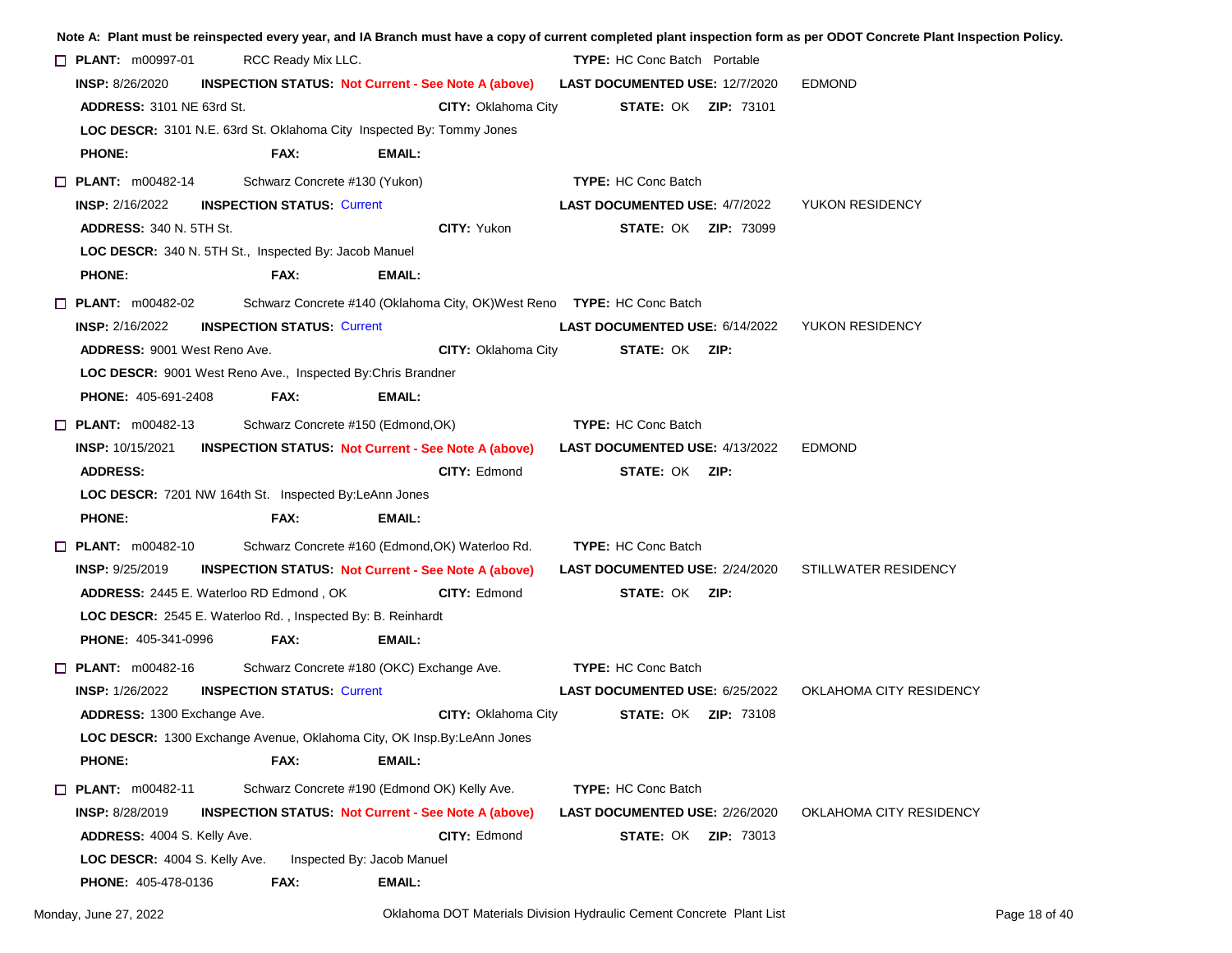|                                      |                                                              |                                                                          |                                                                                    | Note A: Plant must be reinspected every year, and IA Branch must have a copy of current completed plant inspection form as per ODOT Concrete Plant Inspection Policy |
|--------------------------------------|--------------------------------------------------------------|--------------------------------------------------------------------------|------------------------------------------------------------------------------------|----------------------------------------------------------------------------------------------------------------------------------------------------------------------|
| $\Box$ PLANT: $m00997-01$            | RCC Ready Mix LLC.                                           |                                                                          | <b>TYPE:</b> HC Conc Batch Portable                                                |                                                                                                                                                                      |
| <b>INSP: 8/26/2020</b>               |                                                              |                                                                          | INSPECTION STATUS: Not Current - See Note A (above) LAST DOCUMENTED USE: 12/7/2020 | <b>EDMOND</b>                                                                                                                                                        |
| <b>ADDRESS: 3101 NE 63rd St.</b>     |                                                              | <b>CITY: Oklahoma City</b>                                               | <b>STATE: OK ZIP: 73101</b>                                                        |                                                                                                                                                                      |
|                                      |                                                              | LOC DESCR: 3101 N.E. 63rd St. Oklahoma City Inspected By: Tommy Jones    |                                                                                    |                                                                                                                                                                      |
| <b>PHONE:</b>                        | FAX:                                                         | EMAIL:                                                                   |                                                                                    |                                                                                                                                                                      |
| $\Box$ PLANT: m00482-14              | Schwarz Concrete #130 (Yukon)                                |                                                                          | <b>TYPE:</b> HC Conc Batch                                                         |                                                                                                                                                                      |
| <b>INSP: 2/16/2022</b>               | <b>INSPECTION STATUS: Current</b>                            |                                                                          | <b>LAST DOCUMENTED USE: 4/7/2022</b>                                               | YUKON RESIDENCY                                                                                                                                                      |
| <b>ADDRESS: 340 N. 5TH St.</b>       |                                                              | CITY: Yukon                                                              | <b>STATE: OK ZIP: 73099</b>                                                        |                                                                                                                                                                      |
|                                      | LOC DESCR: 340 N. 5TH St., Inspected By: Jacob Manuel        |                                                                          |                                                                                    |                                                                                                                                                                      |
| <b>PHONE:</b>                        | FAX:                                                         | EMAIL:                                                                   |                                                                                    |                                                                                                                                                                      |
| $\Box$ PLANT: $m00482-02$            |                                                              | Schwarz Concrete #140 (Oklahoma City, OK) West Reno TYPE: HC Conc Batch  |                                                                                    |                                                                                                                                                                      |
| <b>INSP:</b> 2/16/2022               | <b>INSPECTION STATUS: Current</b>                            |                                                                          | <b>LAST DOCUMENTED USE: 6/14/2022</b>                                              | YUKON RESIDENCY                                                                                                                                                      |
| <b>ADDRESS: 9001 West Reno Ave.</b>  |                                                              | <b>CITY: Oklahoma City</b>                                               | <b>STATE: OK ZIP:</b>                                                              |                                                                                                                                                                      |
|                                      | LOC DESCR: 9001 West Reno Ave., Inspected By: Chris Brandner |                                                                          |                                                                                    |                                                                                                                                                                      |
| <b>PHONE: 405-691-2408</b>           | FAX:                                                         | EMAIL:                                                                   |                                                                                    |                                                                                                                                                                      |
| $\Box$ PLANT: $m00482-13$            |                                                              | Schwarz Concrete #150 (Edmond, OK)                                       | <b>TYPE:</b> HC Conc Batch                                                         |                                                                                                                                                                      |
| <b>INSP: 10/15/2021</b>              |                                                              | <b>INSPECTION STATUS: Not Current - See Note A (above)</b>               | <b>LAST DOCUMENTED USE: 4/13/2022</b>                                              | <b>EDMOND</b>                                                                                                                                                        |
| <b>ADDRESS:</b>                      |                                                              | <b>CITY: Edmond</b>                                                      | <b>STATE: OK ZIP:</b>                                                              |                                                                                                                                                                      |
|                                      | LOC DESCR: 7201 NW 164th St. Inspected By:LeAnn Jones        |                                                                          |                                                                                    |                                                                                                                                                                      |
| <b>PHONE:</b>                        | FAX:                                                         | EMAIL:                                                                   |                                                                                    |                                                                                                                                                                      |
| $\Box$ PLANT: m00482-10              |                                                              | Schwarz Concrete #160 (Edmond, OK) Waterloo Rd.                          | <b>TYPE:</b> HC Conc Batch                                                         |                                                                                                                                                                      |
| <b>INSP:</b> $9/25/2019$             |                                                              | <b>INSPECTION STATUS Not Current - See Note A (above)</b>                | <b>LAST DOCUMENTED USE: 2/24/2020</b>                                              | STILLWATER RESIDENCY                                                                                                                                                 |
|                                      | <b>ADDRESS: 2445 E. Waterloo RD Edmond, OK</b>               | CITY: Edmond                                                             | <b>STATE: OK ZIP:</b>                                                              |                                                                                                                                                                      |
|                                      | LOC DESCR: 2545 E. Waterloo Rd., Inspected By: B. Reinhardt  |                                                                          |                                                                                    |                                                                                                                                                                      |
| <b>PHONE: 405-341-0996</b>           | FAX:                                                         | EMAIL:                                                                   |                                                                                    |                                                                                                                                                                      |
| $\Box$ PLANT: m00482-16              |                                                              | Schwarz Concrete #180 (OKC) Exchange Ave.                                | <b>TYPE: HC Conc Batch</b>                                                         |                                                                                                                                                                      |
| <b>INSP: 1/26/2022</b>               | <b>INSPECTION STATUS: Current</b>                            |                                                                          | LAST DOCUMENTED USE: 6/25/2022                                                     | OKLAHOMA CITY RESIDENCY                                                                                                                                              |
| ADDRESS: 1300 Exchange Ave.          |                                                              | <b>CITY: Oklahoma City</b>                                               | <b>STATE: OK ZIP: 73108</b>                                                        |                                                                                                                                                                      |
|                                      |                                                              | LOC DESCR: 1300 Exchange Avenue, Oklahoma City, OK Insp. By: LeAnn Jones |                                                                                    |                                                                                                                                                                      |
| <b>PHONE:</b>                        | FAX:                                                         | <b>EMAIL:</b>                                                            |                                                                                    |                                                                                                                                                                      |
| <b>D</b> PLANT: m00482-11            |                                                              | Schwarz Concrete #190 (Edmond OK) Kelly Ave.                             | <b>TYPE: HC Conc Batch</b>                                                         |                                                                                                                                                                      |
| INSP: 8/28/2019                      |                                                              | <b>INSPECTION STATUS: Not Current - See Note A (above)</b>               | LAST DOCUMENTED USE: 2/26/2020                                                     | OKLAHOMA CITY RESIDENCY                                                                                                                                              |
| <b>ADDRESS: 4004 S. Kelly Ave.</b>   |                                                              | CITY: Edmond                                                             | <b>STATE: OK ZIP: 73013</b>                                                        |                                                                                                                                                                      |
| <b>LOC DESCR: 4004 S. Kelly Ave.</b> |                                                              | Inspected By: Jacob Manuel                                               |                                                                                    |                                                                                                                                                                      |
| <b>PHONE: 405-478-0136</b>           | FAX:                                                         | EMAIL:                                                                   |                                                                                    |                                                                                                                                                                      |
|                                      |                                                              |                                                                          |                                                                                    |                                                                                                                                                                      |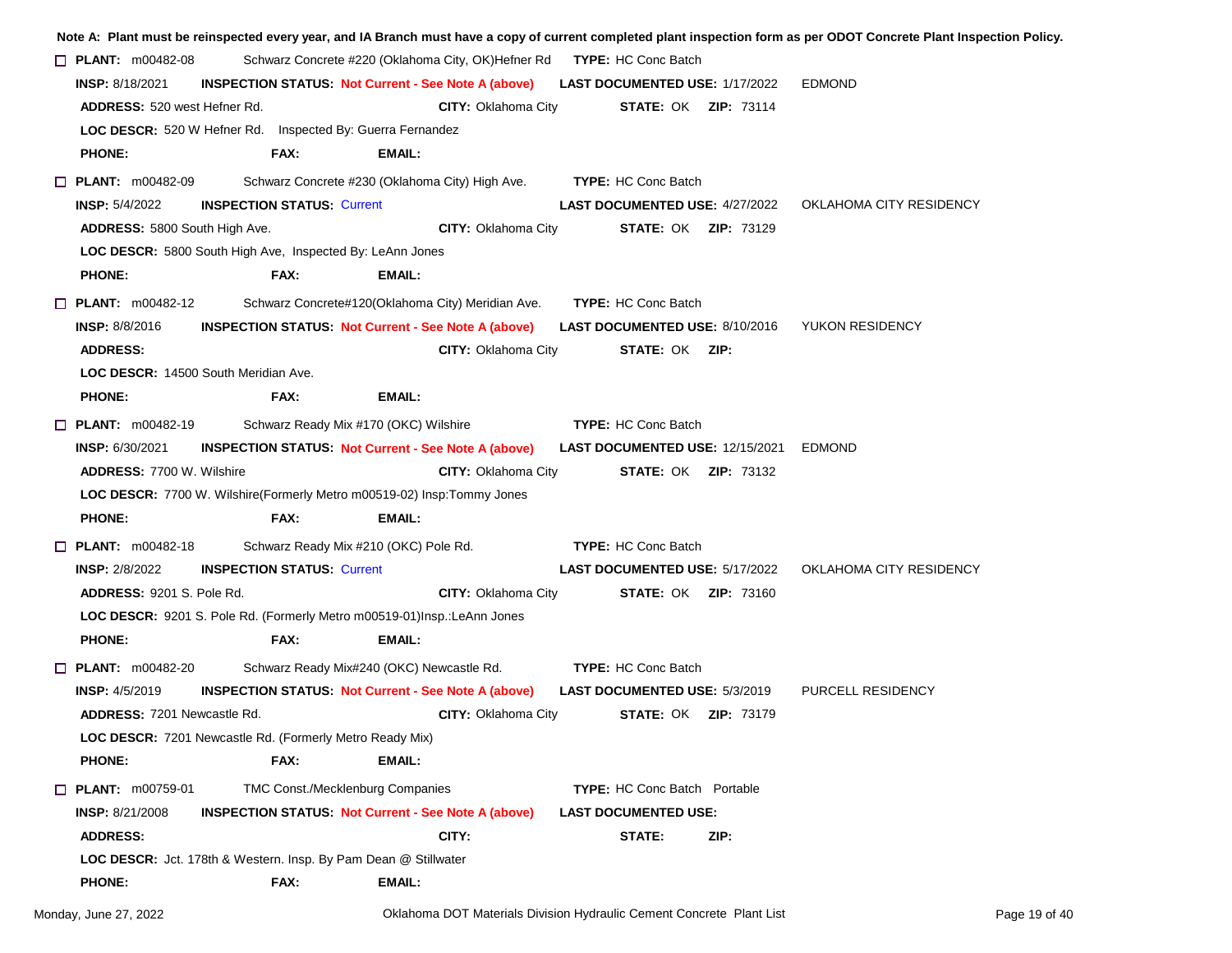|                                                                          |                                   |                                           |                                                                        |                                       |                                        | Note A: Plant must be reinspected every year, and IA Branch must have a copy of current completed plant inspection form as per ODOT Concrete Plant Inspection Policy |
|--------------------------------------------------------------------------|-----------------------------------|-------------------------------------------|------------------------------------------------------------------------|---------------------------------------|----------------------------------------|----------------------------------------------------------------------------------------------------------------------------------------------------------------------|
| $\Box$ PLANT: m00482-08                                                  |                                   |                                           | Schwarz Concrete #220 (Oklahoma City, OK)Hefner Rd TYPE: HC Conc Batch |                                       |                                        |                                                                                                                                                                      |
| <b>INSP: 8/18/2021</b>                                                   |                                   |                                           | <b>INSPECTION STATUS Not Current - See Note A (above)</b>              | <b>LAST DOCUMENTED USE: 1/17/2022</b> |                                        | <b>EDMOND</b>                                                                                                                                                        |
| <b>ADDRESS: 520 west Hefner Rd.</b>                                      |                                   |                                           | <b>CITY: Oklahoma City</b>                                             |                                       | <b>STATE: OK ZIP: 73114</b>            |                                                                                                                                                                      |
| LOC DESCR: 520 W Hefner Rd. Inspected By: Guerra Fernandez               |                                   |                                           |                                                                        |                                       |                                        |                                                                                                                                                                      |
| <b>PHONE:</b>                                                            | FAX:                              | EMAIL:                                    |                                                                        |                                       |                                        |                                                                                                                                                                      |
| $\Box$ PLANT: m00482-09                                                  |                                   |                                           | Schwarz Concrete #230 (Oklahoma City) High Ave.                        | <b>TYPE: HC Conc Batch</b>            |                                        |                                                                                                                                                                      |
| <b>INSP: 5/4/2022</b>                                                    | <b>INSPECTION STATUS: Current</b> |                                           |                                                                        | <b>LAST DOCUMENTED USE: 4/27/2022</b> |                                        | OKLAHOMA CITY RESIDENCY                                                                                                                                              |
| ADDRESS: 5800 South High Ave.                                            |                                   |                                           | CITY: Oklahoma City                                                    | <b>STATE: OK ZIP: 73129</b>           |                                        |                                                                                                                                                                      |
| LOC DESCR: 5800 South High Ave, Inspected By: LeAnn Jones                |                                   |                                           |                                                                        |                                       |                                        |                                                                                                                                                                      |
| <b>PHONE:</b>                                                            | FAX:                              | EMAIL:                                    |                                                                        |                                       |                                        |                                                                                                                                                                      |
| $\Box$ PLANT: m00482-12                                                  |                                   |                                           | Schwarz Concrete#120(Oklahoma City) Meridian Ave.                      | <b>TYPE: HC Conc Batch</b>            |                                        |                                                                                                                                                                      |
| <b>INSP: 8/8/2016</b>                                                    |                                   |                                           | <b>INSPECTION STATUS: Not Current - See Note A (above)</b>             | <b>LAST DOCUMENTED USE: 8/10/2016</b> |                                        | YUKON RESIDENCY                                                                                                                                                      |
| <b>ADDRESS:</b>                                                          |                                   |                                           | <b>CITY: Oklahoma City</b>                                             | <b>STATE: OK ZIP:</b>                 |                                        |                                                                                                                                                                      |
| LOC DESCR: 14500 South Meridian Ave.                                     |                                   |                                           |                                                                        |                                       |                                        |                                                                                                                                                                      |
| <b>PHONE:</b>                                                            | FAX:                              | <b>EMAIL:</b>                             |                                                                        |                                       |                                        |                                                                                                                                                                      |
| $\Box$ PLANT: m00482-19                                                  |                                   | Schwarz Ready Mix #170 (OKC) Wilshire     |                                                                        | <b>TYPE: HC Conc Batch</b>            |                                        |                                                                                                                                                                      |
| <b>INSP: 6/30/2021</b>                                                   |                                   |                                           | <b>INSPECTION STATUS: Not Current - See Note A (above)</b>             |                                       | LAST DOCUMENTED USE: 12/15/2021 EDMOND |                                                                                                                                                                      |
| <b>ADDRESS: 7700 W. Wilshire</b>                                         |                                   |                                           | <b>CITY: Oklahoma City</b>                                             |                                       | <b>STATE: OK ZIP: 73132</b>            |                                                                                                                                                                      |
| LOC DESCR: 7700 W. Wilshire(Formerly Metro m00519-02) Insp: Tommy Jones  |                                   |                                           |                                                                        |                                       |                                        |                                                                                                                                                                      |
| <b>PHONE:</b>                                                            | FAX:                              | EMAIL:                                    |                                                                        |                                       |                                        |                                                                                                                                                                      |
| $\Box$ PLANT: m00482-18                                                  |                                   | Schwarz Ready Mix #210 (OKC) Pole Rd.     |                                                                        | <b>TYPE:</b> HC Conc Batch            |                                        |                                                                                                                                                                      |
| <b>INSP: 2/8/2022</b>                                                    | <b>INSPECTION STATUS: Current</b> |                                           |                                                                        | <b>LAST DOCUMENTED USE: 5/17/2022</b> |                                        | OKLAHOMA CITY RESIDENCY                                                                                                                                              |
| <b>ADDRESS: 9201 S. Pole Rd.</b>                                         |                                   |                                           | <b>CITY: Oklahoma City</b>                                             | <b>STATE: OK ZIP: 73160</b>           |                                        |                                                                                                                                                                      |
| LOC DESCR: 9201 S. Pole Rd. (Formerly Metro m00519-01)Insp.: LeAnn Jones |                                   |                                           |                                                                        |                                       |                                        |                                                                                                                                                                      |
| <b>PHONE:</b>                                                            | FAX:                              | <b>EMAIL:</b>                             |                                                                        |                                       |                                        |                                                                                                                                                                      |
| $\Box$ PLANT: m00482-20                                                  |                                   | Schwarz Ready Mix#240 (OKC) Newcastle Rd. |                                                                        | <b>TYPE: HC Conc Batch</b>            |                                        |                                                                                                                                                                      |
| <b>INSP: 4/5/2019</b>                                                    |                                   |                                           | <b>INSPECTION STATUS: Not Current - See Note A (above)</b>             | <b>LAST DOCUMENTED USE: 5/3/2019</b>  |                                        | PURCELL RESIDENCY                                                                                                                                                    |
| <b>ADDRESS: 7201 Newcastle Rd.</b>                                       |                                   |                                           | <b>CITY: Oklahoma City</b>                                             | <b>STATE: OK ZIP: 73179</b>           |                                        |                                                                                                                                                                      |
| LOC DESCR: 7201 Newcastle Rd. (Formerly Metro Ready Mix)                 |                                   |                                           |                                                                        |                                       |                                        |                                                                                                                                                                      |
| <b>PHONE:</b>                                                            | FAX:                              | EMAIL:                                    |                                                                        |                                       |                                        |                                                                                                                                                                      |
| <b>D</b> PLANT: m00759-01                                                |                                   | TMC Const./Mecklenburg Companies          |                                                                        | <b>TYPE:</b> HC Conc Batch Portable   |                                        |                                                                                                                                                                      |
| <b>INSP: 8/21/2008</b>                                                   |                                   |                                           | <b>INSPECTION STATUS: Not Current - See Note A (above)</b>             | <b>LAST DOCUMENTED USE:</b>           |                                        |                                                                                                                                                                      |
| <b>ADDRESS:</b>                                                          |                                   |                                           | CITY:                                                                  | STATE:                                | ZIP:                                   |                                                                                                                                                                      |
| <b>LOC DESCR:</b> Jct. 178th & Western. Insp. By Pam Dean @ Stillwater   |                                   |                                           |                                                                        |                                       |                                        |                                                                                                                                                                      |
| <b>PHONE:</b>                                                            | FAX:                              | EMAIL:                                    |                                                                        |                                       |                                        |                                                                                                                                                                      |
|                                                                          |                                   |                                           |                                                                        |                                       |                                        |                                                                                                                                                                      |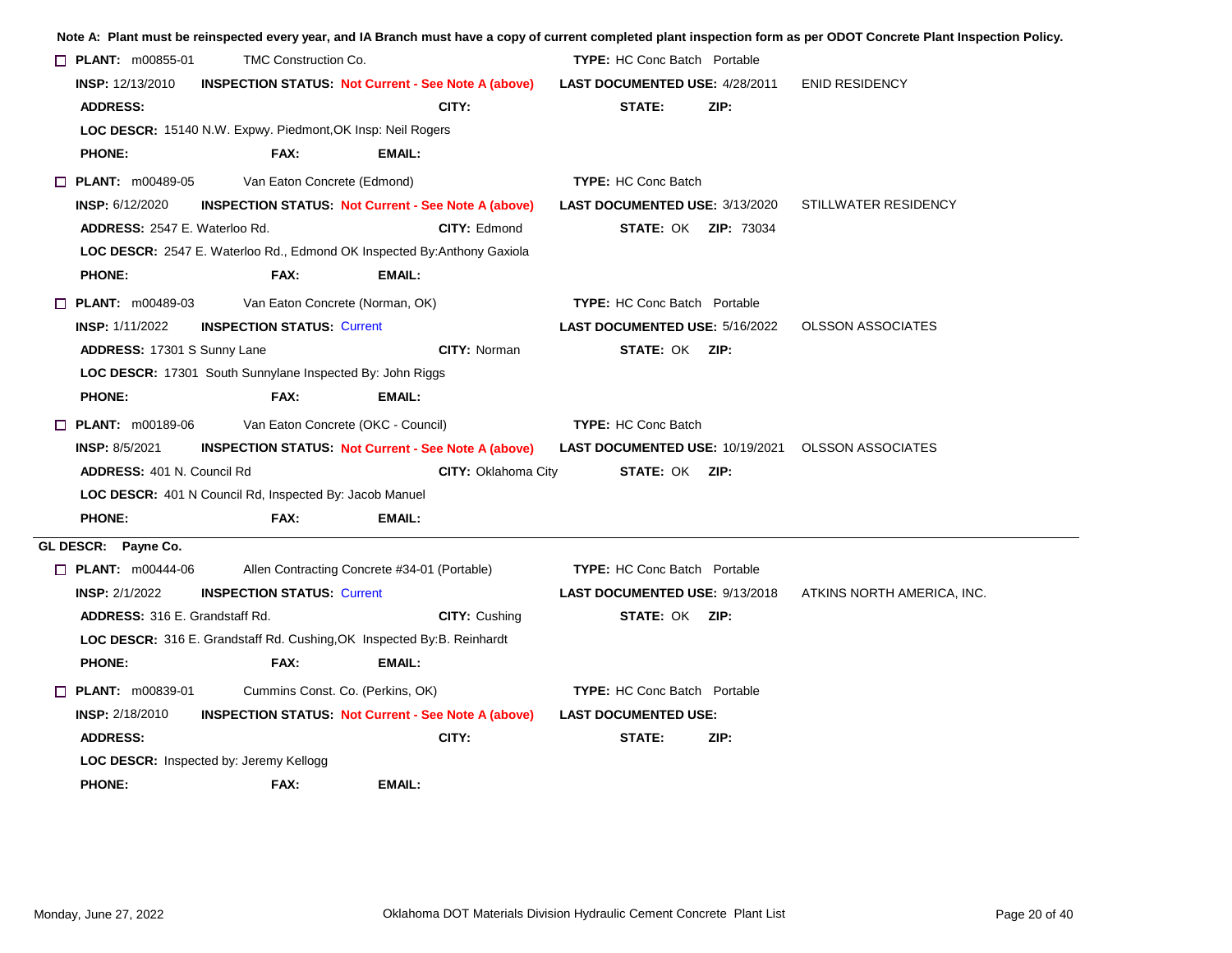|                                       |                                                             |                                                                          |                                                           |      | Note A: Plant must be reinspected every year, and IA Branch must have a copy of current completed plant inspection form as per ODOT Concrete Plant Inspection Policy. |
|---------------------------------------|-------------------------------------------------------------|--------------------------------------------------------------------------|-----------------------------------------------------------|------|-----------------------------------------------------------------------------------------------------------------------------------------------------------------------|
| $\Box$ PLANT: $m00855-01$             | <b>TMC Construction Co.</b>                                 |                                                                          | <b>TYPE:</b> HC Conc Batch Portable                       |      |                                                                                                                                                                       |
| INSP: 12/13/2010                      |                                                             | <b>INSPECTION STATUS: Not Current - See Note A (above)</b>               | LAST DOCUMENTED USE: 4/28/2011                            |      | <b>ENID RESIDENCY</b>                                                                                                                                                 |
| <b>ADDRESS:</b>                       |                                                             | CITY:                                                                    | STATE:                                                    | ZIP: |                                                                                                                                                                       |
|                                       | LOC DESCR: 15140 N.W. Expwy. Piedmont, OK Insp: Neil Rogers |                                                                          |                                                           |      |                                                                                                                                                                       |
| <b>PHONE:</b>                         | FAX:                                                        | EMAIL:                                                                   |                                                           |      |                                                                                                                                                                       |
| $\Box$ PLANT: m00489-05               | Van Eaton Concrete (Edmond)                                 |                                                                          | <b>TYPE: HC Conc Batch</b>                                |      |                                                                                                                                                                       |
| <b>INSP: 6/12/2020</b>                |                                                             | <b>INSPECTION STATUS: Not Current - See Note A (above)</b>               | <b>LAST DOCUMENTED USE: 3/13/2020</b>                     |      | STILLWATER RESIDENCY                                                                                                                                                  |
| ADDRESS: 2547 E. Waterloo Rd.         |                                                             | <b>CITY: Edmond</b>                                                      | <b>STATE: OK ZIP: 73034</b>                               |      |                                                                                                                                                                       |
|                                       |                                                             | LOC DESCR: 2547 E. Waterloo Rd., Edmond OK Inspected By: Anthony Gaxiola |                                                           |      |                                                                                                                                                                       |
| <b>PHONE:</b>                         | FAX:                                                        | EMAIL:                                                                   |                                                           |      |                                                                                                                                                                       |
| $\Box$ PLANT: $m00489-03$             |                                                             | Van Eaton Concrete (Norman, OK)                                          | <b>TYPE: HC Conc Batch Portable</b>                       |      |                                                                                                                                                                       |
| <b>INSP: 1/11/2022</b>                | <b>INSPECTION STATUS: Current</b>                           |                                                                          | LAST DOCUMENTED USE: 5/16/2022                            |      | <b>OLSSON ASSOCIATES</b>                                                                                                                                              |
| ADDRESS: 17301 S Sunny Lane           |                                                             | CITY: Norman                                                             | <b>STATE: OK ZIP:</b>                                     |      |                                                                                                                                                                       |
|                                       | LOC DESCR: 17301 South Sunnylane Inspected By: John Riggs   |                                                                          |                                                           |      |                                                                                                                                                                       |
| <b>PHONE:</b>                         | FAX:                                                        | EMAIL:                                                                   |                                                           |      |                                                                                                                                                                       |
| $\Box$ PLANT: m00189-06               |                                                             | Van Eaton Concrete (OKC - Council)                                       | <b>TYPE: HC Conc Batch</b>                                |      |                                                                                                                                                                       |
| <b>INSP: 8/5/2021</b>                 |                                                             | <b>INSPECTION STATUS Not Current - See Note A (above)</b>                | <b>LAST DOCUMENTED USE: 10/19/2021  OLSSON ASSOCIATES</b> |      |                                                                                                                                                                       |
| <b>ADDRESS: 401 N. Council Rd</b>     |                                                             | <b>CITY: Oklahoma City</b>                                               | <b>STATE: OK ZIP:</b>                                     |      |                                                                                                                                                                       |
|                                       | LOC DESCR: 401 N Council Rd, Inspected By: Jacob Manuel     |                                                                          |                                                           |      |                                                                                                                                                                       |
| <b>PHONE:</b>                         | FAX:                                                        | <b>EMAIL:</b>                                                            |                                                           |      |                                                                                                                                                                       |
| GL DESCR: Payne Co.                   |                                                             |                                                                          |                                                           |      |                                                                                                                                                                       |
| $\Box$ PLANT: m00444-06               |                                                             | Allen Contracting Concrete #34-01 (Portable)                             | <b>TYPE:</b> HC Conc Batch Portable                       |      |                                                                                                                                                                       |
| <b>INSP: 2/1/2022</b>                 | <b>INSPECTION STATUS: Current</b>                           |                                                                          | LAST DOCUMENTED USE: 9/13/2018                            |      | ATKINS NORTH AMERICA, INC.                                                                                                                                            |
| <b>ADDRESS: 316 E. Grandstaff Rd.</b> |                                                             | <b>CITY: Cushing</b>                                                     | <b>STATE: OK ZIP:</b>                                     |      |                                                                                                                                                                       |
|                                       |                                                             | LOC DESCR: 316 E. Grandstaff Rd. Cushing, OK Inspected By: B. Reinhardt  |                                                           |      |                                                                                                                                                                       |
| <b>PHONE:</b>                         | FAX:                                                        | EMAIL:                                                                   |                                                           |      |                                                                                                                                                                       |
| $\Box$ PLANT: $m00839-01$             |                                                             | Cummins Const. Co. (Perkins, OK)                                         | <b>TYPE:</b> HC Conc Batch Portable                       |      |                                                                                                                                                                       |
| <b>INSP: 2/18/2010</b>                |                                                             | <b>INSPECTION STATUS: Not Current - See Note A (above)</b>               | <b>LAST DOCUMENTED USE:</b>                               |      |                                                                                                                                                                       |
|                                       |                                                             | CITY:                                                                    | STATE:                                                    | ZIP: |                                                                                                                                                                       |
| <b>ADDRESS:</b>                       |                                                             |                                                                          |                                                           |      |                                                                                                                                                                       |
|                                       | <b>LOC DESCR:</b> Inspected by: Jeremy Kellogg              |                                                                          |                                                           |      |                                                                                                                                                                       |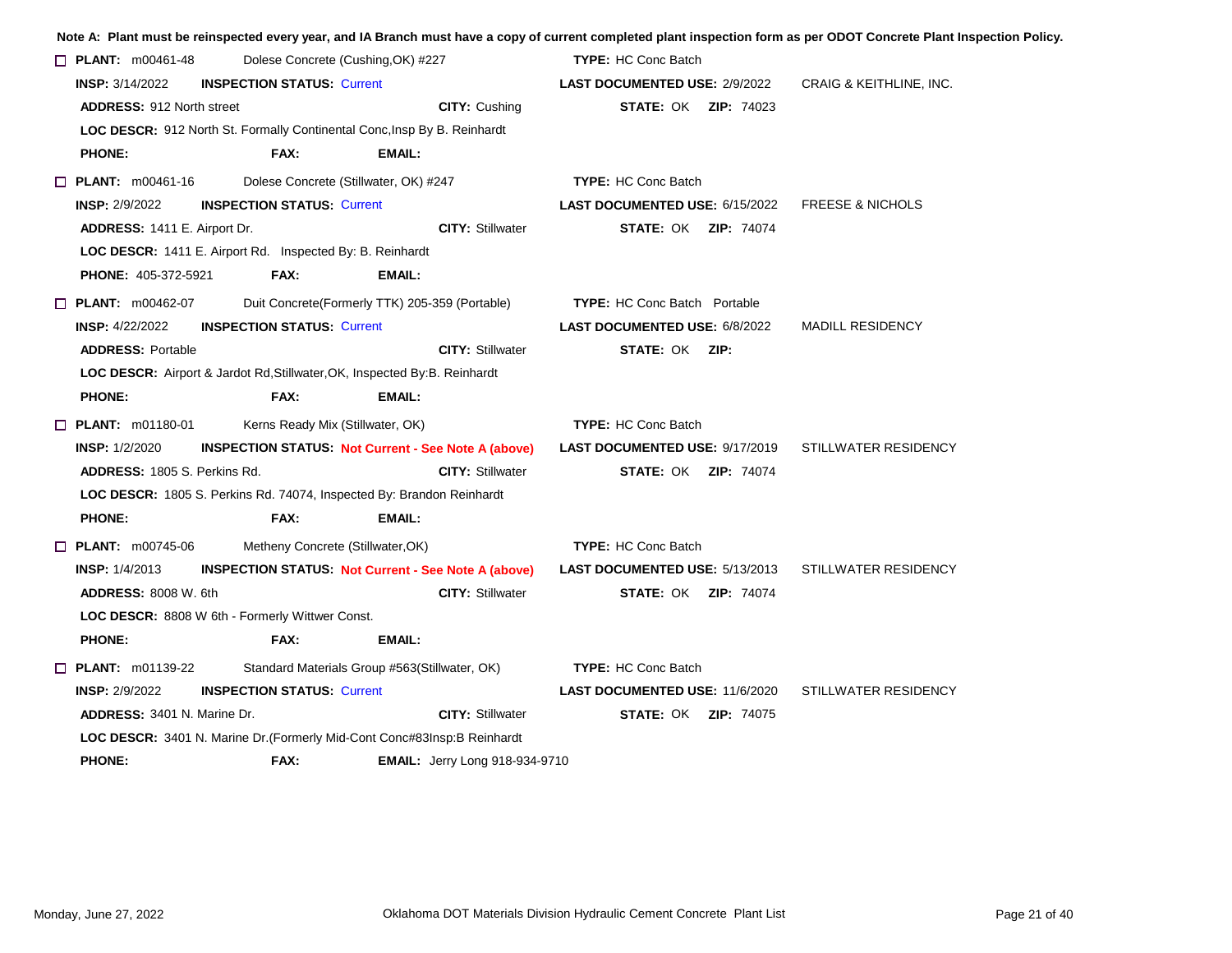|                                                                                   |                                       |                                                            |                                       |                             | Note A: Plant must be reinspected every year, and IA Branch must have a copy of current completed plant inspection form as per ODOT Concrete Plant Inspection Policy. |
|-----------------------------------------------------------------------------------|---------------------------------------|------------------------------------------------------------|---------------------------------------|-----------------------------|-----------------------------------------------------------------------------------------------------------------------------------------------------------------------|
| $\Box$ PLANT: m00461-48                                                           | Dolese Concrete (Cushing, OK) #227    |                                                            | <b>TYPE: HC Conc Batch</b>            |                             |                                                                                                                                                                       |
| <b>INSP:</b> 3/14/2022                                                            | <b>INSPECTION STATUS: Current</b>     |                                                            | <b>LAST DOCUMENTED USE: 2/9/2022</b>  |                             | CRAIG & KEITHLINE, INC.                                                                                                                                               |
| <b>ADDRESS: 912 North street</b>                                                  |                                       | CITY: Cushing                                              |                                       | <b>STATE: OK ZIP: 74023</b> |                                                                                                                                                                       |
| LOC DESCR: 912 North St. Formally Continental Conc, Insp By B. Reinhardt          |                                       |                                                            |                                       |                             |                                                                                                                                                                       |
| <b>PHONE:</b>                                                                     | FAX:                                  | EMAIL:                                                     |                                       |                             |                                                                                                                                                                       |
| $\Box$ PLANT: m00461-16                                                           | Dolese Concrete (Stillwater, OK) #247 |                                                            | <b>TYPE: HC Conc Batch</b>            |                             |                                                                                                                                                                       |
| <b>INSP: 2/9/2022</b>                                                             | <b>INSPECTION STATUS: Current</b>     |                                                            | <b>LAST DOCUMENTED USE: 6/15/2022</b> |                             | <b>FREESE &amp; NICHOLS</b>                                                                                                                                           |
| ADDRESS: 1411 E. Airport Dr.                                                      |                                       | <b>CITY: Stillwater</b>                                    |                                       | <b>STATE: OK ZIP: 74074</b> |                                                                                                                                                                       |
| LOC DESCR: 1411 E. Airport Rd. Inspected By: B. Reinhardt                         |                                       |                                                            |                                       |                             |                                                                                                                                                                       |
| <b>PHONE: 405-372-5921</b>                                                        | FAX:                                  | <b>EMAIL:</b>                                              |                                       |                             |                                                                                                                                                                       |
| $\Box$ PLANT: m00462-07                                                           |                                       | Duit Concrete(Formerly TTK) 205-359 (Portable)             | <b>TYPE:</b> HC Conc Batch Portable   |                             |                                                                                                                                                                       |
| <b>INSP: 4/22/2022</b>                                                            | <b>INSPECTION STATUS: Current</b>     |                                                            | LAST DOCUMENTED USE: 6/8/2022         |                             | <b>MADILL RESIDENCY</b>                                                                                                                                               |
| <b>ADDRESS: Portable</b>                                                          |                                       | <b>CITY: Stillwater</b>                                    | STATE: OK ZIP:                        |                             |                                                                                                                                                                       |
| <b>LOC DESCR:</b> Airport & Jardot Rd, Stillwater, OK, Inspected By: B. Reinhardt |                                       |                                                            |                                       |                             |                                                                                                                                                                       |
| <b>PHONE:</b>                                                                     | FAX:                                  | <b>EMAIL:</b>                                              |                                       |                             |                                                                                                                                                                       |
| $\Box$ PLANT: m01180-01                                                           | Kerns Ready Mix (Stillwater, OK)      |                                                            | <b>TYPE: HC Conc Batch</b>            |                             |                                                                                                                                                                       |
| <b>INSP: 1/2/2020</b>                                                             |                                       | <b>INSPECTION STATUS: Not Current - See Note A (above)</b> | <b>LAST DOCUMENTED USE: 9/17/2019</b> |                             | STILLWATER RESIDENCY                                                                                                                                                  |
| <b>ADDRESS: 1805 S. Perkins Rd.</b>                                               |                                       | <b>CITY: Stillwater</b>                                    |                                       | <b>STATE: OK ZIP: 74074</b> |                                                                                                                                                                       |
| LOC DESCR: 1805 S. Perkins Rd. 74074, Inspected By: Brandon Reinhardt             |                                       |                                                            |                                       |                             |                                                                                                                                                                       |
| <b>PHONE:</b>                                                                     | FAX:                                  | <b>EMAIL:</b>                                              |                                       |                             |                                                                                                                                                                       |
| $\Box$ PLANT: $m00745-06$                                                         | Metheny Concrete (Stillwater, OK)     |                                                            | <b>TYPE: HC Conc Batch</b>            |                             |                                                                                                                                                                       |
| <b>INSP: 1/4/2013</b>                                                             |                                       | <b>INSPECTION STATUS: Not Current - See Note A (above)</b> | <b>LAST DOCUMENTED USE: 5/13/2013</b> |                             | STILLWATER RESIDENCY                                                                                                                                                  |
| <b>ADDRESS: 8008 W. 6th</b>                                                       |                                       | <b>CITY: Stillwater</b>                                    |                                       | <b>STATE: OK ZIP: 74074</b> |                                                                                                                                                                       |
| LOC DESCR: 8808 W 6th - Formerly Wittwer Const.                                   |                                       |                                                            |                                       |                             |                                                                                                                                                                       |
| <b>PHONE:</b>                                                                     | FAX:                                  | EMAIL:                                                     |                                       |                             |                                                                                                                                                                       |
| $\Box$ PLANT: m01139-22                                                           |                                       | Standard Materials Group #563(Stillwater, OK)              | <b>TYPE: HC Conc Batch</b>            |                             |                                                                                                                                                                       |
| <b>INSP: 2/9/2022</b>                                                             | <b>INSPECTION STATUS: Current</b>     |                                                            | <b>LAST DOCUMENTED USE: 11/6/2020</b> |                             | STILLWATER RESIDENCY                                                                                                                                                  |
| <b>ADDRESS: 3401 N. Marine Dr.</b>                                                |                                       | <b>CITY: Stillwater</b>                                    |                                       | <b>STATE: OK ZIP: 74075</b> |                                                                                                                                                                       |
| LOC DESCR: 3401 N. Marine Dr. (Formerly Mid-Cont Conc#83Insp:B Reinhardt          |                                       |                                                            |                                       |                             |                                                                                                                                                                       |
| <b>PHONE:</b>                                                                     | FAX:                                  | <b>EMAIL:</b> Jerry Long 918-934-9710                      |                                       |                             |                                                                                                                                                                       |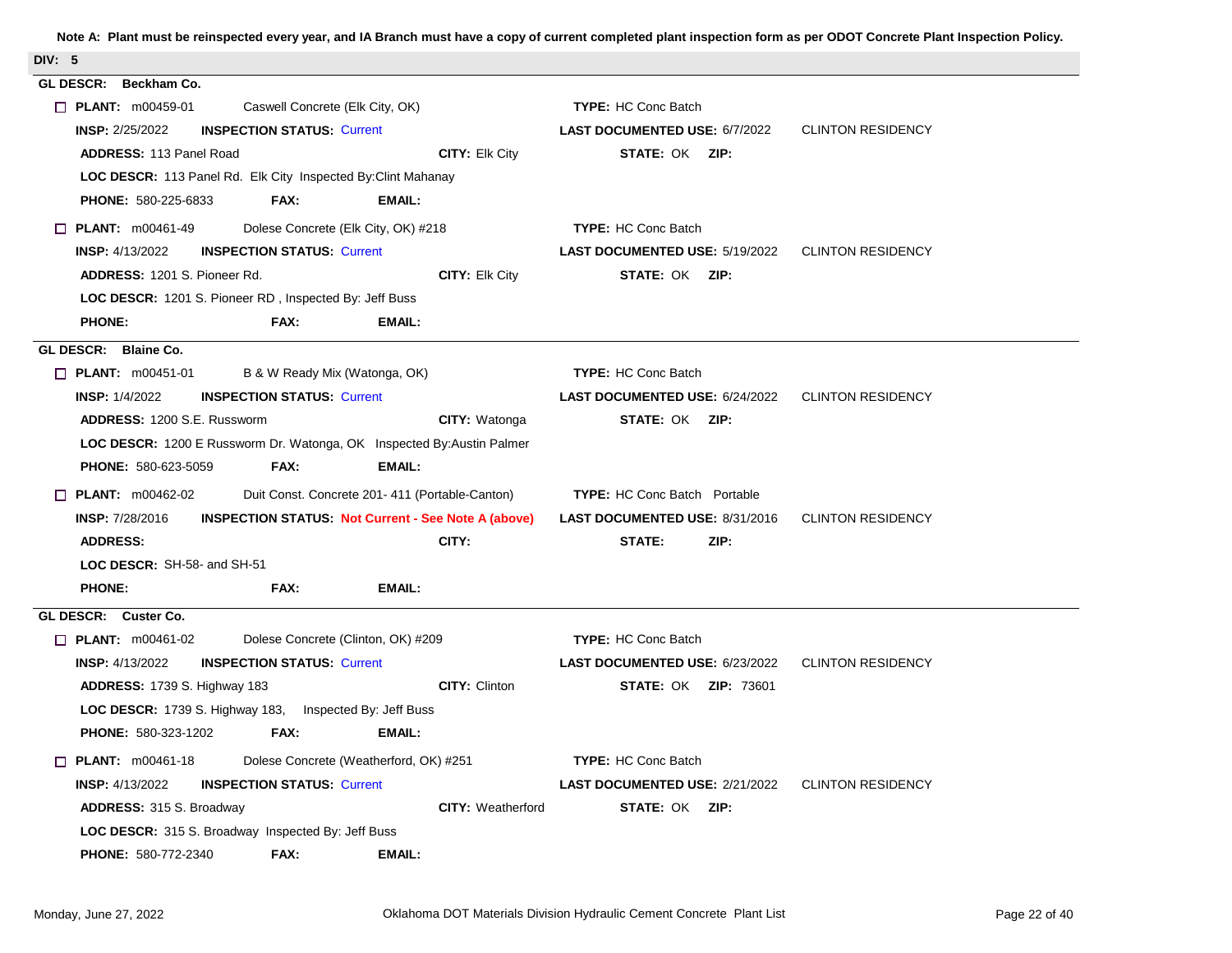| DIV: 5                                                                               |                                                                   |
|--------------------------------------------------------------------------------------|-------------------------------------------------------------------|
| GL DESCR: Beckham Co.                                                                |                                                                   |
| $\Box$ PLANT: m00459-01<br>Caswell Concrete (Elk City, OK)                           | <b>TYPE: HC Conc Batch</b>                                        |
| <b>INSP: 2/25/2022</b><br><b>INSPECTION STATUS: Current</b>                          | <b>CLINTON RESIDENCY</b><br><b>LAST DOCUMENTED USE: 6/7/2022</b>  |
| CITY: Elk City<br><b>ADDRESS: 113 Panel Road</b>                                     | STATE: OK ZIP:                                                    |
| LOC DESCR: 113 Panel Rd. Elk City Inspected By: Clint Mahanay                        |                                                                   |
| PHONE: 580-225-6833<br>FAX:<br><b>EMAIL:</b>                                         |                                                                   |
| $\Box$ PLANT: $m00461-49$<br>Dolese Concrete (Elk City, OK) #218                     | <b>TYPE: HC Conc Batch</b>                                        |
| <b>INSP: 4/13/2022</b><br><b>INSPECTION STATUS: Current</b>                          | <b>LAST DOCUMENTED USE: 5/19/2022 CLINTON RESIDENCY</b>           |
| ADDRESS: 1201 S. Pioneer Rd.<br>CITY: Elk City                                       | STATE: OK ZIP:                                                    |
| LOC DESCR: 1201 S. Pioneer RD, Inspected By: Jeff Buss                               |                                                                   |
| <b>PHONE:</b><br>FAX:<br><b>EMAIL:</b>                                               |                                                                   |
| GL DESCR: Blaine Co.                                                                 |                                                                   |
| $\Box$ PLANT: m00451-01<br>B & W Ready Mix (Watonga, OK)                             | <b>TYPE: HC Conc Batch</b>                                        |
| <b>INSP: 1/4/2022</b><br><b>INSPECTION STATUS: Current</b>                           | <b>LAST DOCUMENTED USE: 6/24/2022</b><br><b>CLINTON RESIDENCY</b> |
| <b>ADDRESS: 1200 S.E. Russworm</b><br><b>CITY: Watonga</b>                           | <b>STATE: OK ZIP:</b>                                             |
| LOC DESCR: 1200 E Russworm Dr. Watonga, OK Inspected By: Austin Palmer               |                                                                   |
| <b>PHONE: 580-623-5059</b><br>FAX:<br><b>EMAIL:</b>                                  |                                                                   |
| $\Box$ PLANT: $m00462-02$<br>Duit Const. Concrete 201-411 (Portable-Canton)          | <b>TYPE: HC Conc Batch Portable</b>                               |
| <b>INSP: 7/28/2016</b><br><b>INSPECTION STATUS: Not Current - See Note A (above)</b> | LAST DOCUMENTED USE: 8/31/2016<br><b>CLINTON RESIDENCY</b>        |
| CITY:<br><b>ADDRESS:</b>                                                             | ZIP:<br>STATE:                                                    |
| LOC DESCR: SH-58- and SH-51                                                          |                                                                   |
| FAX:<br><b>PHONE:</b><br><b>EMAIL:</b>                                               |                                                                   |
| GL DESCR: Custer Co.                                                                 |                                                                   |
| $\Box$ PLANT: $m00461-02$<br>Dolese Concrete (Clinton, OK) #209                      | <b>TYPE:</b> HC Conc Batch                                        |
| <b>INSP: 4/13/2022</b><br><b>INSPECTION STATUS: Current</b>                          | LAST DOCUMENTED USE: 6/23/2022<br><b>CLINTON RESIDENCY</b>        |
| ADDRESS: 1739 S. Highway 183<br><b>CITY: Clinton</b>                                 | <b>STATE: OK ZIP: 73601</b>                                       |
| LOC DESCR: 1739 S. Highway 183, Inspected By: Jeff Buss                              |                                                                   |
| <b>PHONE: 580-323-1202</b><br><b>EMAIL:</b><br>FAX:                                  |                                                                   |
| $\Box$ PLANT: $m00461-18$<br>Dolese Concrete (Weatherford, OK) #251                  | <b>TYPE: HC Conc Batch</b>                                        |
| <b>INSPECTION STATUS: Current</b><br><b>INSP: 4/13/2022</b>                          | <b>LAST DOCUMENTED USE: 2/21/2022</b><br><b>CLINTON RESIDENCY</b> |
| <b>CITY: Weatherford</b><br><b>ADDRESS: 315 S. Broadway</b>                          | STATE: OK ZIP:                                                    |
| <b>LOC DESCR:</b> 315 S. Broadway Inspected By: Jeff Buss                            |                                                                   |
| <b>PHONE: 580-772-2340</b><br>FAX:<br>EMAIL:                                         |                                                                   |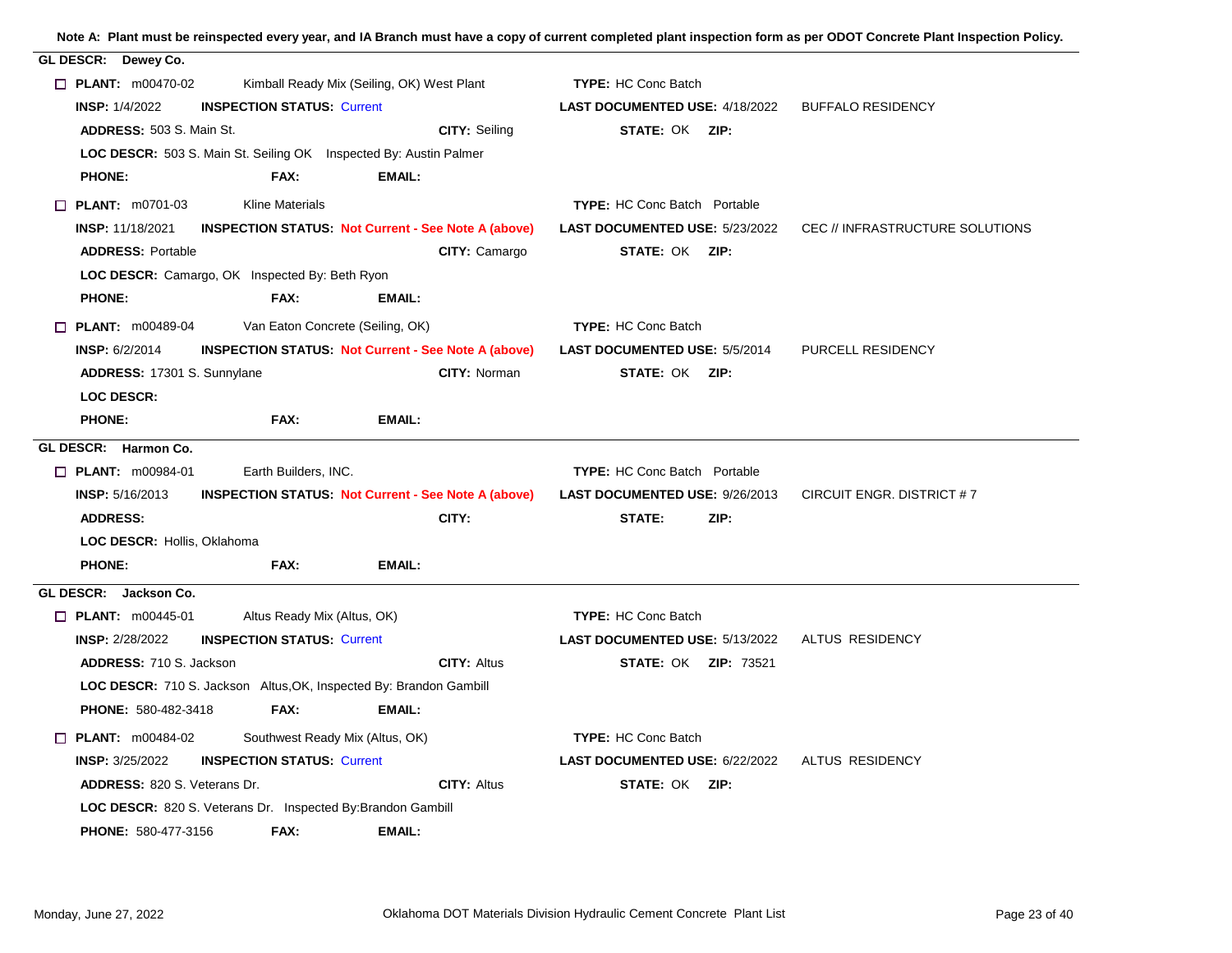| GL DESCR: Dewey Co.       |                                     |                                                                           |               |                                                           |                                       |                             |                                 |
|---------------------------|-------------------------------------|---------------------------------------------------------------------------|---------------|-----------------------------------------------------------|---------------------------------------|-----------------------------|---------------------------------|
| $\Box$ PLANT: m00470-02   |                                     | Kimball Ready Mix (Seiling, OK) West Plant                                |               |                                                           | <b>TYPE: HC Conc Batch</b>            |                             |                                 |
| <b>INSP: 1/4/2022</b>     |                                     | <b>INSPECTION STATUS: Current</b>                                         |               |                                                           | <b>LAST DOCUMENTED USE: 4/18/2022</b> |                             | <b>BUFFALO RESIDENCY</b>        |
|                           | ADDRESS: 503 S. Main St.            |                                                                           |               | <b>CITY: Seiling</b>                                      | STATE: OK ZIP:                        |                             |                                 |
|                           |                                     | LOC DESCR: 503 S. Main St. Seiling OK Inspected By: Austin Palmer         |               |                                                           |                                       |                             |                                 |
| <b>PHONE:</b>             |                                     | FAX:                                                                      | <b>EMAIL:</b> |                                                           |                                       |                             |                                 |
| $\Box$ PLANT: m0701-03    |                                     | <b>Kline Materials</b>                                                    |               |                                                           | <b>TYPE:</b> HC Conc Batch Portable   |                             |                                 |
| <b>INSP: 11/18/2021</b>   |                                     | <b>INSPECTION STATUS: Not Current - See Note A (above)</b>                |               |                                                           | <b>LAST DOCUMENTED USE: 5/23/2022</b> |                             | CEC // INFRASTRUCTURE SOLUTIONS |
|                           | <b>ADDRESS: Portable</b>            |                                                                           |               | CITY: Camargo                                             | STATE: OK ZIP:                        |                             |                                 |
|                           |                                     | LOC DESCR: Camargo, OK Inspected By: Beth Ryon                            |               |                                                           |                                       |                             |                                 |
| <b>PHONE:</b>             |                                     | FAX:                                                                      | EMAIL:        |                                                           |                                       |                             |                                 |
| $\Box$ PLANT: m00489-04   |                                     | Van Eaton Concrete (Seiling, OK)                                          |               |                                                           | TYPE: HC Conc Batch                   |                             |                                 |
| <b>INSP: 6/2/2014</b>     |                                     |                                                                           |               | <b>INSPECTION STATUS Not Current - See Note A (above)</b> | <b>LAST DOCUMENTED USE: 5/5/2014</b>  |                             | PURCELL RESIDENCY               |
|                           | ADDRESS: 17301 S. Sunnylane         |                                                                           |               | CITY: Norman                                              | <b>STATE: OK ZIP:</b>                 |                             |                                 |
| <b>LOC DESCR:</b>         |                                     |                                                                           |               |                                                           |                                       |                             |                                 |
| <b>PHONE:</b>             |                                     | FAX:                                                                      | <b>EMAIL:</b> |                                                           |                                       |                             |                                 |
| GL DESCR: Harmon Co.      |                                     |                                                                           |               |                                                           |                                       |                             |                                 |
| <b>D</b> PLANT: m00984-01 |                                     | Earth Builders, INC.                                                      |               |                                                           | <b>TYPE:</b> HC Conc Batch Portable   |                             |                                 |
| <b>INSP: 5/16/2013</b>    |                                     | <b>INSPECTION STATUS: Not Current - See Note A (above)</b>                |               |                                                           | LAST DOCUMENTED USE: 9/26/2013        |                             | CIRCUIT ENGR. DISTRICT #7       |
| <b>ADDRESS:</b>           |                                     |                                                                           |               | CITY:                                                     | <b>STATE:</b>                         | ZIP:                        |                                 |
|                           | LOC DESCR: Hollis, Oklahoma         |                                                                           |               |                                                           |                                       |                             |                                 |
| <b>PHONE:</b>             |                                     | FAX:                                                                      | EMAIL:        |                                                           |                                       |                             |                                 |
| GL DESCR: Jackson Co.     |                                     |                                                                           |               |                                                           |                                       |                             |                                 |
| $\Box$ PLANT: m00445-01   |                                     | Altus Ready Mix (Altus, OK)                                               |               |                                                           | <b>TYPE: HC Conc Batch</b>            |                             |                                 |
| <b>INSP: 2/28/2022</b>    |                                     | <b>INSPECTION STATUS: Current</b>                                         |               |                                                           | LAST DOCUMENTED USE: 5/13/2022        |                             | ALTUS RESIDENCY                 |
|                           | ADDRESS: 710 S. Jackson             |                                                                           |               | <b>CITY: Altus</b>                                        |                                       | <b>STATE: OK ZIP: 73521</b> |                                 |
|                           |                                     | <b>LOC DESCR:</b> 710 S. Jackson Altus, OK, Inspected By: Brandon Gambill |               |                                                           |                                       |                             |                                 |
|                           | <b>PHONE: 580-482-3418</b>          | FAX:                                                                      | <b>EMAIL:</b> |                                                           |                                       |                             |                                 |
| <b>PLANT:</b> $m00484-02$ |                                     | Southwest Ready Mix (Altus, OK)                                           |               |                                                           | <b>TYPE: HC Conc Batch</b>            |                             |                                 |
| <b>INSP: 3/25/2022</b>    |                                     | <b>INSPECTION STATUS: Current</b>                                         |               |                                                           | <b>LAST DOCUMENTED USE: 6/22/2022</b> |                             | ALTUS RESIDENCY                 |
|                           | <b>ADDRESS: 820 S. Veterans Dr.</b> |                                                                           |               | <b>CITY: Altus</b>                                        | STATE: OK ZIP:                        |                             |                                 |
|                           |                                     | <b>LOC DESCR:</b> 820 S. Veterans Dr. Inspected By: Brandon Gambill       |               |                                                           |                                       |                             |                                 |
|                           | PHONE: 580-477-3156                 | FAX:                                                                      | EMAIL:        |                                                           |                                       |                             |                                 |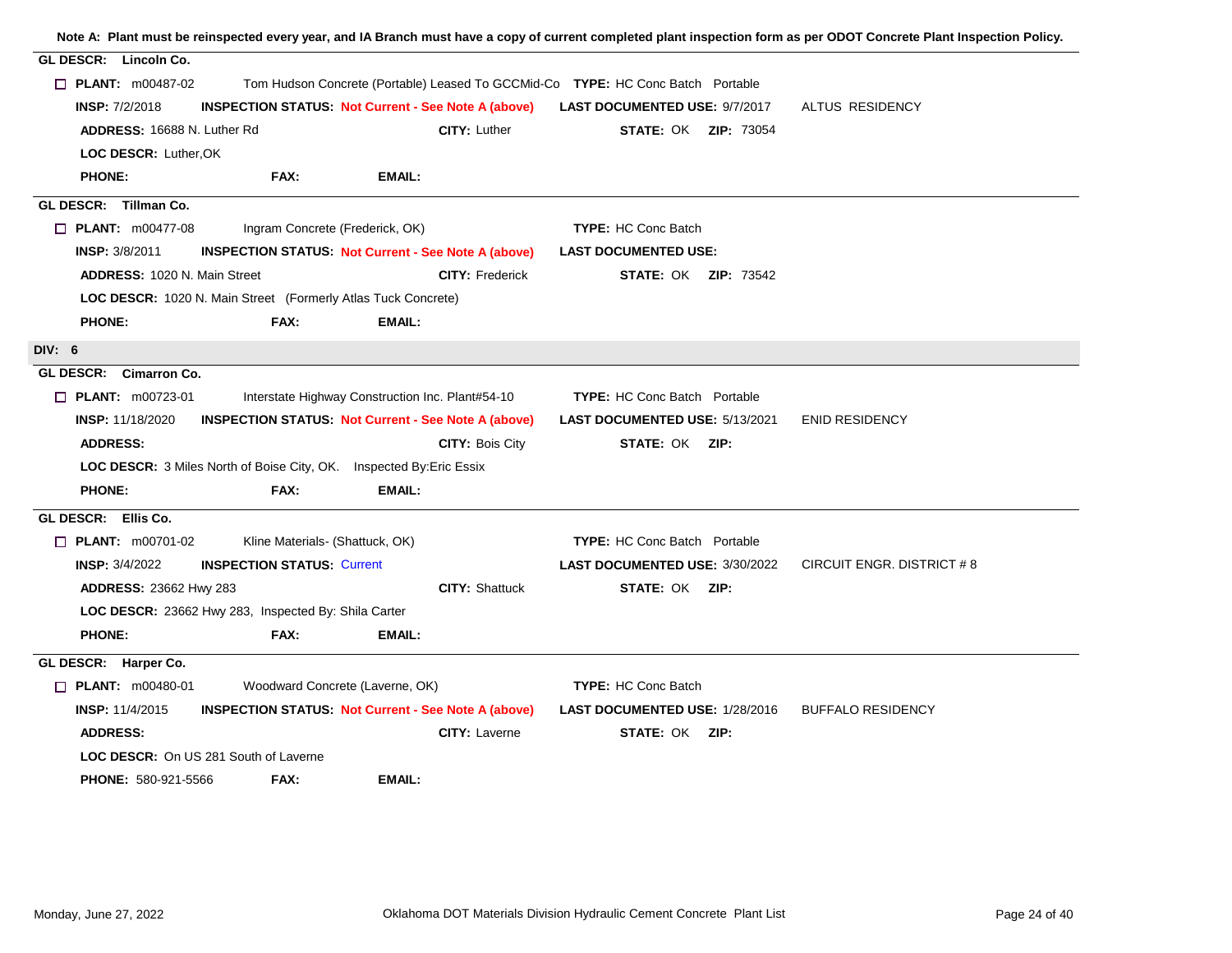|                                                                                                              | Note A: Plant must be reinspected every year, and IA Branch must have a copy of current completed plant inspection form as per ODOT Concrete Plant Inspection Policy. |
|--------------------------------------------------------------------------------------------------------------|-----------------------------------------------------------------------------------------------------------------------------------------------------------------------|
| GL DESCR: Lincoln Co.                                                                                        |                                                                                                                                                                       |
| $\Box$ PLANT: $m00487-02$<br>Tom Hudson Concrete (Portable) Leased To GCCMid-Co TYPE: HC Conc Batch Portable |                                                                                                                                                                       |
| <b>INSPECTION STATUS Not Current - See Note A (above)</b><br><b>INSP: 7/2/2018</b>                           | ALTUS RESIDENCY<br><b>LAST DOCUMENTED USE: 9/7/2017</b>                                                                                                               |
| CITY: Luther<br>ADDRESS: 16688 N. Luther Rd                                                                  | <b>STATE: OK ZIP: 73054</b>                                                                                                                                           |
| LOC DESCR: Luther, OK                                                                                        |                                                                                                                                                                       |
| <b>PHONE:</b><br>FAX:<br><b>EMAIL:</b>                                                                       |                                                                                                                                                                       |
| GL DESCR: Tillman Co.                                                                                        |                                                                                                                                                                       |
| $\Box$ PLANT: m00477-08<br>Ingram Concrete (Frederick, OK)                                                   | <b>TYPE: HC Conc Batch</b>                                                                                                                                            |
| <b>INSP: 3/8/2011</b><br><b>INSPECTION STATUS: Not Current - See Note A (above)</b>                          | <b>LAST DOCUMENTED USE:</b>                                                                                                                                           |
| <b>ADDRESS: 1020 N. Main Street</b><br><b>CITY: Frederick</b>                                                | <b>STATE: OK ZIP: 73542</b>                                                                                                                                           |
| <b>LOC DESCR: 1020 N. Main Street (Formerly Atlas Tuck Concrete)</b>                                         |                                                                                                                                                                       |
| <b>PHONE:</b><br>FAX:<br><b>EMAIL:</b>                                                                       |                                                                                                                                                                       |
| DIV: 6                                                                                                       |                                                                                                                                                                       |
| GL DESCR: Cimarron Co.                                                                                       |                                                                                                                                                                       |
| $\Box$ PLANT: m00723-01<br>Interstate Highway Construction Inc. Plant#54-10                                  | <b>TYPE:</b> HC Conc Batch Portable                                                                                                                                   |
| <b>INSPECTION STATUS: Not Current - See Note A (above)</b><br><b>INSP: 11/18/2020</b>                        | LAST DOCUMENTED USE: 5/13/2021<br><b>ENID RESIDENCY</b>                                                                                                               |
| <b>ADDRESS:</b><br><b>CITY: Bois City</b>                                                                    | STATE: OK ZIP:                                                                                                                                                        |
| <b>LOC DESCR:</b> 3 Miles North of Boise City, OK. Inspected By: Eric Essix                                  |                                                                                                                                                                       |
| <b>PHONE:</b><br>FAX:<br><b>EMAIL:</b>                                                                       |                                                                                                                                                                       |
| GL DESCR: Ellis Co.                                                                                          |                                                                                                                                                                       |
| <b>D</b> PLANT: m00701-02<br>Kline Materials- (Shattuck, OK)                                                 | <b>TYPE:</b> HC Conc Batch Portable                                                                                                                                   |
| <b>INSP: 3/4/2022</b><br><b>INSPECTION STATUS: Current</b>                                                   | LAST DOCUMENTED USE: 3/30/2022<br>CIRCUIT ENGR. DISTRICT #8                                                                                                           |
| <b>CITY: Shattuck</b><br><b>ADDRESS: 23662 Hwy 283</b>                                                       | <b>STATE: OK ZIP:</b>                                                                                                                                                 |
| LOC DESCR: 23662 Hwy 283, Inspected By: Shila Carter                                                         |                                                                                                                                                                       |
| <b>PHONE:</b><br>FAX:<br><b>EMAIL:</b>                                                                       |                                                                                                                                                                       |
| GL DESCR: Harper Co.                                                                                         |                                                                                                                                                                       |
| $\Box$ PLANT: $m00480-01$<br>Woodward Concrete (Laverne, OK)                                                 | <b>TYPE: HC Conc Batch</b>                                                                                                                                            |
| <b>INSPECTION STATUS: Not Current - See Note A (above)</b><br><b>INSP: 11/4/2015</b>                         | <b>BUFFALO RESIDENCY</b><br><b>LAST DOCUMENTED USE: 1/28/2016</b>                                                                                                     |
| <b>ADDRESS:</b><br><b>CITY: Laverne</b>                                                                      | STATE: OK ZIP:                                                                                                                                                        |
| <b>LOC DESCR:</b> On US 281 South of Laverne                                                                 |                                                                                                                                                                       |
| <b>EMAIL:</b><br><b>PHONE: 580-921-5566</b><br>FAX:                                                          |                                                                                                                                                                       |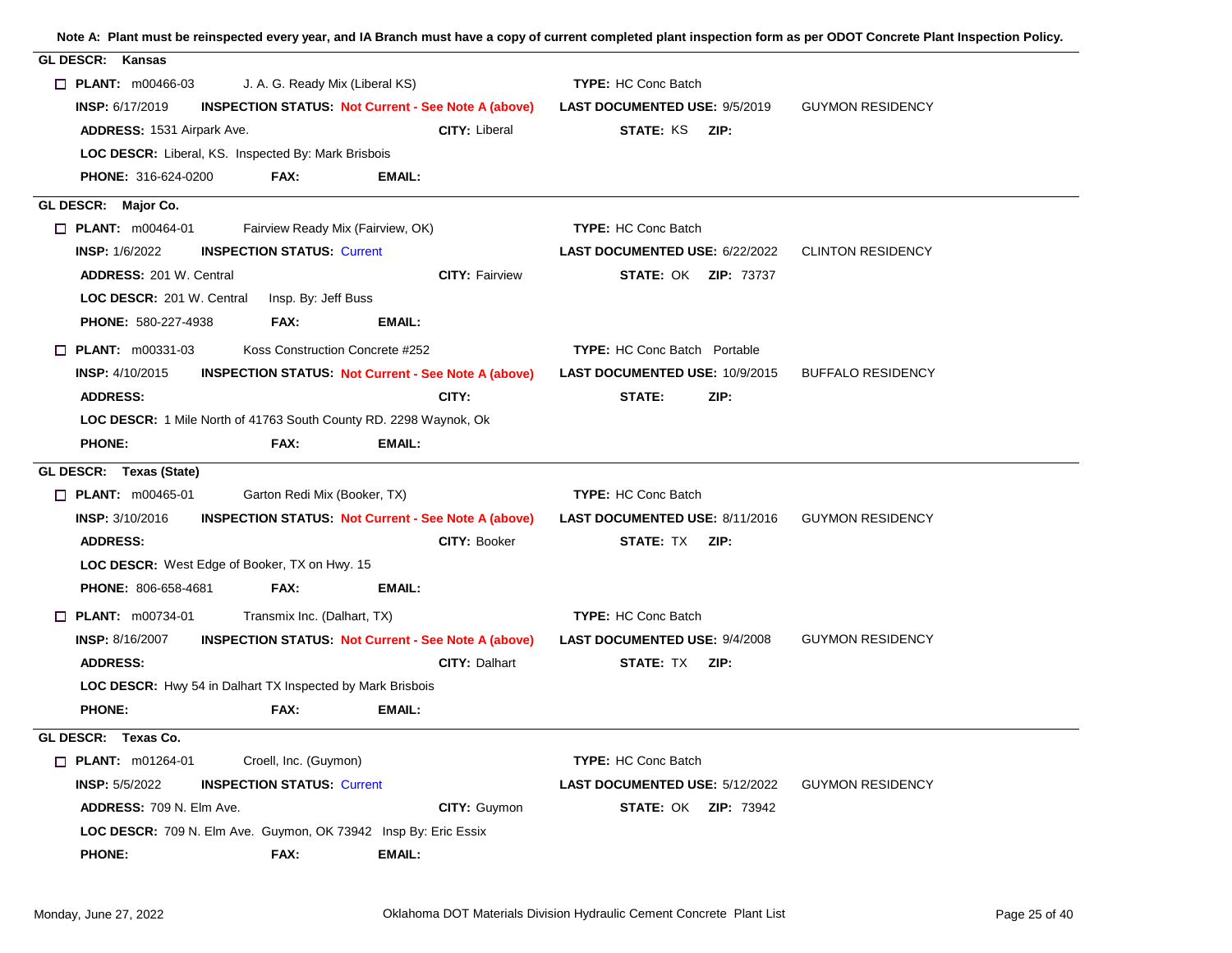| GL DESCR: Kansas                                                                     |                       |                                      |                          |
|--------------------------------------------------------------------------------------|-----------------------|--------------------------------------|--------------------------|
| $\Box$ PLANT: m00466-03<br>J. A. G. Ready Mix (Liberal KS)                           |                       | <b>TYPE: HC Conc Batch</b>           |                          |
| INSP: 6/17/2019<br><b>INSPECTION STATUS: Not Current - See Note A (above)</b>        |                       | LAST DOCUMENTED USE: 9/5/2019        | <b>GUYMON RESIDENCY</b>  |
| <b>ADDRESS: 1531 Airpark Ave.</b>                                                    | <b>CITY: Liberal</b>  | <b>STATE: KS ZIP:</b>                |                          |
| LOC DESCR: Liberal, KS. Inspected By: Mark Brisbois                                  |                       |                                      |                          |
| FAX:<br><b>PHONE: 316-624-0200</b><br>EMAIL:                                         |                       |                                      |                          |
| GL DESCR: Major Co.                                                                  |                       |                                      |                          |
| $\Box$ PLANT: m00464-01<br>Fairview Ready Mix (Fairview, OK)                         |                       | <b>TYPE: HC Conc Batch</b>           |                          |
| <b>INSP: 1/6/2022</b><br><b>INSPECTION STATUS: Current</b>                           |                       | LAST DOCUMENTED USE: 6/22/2022       | <b>CLINTON RESIDENCY</b> |
| <b>ADDRESS: 201 W. Central</b>                                                       | <b>CITY: Fairview</b> | <b>STATE: OK ZIP: 73737</b>          |                          |
| Insp. By: Jeff Buss<br>LOC DESCR: 201 W. Central                                     |                       |                                      |                          |
| <b>PHONE: 580-227-4938</b><br>FAX:<br>EMAIL:                                         |                       |                                      |                          |
| $\Box$ PLANT: $m00331-03$<br>Koss Construction Concrete #252                         |                       | <b>TYPE: HC Conc Batch Portable</b>  |                          |
| <b>INSP: 4/10/2015</b><br><b>INSPECTION STATUS Not Current - See Note A (above)</b>  |                       | LAST DOCUMENTED USE: 10/9/2015       | <b>BUFFALO RESIDENCY</b> |
| <b>ADDRESS:</b>                                                                      | CITY:                 | STATE:<br>ZIP:                       |                          |
| LOC DESCR: 1 Mile North of 41763 South County RD. 2298 Waynok, Ok                    |                       |                                      |                          |
| <b>PHONE:</b><br>FAX:<br><b>EMAIL:</b>                                               |                       |                                      |                          |
| GL DESCR: Texas (State)                                                              |                       |                                      |                          |
| $\Box$ PLANT: m00465-01<br>Garton Redi Mix (Booker, TX)                              |                       | <b>TYPE: HC Conc Batch</b>           |                          |
| <b>INSP: 3/10/2016</b><br><b>INSPECTION STATUS. Not Current - See Note A (above)</b> |                       | LAST DOCUMENTED USE: 8/11/2016       | <b>GUYMON RESIDENCY</b>  |
| <b>ADDRESS:</b>                                                                      | CITY: Booker          | <b>STATE: TX ZIP:</b>                |                          |
| LOC DESCR: West Edge of Booker, TX on Hwy. 15                                        |                       |                                      |                          |
| PHONE: 806-658-4681<br>FAX:<br><b>EMAIL:</b>                                         |                       |                                      |                          |
| Transmix Inc. (Dalhart, TX)<br>$\Box$ PLANT: m00734-01                               |                       | <b>TYPE: HC Conc Batch</b>           |                          |
| <b>INSP: 8/16/2007</b><br><b>INSPECTION STATUS: Not Current - See Note A (above)</b> |                       | <b>LAST DOCUMENTED USE: 9/4/2008</b> | <b>GUYMON RESIDENCY</b>  |
| <b>ADDRESS:</b>                                                                      | <b>CITY: Dalhart</b>  | STATE: TX ZIP:                       |                          |
| <b>LOC DESCR:</b> Hwy 54 in Dalhart TX Inspected by Mark Brisbois                    |                       |                                      |                          |
| <b>PHONE:</b><br>FAX:<br><b>EMAIL:</b>                                               |                       |                                      |                          |
| GL DESCR: Texas Co.                                                                  |                       |                                      |                          |
| $\Box$ PLANT: m01264-01<br>Croell, Inc. (Guymon)                                     |                       | <b>TYPE: HC Conc Batch</b>           |                          |
| <b>INSPECTION STATUS: Current</b><br><b>INSP: 5/5/2022</b>                           |                       | LAST DOCUMENTED USE: 5/12/2022       | <b>GUYMON RESIDENCY</b>  |
| <b>ADDRESS: 709 N. Elm Ave.</b>                                                      | CITY: Guymon          | <b>STATE: OK ZIP: 73942</b>          |                          |
| LOC DESCR: 709 N. Elm Ave. Guymon, OK 73942 Insp By: Eric Essix                      |                       |                                      |                          |
| <b>PHONE:</b><br>FAX:<br><b>EMAIL:</b>                                               |                       |                                      |                          |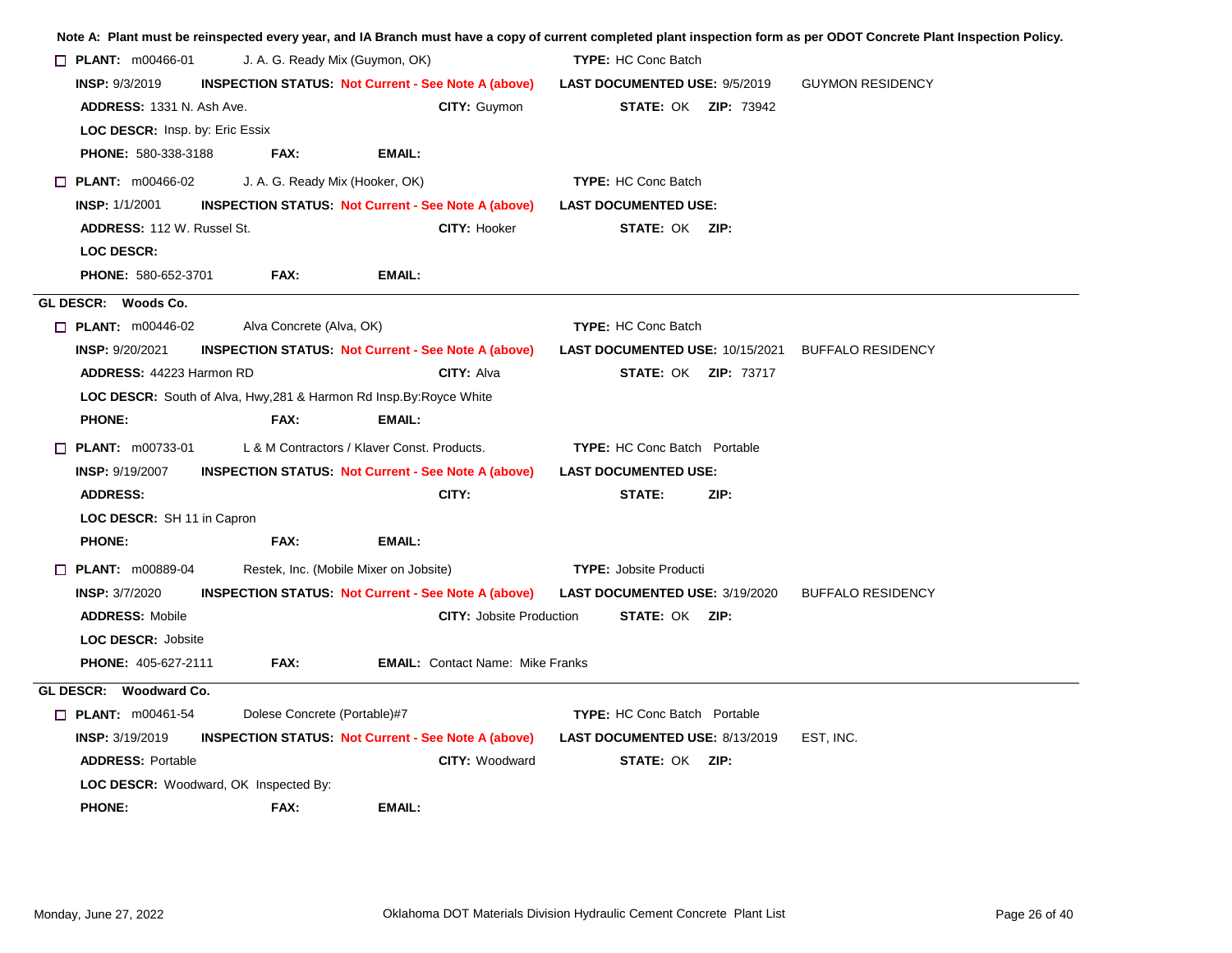|                                              |                                 |                                                                             |                                        | Note A: Plant must be reinspected every year, and IA Branch must have a copy of current completed plant inspection form as per ODOT Concrete Plant Inspection Policy. |
|----------------------------------------------|---------------------------------|-----------------------------------------------------------------------------|----------------------------------------|-----------------------------------------------------------------------------------------------------------------------------------------------------------------------|
| $\Box$ PLANT: m00466-01                      | J. A. G. Ready Mix (Guymon, OK) |                                                                             | <b>TYPE:</b> HC Conc Batch             |                                                                                                                                                                       |
| <b>INSP: 9/3/2019</b>                        |                                 | <b>INSPECTION STATUS: Not Current - See Note A (above)</b>                  | <b>LAST DOCUMENTED USE: 9/5/2019</b>   | <b>GUYMON RESIDENCY</b>                                                                                                                                               |
| <b>ADDRESS: 1331 N. Ash Ave.</b>             |                                 | <b>CITY: Guymon</b>                                                         | <b>STATE: OK ZIP: 73942</b>            |                                                                                                                                                                       |
| <b>LOC DESCR: Insp. by: Eric Essix</b>       |                                 |                                                                             |                                        |                                                                                                                                                                       |
| <b>PHONE: 580-338-3188</b>                   | FAX:                            | EMAIL:                                                                      |                                        |                                                                                                                                                                       |
| $\Box$ PLANT: m00466-02                      | J. A. G. Ready Mix (Hooker, OK) |                                                                             | <b>TYPE: HC Conc Batch</b>             |                                                                                                                                                                       |
| <b>INSP: 1/1/2001</b>                        |                                 | <b>INSPECTION STATUS: Not Current - See Note A (above)</b>                  | <b>LAST DOCUMENTED USE:</b>            |                                                                                                                                                                       |
| <b>ADDRESS: 112 W. Russel St.</b>            |                                 | CITY: Hooker                                                                | <b>STATE: OK ZIP:</b>                  |                                                                                                                                                                       |
| <b>LOC DESCR:</b>                            |                                 |                                                                             |                                        |                                                                                                                                                                       |
| PHONE: 580-652-3701                          | FAX:                            | EMAIL:                                                                      |                                        |                                                                                                                                                                       |
| GL DESCR: Woods Co.                          |                                 |                                                                             |                                        |                                                                                                                                                                       |
| $\Box$ PLANT: $m00446-02$                    | Alva Concrete (Alva, OK)        |                                                                             | <b>TYPE: HC Conc Batch</b>             |                                                                                                                                                                       |
| <b>INSP: 9/20/2021</b>                       |                                 | <b>INSPECTION STATUS Not Current - See Note A (above)</b>                   | <b>LAST DOCUMENTED USE: 10/15/2021</b> | <b>BUFFALO RESIDENCY</b>                                                                                                                                              |
| ADDRESS: 44223 Harmon RD                     |                                 | CITY: Alva                                                                  | <b>STATE: OK ZIP: 73717</b>            |                                                                                                                                                                       |
|                                              |                                 | <b>LOC DESCR:</b> South of Alva, Hwy, 281 & Harmon Rd Insp. By: Royce White |                                        |                                                                                                                                                                       |
| <b>PHONE:</b>                                | FAX:                            | EMAIL:                                                                      |                                        |                                                                                                                                                                       |
| $\Box$ PLANT: m00733-01                      |                                 | L & M Contractors / Klaver Const, Products,                                 | <b>TYPE:</b> HC Conc Batch Portable    |                                                                                                                                                                       |
| <b>INSP: 9/19/2007</b>                       |                                 | <b>INSPECTION STATUS: Not Current - See Note A (above)</b>                  | <b>LAST DOCUMENTED USE:</b>            |                                                                                                                                                                       |
| <b>ADDRESS:</b>                              |                                 | CITY:                                                                       | STATE:<br>ZIP:                         |                                                                                                                                                                       |
| LOC DESCR: SH 11 in Capron                   |                                 |                                                                             |                                        |                                                                                                                                                                       |
| <b>PHONE:</b>                                | FAX:                            | <b>EMAIL:</b>                                                               |                                        |                                                                                                                                                                       |
| $\Box$ PLANT: m00889-04                      |                                 | Restek, Inc. (Mobile Mixer on Jobsite)                                      | <b>TYPE: Jobsite Producti</b>          |                                                                                                                                                                       |
| <b>INSP: 3/7/2020</b>                        |                                 | <b>INSPECTION STATUS: Not Current - See Note A (above)</b>                  | LAST DOCUMENTED USE: 3/19/2020         | <b>BUFFALO RESIDENCY</b>                                                                                                                                              |
| <b>ADDRESS: Mobile</b>                       |                                 | <b>CITY: Jobsite Production</b>                                             | <b>STATE: OK ZIP:</b>                  |                                                                                                                                                                       |
| <b>LOC DESCR: Jobsite</b>                    |                                 |                                                                             |                                        |                                                                                                                                                                       |
| PHONE: 405-627-2111                          | FAX:                            | <b>EMAIL:</b> Contact Name: Mike Franks                                     |                                        |                                                                                                                                                                       |
| GL DESCR: Woodward Co.                       |                                 |                                                                             |                                        |                                                                                                                                                                       |
| $\Box$ PLANT: m00461-54                      | Dolese Concrete (Portable)#7    |                                                                             | <b>TYPE:</b> HC Conc Batch Portable    |                                                                                                                                                                       |
| <b>INSP: 3/19/2019</b>                       |                                 | <b>INSPECTION STATUS: Not Current - See Note A (above)</b>                  | <b>LAST DOCUMENTED USE: 8/13/2019</b>  | EST, INC.                                                                                                                                                             |
| <b>ADDRESS: Portable</b>                     |                                 | CITY: Woodward                                                              | <b>STATE: OK ZIP:</b>                  |                                                                                                                                                                       |
| <b>LOC DESCR:</b> Woodward, OK Inspected By: |                                 |                                                                             |                                        |                                                                                                                                                                       |
| <b>PHONE:</b>                                | FAX:                            | <b>EMAIL:</b>                                                               |                                        |                                                                                                                                                                       |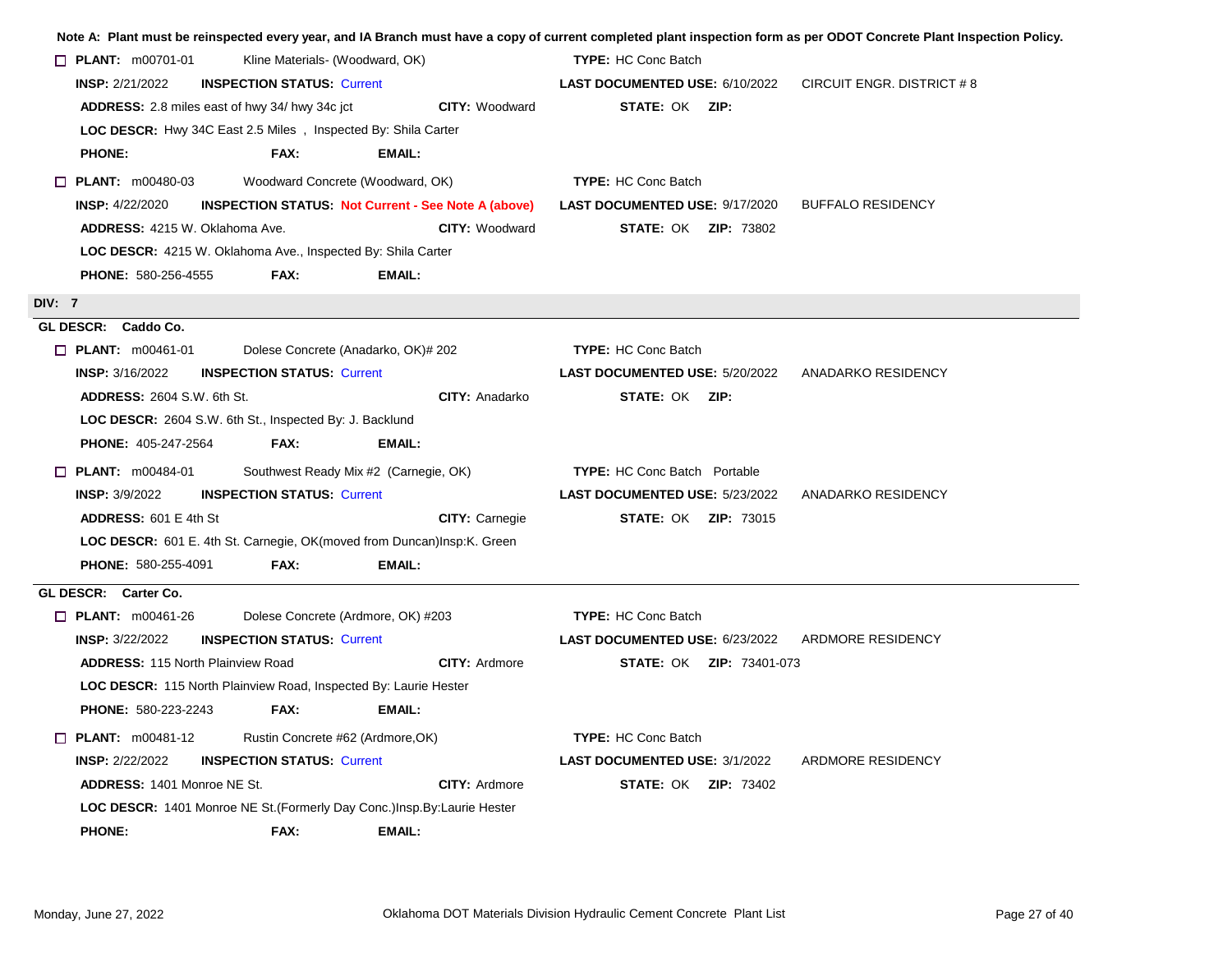|                                                                                      | Note A: Plant must be reinspected every year, and IA Branch must have a copy of current completed plant inspection form as per ODOT Concrete Plant Inspection Policy. |
|--------------------------------------------------------------------------------------|-----------------------------------------------------------------------------------------------------------------------------------------------------------------------|
| <b>PLANT:</b> $m00701-01$<br>Kline Materials- (Woodward, OK)                         | <b>TYPE: HC Conc Batch</b>                                                                                                                                            |
| <b>INSP: 2/21/2022</b><br><b>INSPECTION STATUS: Current</b>                          | LAST DOCUMENTED USE: 6/10/2022<br>CIRCUIT ENGR. DISTRICT # 8                                                                                                          |
| ADDRESS: 2.8 miles east of hwy 34/ hwy 34c jct                                       | <b>CITY: Woodward</b><br><b>STATE: OK ZIP:</b>                                                                                                                        |
| LOC DESCR: Hwy 34C East 2.5 Miles, Inspected By: Shila Carter                        |                                                                                                                                                                       |
| <b>PHONE:</b><br>FAX:<br>EMAIL:                                                      |                                                                                                                                                                       |
| Woodward Concrete (Woodward, OK)<br>$\Box$ PLANT: m00480-03                          | <b>TYPE:</b> HC Conc Batch                                                                                                                                            |
| <b>INSP:</b> 4/22/2020<br><b>INSPECTION STATUS: Not Current - See Note A (above)</b> | <b>LAST DOCUMENTED USE: 9/17/2020</b><br><b>BUFFALO RESIDENCY</b>                                                                                                     |
| ADDRESS: 4215 W. Oklahoma Ave.                                                       | <b>CITY: Woodward</b><br><b>STATE: OK ZIP: 73802</b>                                                                                                                  |
| LOC DESCR: 4215 W. Oklahoma Ave., Inspected By: Shila Carter                         |                                                                                                                                                                       |
| <b>PHONE: 580-256-4555</b><br>FAX:<br>EMAIL:                                         |                                                                                                                                                                       |
| <b>DIV: 7</b>                                                                        |                                                                                                                                                                       |
| GL DESCR: Caddo Co.                                                                  |                                                                                                                                                                       |
| Dolese Concrete (Anadarko, OK)# 202<br>$\Box$ PLANT: m00461-01                       | <b>TYPE: HC Conc Batch</b>                                                                                                                                            |
| <b>INSPECTION STATUS: Current</b><br><b>INSP:</b> 3/16/2022                          | <b>LAST DOCUMENTED USE: 5/20/2022</b><br>ANADARKO RESIDENCY                                                                                                           |
| <b>ADDRESS: 2604 S.W. 6th St.</b>                                                    | <b>CITY: Anadarko</b><br><b>STATE: OK ZIP:</b>                                                                                                                        |
| LOC DESCR: 2604 S.W. 6th St., Inspected By: J. Backlund                              |                                                                                                                                                                       |
| PHONE: 405-247-2564<br><b>FAX:</b><br>EMAIL:                                         |                                                                                                                                                                       |
| $\Box$ PLANT: m00484-01<br>Southwest Ready Mix #2 (Carnegie, OK)                     | <b>TYPE:</b> HC Conc Batch Portable                                                                                                                                   |
| <b>INSP: 3/9/2022</b><br><b>INSPECTION STATUS: Current</b>                           | LAST DOCUMENTED USE: 5/23/2022<br>ANADARKO RESIDENCY                                                                                                                  |
| ADDRESS: 601 E 4th St                                                                | <b>STATE: OK ZIP: 73015</b><br><b>CITY: Carnegie</b>                                                                                                                  |
| LOC DESCR: 601 E. 4th St. Carnegie, OK(moved from Duncan)Insp:K. Green               |                                                                                                                                                                       |
| PHONE: 580-255-4091<br>FAX:<br>EMAIL:                                                |                                                                                                                                                                       |
| GL DESCR: Carter Co.                                                                 |                                                                                                                                                                       |
| Dolese Concrete (Ardmore, OK) #203<br>$\Box$ PLANT: m00461-26                        | <b>TYPE: HC Conc Batch</b>                                                                                                                                            |
| <b>INSP: 3/22/2022</b><br><b>INSPECTION STATUS: Current</b>                          | <b>LAST DOCUMENTED USE: 6/23/2022 ARDMORE RESIDENCY</b>                                                                                                               |
| ADDRESS: 115 North Plainview Road                                                    | <b>CITY: Ardmore</b><br><b>STATE: OK ZIP: 73401-073</b>                                                                                                               |
| LOC DESCR: 115 North Plainview Road, Inspected By: Laurie Hester                     |                                                                                                                                                                       |
| <b>PHONE: 580-223-2243</b><br>FAX:<br>EMAIL:                                         |                                                                                                                                                                       |
| Rustin Concrete #62 (Ardmore, OK)<br>$\Box$ PLANT: m00481-12                         | <b>TYPE: HC Conc Batch</b>                                                                                                                                            |
| <b>INSP: 2/22/2022</b><br><b>INSPECTION STATUS: Current</b>                          | <b>LAST DOCUMENTED USE: 3/1/2022</b><br>ARDMORE RESIDENCY                                                                                                             |
| <b>ADDRESS: 1401 Monroe NE St.</b>                                                   | <b>CITY: Ardmore</b><br><b>STATE: OK ZIP: 73402</b>                                                                                                                   |
| LOC DESCR: 1401 Monroe NE St. (Formerly Day Conc.) Insp. By: Laurie Hester           |                                                                                                                                                                       |
| <b>PHONE:</b><br>FAX:<br>EMAIL:                                                      |                                                                                                                                                                       |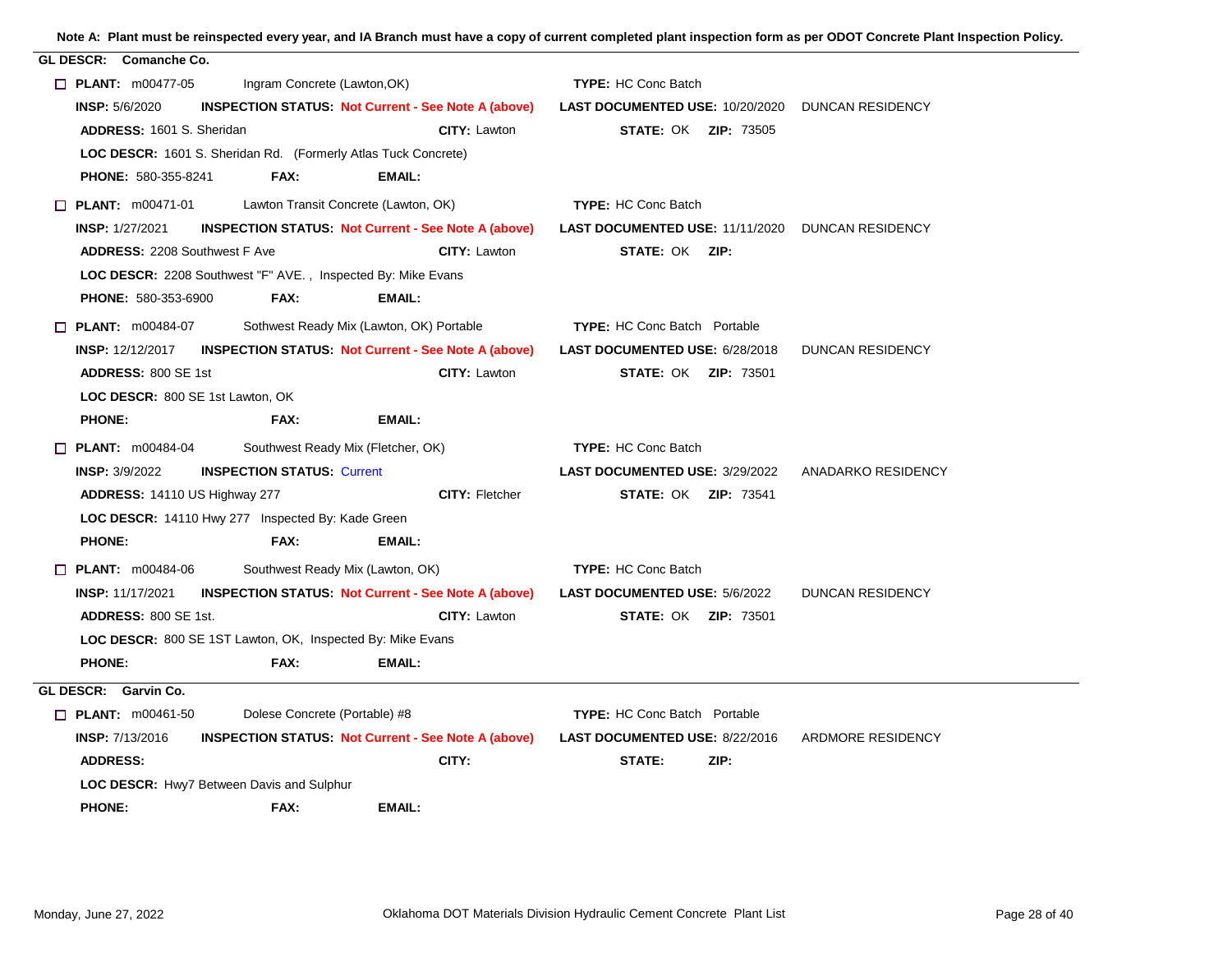| Note A: Plant must be reinspected every year, and IA Branch must have a copy of current completed plant inspection form as per ODOT Concrete Plant Inspection Policy. |  |
|-----------------------------------------------------------------------------------------------------------------------------------------------------------------------|--|
| ----- - - - -                                                                                                                                                         |  |

| GL DESCR: Comanche Co.                                              |                                      |                                                            |                                                                                                      |                    |
|---------------------------------------------------------------------|--------------------------------------|------------------------------------------------------------|------------------------------------------------------------------------------------------------------|--------------------|
| $\Box$ PLANT: m00477-05                                             | Ingram Concrete (Lawton, OK)         |                                                            | <b>TYPE: HC Conc Batch</b>                                                                           |                    |
| <b>INSP: 5/6/2020</b>                                               |                                      |                                                            | INSPECTION STATUS: Not Current - See Note A (above) LAST DOCUMENTED USE: 10/20/2020 DUNCAN RESIDENCY |                    |
| ADDRESS: 1601 S. Sheridan                                           |                                      | <b>CITY: Lawton</b>                                        | <b>STATE: OK ZIP: 73505</b>                                                                          |                    |
| LOC DESCR: 1601 S. Sheridan Rd. (Formerly Atlas Tuck Concrete)      |                                      |                                                            |                                                                                                      |                    |
| <b>PHONE: 580-355-8241</b>                                          | FAX:                                 | EMAIL:                                                     |                                                                                                      |                    |
| $\Box$ PLANT: $m00471-01$                                           | Lawton Transit Concrete (Lawton, OK) |                                                            | <b>TYPE: HC Conc Batch</b>                                                                           |                    |
| <b>INSP: 1/27/2021</b>                                              |                                      | <b>INSPECTION STATUS Not Current - See Note A (above)</b>  | <b>LAST DOCUMENTED USE: 11/11/2020 DUNCAN RESIDENCY</b>                                              |                    |
| <b>ADDRESS: 2208 Southwest F Ave</b>                                |                                      | CITY: Lawton                                               | <b>STATE: OK ZIP:</b>                                                                                |                    |
| <b>LOC DESCR: 2208 Southwest "F" AVE., Inspected By: Mike Evans</b> |                                      |                                                            |                                                                                                      |                    |
| <b>PHONE: 580-353-6900</b>                                          | FAX:                                 | EMAIL:                                                     |                                                                                                      |                    |
| $\Box$ PLANT: m00484-07                                             |                                      | Sothwest Ready Mix (Lawton, OK) Portable                   | <b>TYPE:</b> HC Conc Batch Portable                                                                  |                    |
| <b>INSP: 12/12/2017</b>                                             |                                      | <b>INSPECTION STATUS Not Current - See Note A (above)</b>  | <b>LAST DOCUMENTED USE: 6/28/2018</b>                                                                | DUNCAN RESIDENCY   |
| ADDRESS: 800 SE 1st                                                 |                                      | CITY: Lawton                                               | <b>STATE: OK ZIP: 73501</b>                                                                          |                    |
| LOC DESCR: 800 SE 1st Lawton, OK                                    |                                      |                                                            |                                                                                                      |                    |
| <b>PHONE:</b>                                                       | FAX:                                 | <b>EMAIL:</b>                                              |                                                                                                      |                    |
| $\Box$ PLANT: m00484-04                                             | Southwest Ready Mix (Fletcher, OK)   |                                                            | <b>TYPE: HC Conc Batch</b>                                                                           |                    |
| <b>INSP:</b> $3/9/2022$                                             | <b>INSPECTION STATUS: Current</b>    |                                                            | <b>LAST DOCUMENTED USE: 3/29/2022</b>                                                                | ANADARKO RESIDENCY |
| ADDRESS: 14110 US Highway 277                                       |                                      | <b>CITY: Fletcher</b>                                      | <b>STATE: OK ZIP: 73541</b>                                                                          |                    |
| LOC DESCR: 14110 Hwy 277 Inspected By: Kade Green                   |                                      |                                                            |                                                                                                      |                    |
| <b>PHONE:</b>                                                       | FAX:                                 | EMAIL:                                                     |                                                                                                      |                    |
| $\Box$ PLANT: m00484-06                                             | Southwest Ready Mix (Lawton, OK)     |                                                            | <b>TYPE: HC Conc Batch</b>                                                                           |                    |
| <b>INSP: 11/17/2021</b>                                             |                                      | <b>INSPECTION STATUS: Not Current - See Note A (above)</b> | <b>LAST DOCUMENTED USE: 5/6/2022</b>                                                                 | DUNCAN RESIDENCY   |
| <b>ADDRESS: 800 SE 1st.</b>                                         |                                      | <b>CITY: Lawton</b>                                        | <b>STATE: OK ZIP: 73501</b>                                                                          |                    |
| LOC DESCR: 800 SE 1ST Lawton, OK, Inspected By: Mike Evans          |                                      |                                                            |                                                                                                      |                    |
| <b>PHONE:</b>                                                       | FAX:                                 | EMAIL:                                                     |                                                                                                      |                    |
| GL DESCR: Garvin Co.                                                |                                      |                                                            |                                                                                                      |                    |
| $\Box$ PLANT: m00461-50                                             | Dolese Concrete (Portable) #8        |                                                            | <b>TYPE: HC Conc Batch Portable</b>                                                                  |                    |
| <b>INSP: 7/13/2016</b>                                              |                                      |                                                            | <b>INSPECTION STATUS: Not Current - See Note A (above) LAST DOCUMENTED USE: 8/22/2016</b>            | ARDMORE RESIDENCY  |
| <b>ADDRESS:</b>                                                     |                                      | CITY:                                                      | STATE:<br>ZIP:                                                                                       |                    |
| LOC DESCR: Hwy7 Between Davis and Sulphur                           |                                      |                                                            |                                                                                                      |                    |
| <b>PHONE:</b>                                                       | FAX:                                 | EMAIL:                                                     |                                                                                                      |                    |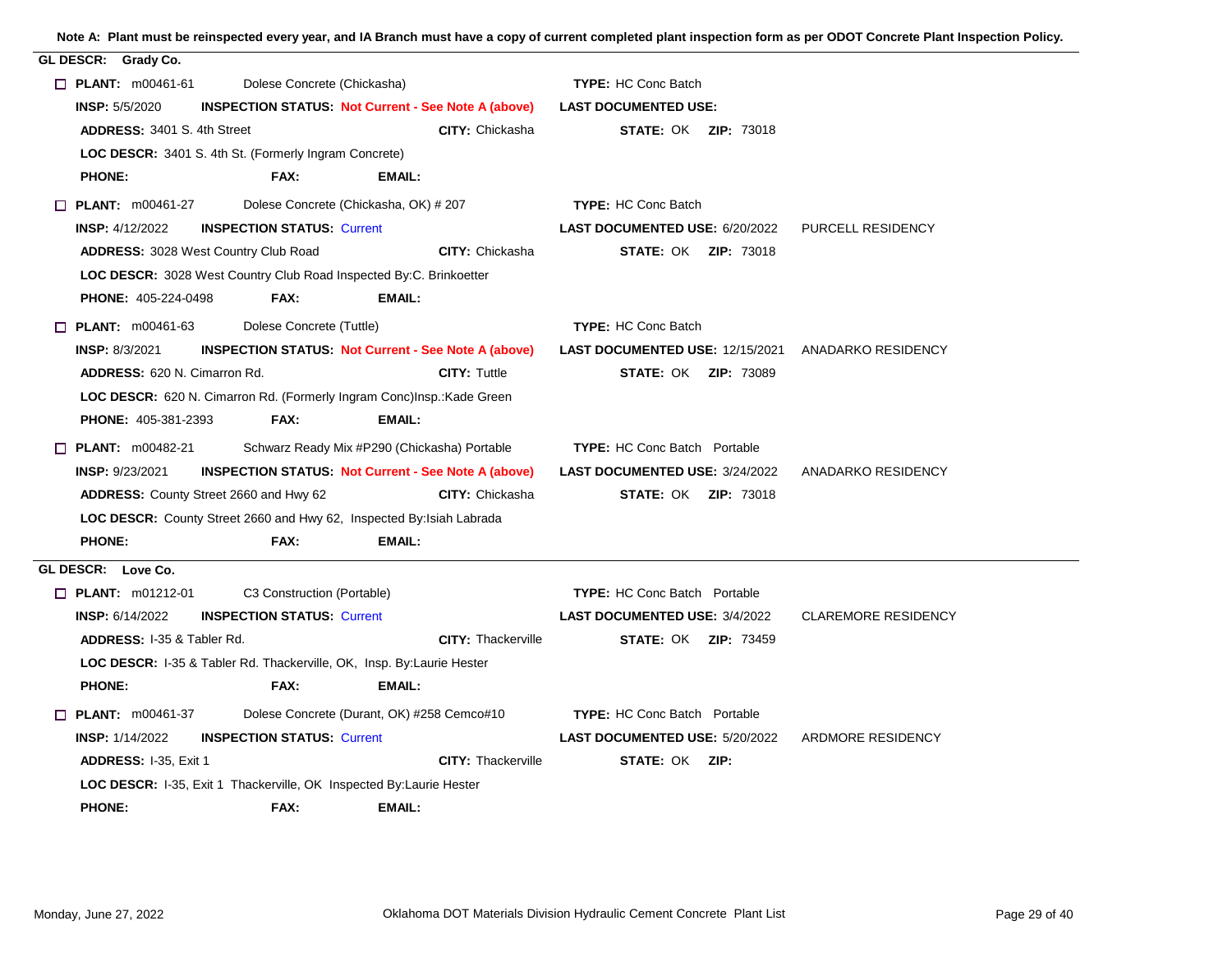| GL DESCR: Grady Co.                                                    |                                       |                                                                        |                                       |                                                           |
|------------------------------------------------------------------------|---------------------------------------|------------------------------------------------------------------------|---------------------------------------|-----------------------------------------------------------|
| $\Box$ PLANT: m00461-61                                                | Dolese Concrete (Chickasha)           |                                                                        | <b>TYPE: HC Conc Batch</b>            |                                                           |
| <b>INSP: 5/5/2020</b>                                                  |                                       | <b>INSPECTION STATUS Not Current - See Note A (above)</b>              | <b>LAST DOCUMENTED USE:</b>           |                                                           |
| <b>ADDRESS: 3401 S. 4th Street</b>                                     |                                       | <b>CITY: Chickasha</b>                                                 | <b>STATE: OK ZIP: 73018</b>           |                                                           |
| LOC DESCR: 3401 S. 4th St. (Formerly Ingram Concrete)                  |                                       |                                                                        |                                       |                                                           |
| <b>PHONE:</b>                                                          | FAX:                                  | EMAIL:                                                                 |                                       |                                                           |
| $\Box$ PLANT: $m00461-27$                                              | Dolese Concrete (Chickasha, OK) # 207 |                                                                        | <b>TYPE: HC Conc Batch</b>            |                                                           |
| <b>INSP: 4/12/2022</b>                                                 | <b>INSPECTION STATUS: Current</b>     |                                                                        | LAST DOCUMENTED USE: 6/20/2022        | PURCELL RESIDENCY                                         |
| <b>ADDRESS: 3028 West Country Club Road</b>                            |                                       | <b>CITY: Chickasha</b>                                                 | <b>STATE: OK ZIP: 73018</b>           |                                                           |
| LOC DESCR: 3028 West Country Club Road Inspected By:C. Brinkoetter     |                                       |                                                                        |                                       |                                                           |
| <b>PHONE: 405-224-0498</b>                                             | FAX:                                  | EMAIL:                                                                 |                                       |                                                           |
| $\Box$ PLANT: m00461-63                                                | Dolese Concrete (Tuttle)              |                                                                        | <b>TYPE: HC Conc Batch</b>            |                                                           |
| <b>INSP: 8/3/2021</b>                                                  |                                       | <b>INSPECTION STATUS: Not Current - See Note A (above)</b>             |                                       | <b>LAST DOCUMENTED USE: 12/15/2021 ANADARKO RESIDENCY</b> |
| <b>ADDRESS: 620 N. Cimarron Rd.</b>                                    |                                       | <b>CITY: Tuttle</b>                                                    | <b>STATE: OK ZIP: 73089</b>           |                                                           |
|                                                                        |                                       | LOC DESCR: 620 N. Cimarron Rd. (Formerly Ingram Conc)Insp.: Kade Green |                                       |                                                           |
| <b>PHONE: 405-381-2393</b>                                             | FAX:                                  | EMAIL:                                                                 |                                       |                                                           |
| $\Box$ PLANT: m00482-21                                                |                                       | Schwarz Ready Mix #P290 (Chickasha) Portable                           | <b>TYPE:</b> HC Conc Batch Portable   |                                                           |
| <b>INSP: 9/23/2021</b>                                                 |                                       | <b>INSPECTION STATUS: Not Current - See Note A (above)</b>             | <b>LAST DOCUMENTED USE: 3/24/2022</b> | ANADARKO RESIDENCY                                        |
| <b>ADDRESS:</b> County Street 2660 and Hwy 62                          |                                       | <b>CITY: Chickasha</b>                                                 | <b>STATE: OK ZIP: 73018</b>           |                                                           |
| LOC DESCR: County Street 2660 and Hwy 62, Inspected By: Isiah Labrada  |                                       |                                                                        |                                       |                                                           |
| <b>PHONE:</b>                                                          | <b>FAX:</b>                           | <b>EMAIL:</b>                                                          |                                       |                                                           |
| GL DESCR: Love Co.                                                     |                                       |                                                                        |                                       |                                                           |
| $\Box$ PLANT: m01212-01                                                | C3 Construction (Portable)            |                                                                        | <b>TYPE:</b> HC Conc Batch Portable   |                                                           |
| <b>INSP: 6/14/2022</b>                                                 | <b>INSPECTION STATUS: Current</b>     |                                                                        | <b>LAST DOCUMENTED USE: 3/4/2022</b>  | <b>CLAREMORE RESIDENCY</b>                                |
| <b>ADDRESS: 1-35 &amp; Tabler Rd.</b>                                  |                                       | <b>CITY: Thackerville</b>                                              | <b>STATE: OK ZIP: 73459</b>           |                                                           |
| LOC DESCR: 1-35 & Tabler Rd. Thackerville, OK, Insp. By: Laurie Hester |                                       |                                                                        |                                       |                                                           |
| <b>PHONE:</b>                                                          | FAX:                                  | EMAIL:                                                                 |                                       |                                                           |
| $\Box$ PLANT: $m00461-37$                                              |                                       | Dolese Concrete (Durant, OK) #258 Cemco#10                             | <b>TYPE:</b> HC Conc Batch Portable   |                                                           |
| <b>INSP: 1/14/2022</b>                                                 | <b>INSPECTION STATUS: Current</b>     |                                                                        | LAST DOCUMENTED USE: 5/20/2022        | ARDMORE RESIDENCY                                         |
| ADDRESS: I-35, Exit 1                                                  |                                       | <b>CITY: Thackerville</b>                                              | <b>STATE: OK ZIP:</b>                 |                                                           |
| LOC DESCR: I-35, Exit 1 Thackerville, OK Inspected By: Laurie Hester   |                                       |                                                                        |                                       |                                                           |
| <b>PHONE:</b>                                                          | FAX:                                  | EMAIL:                                                                 |                                       |                                                           |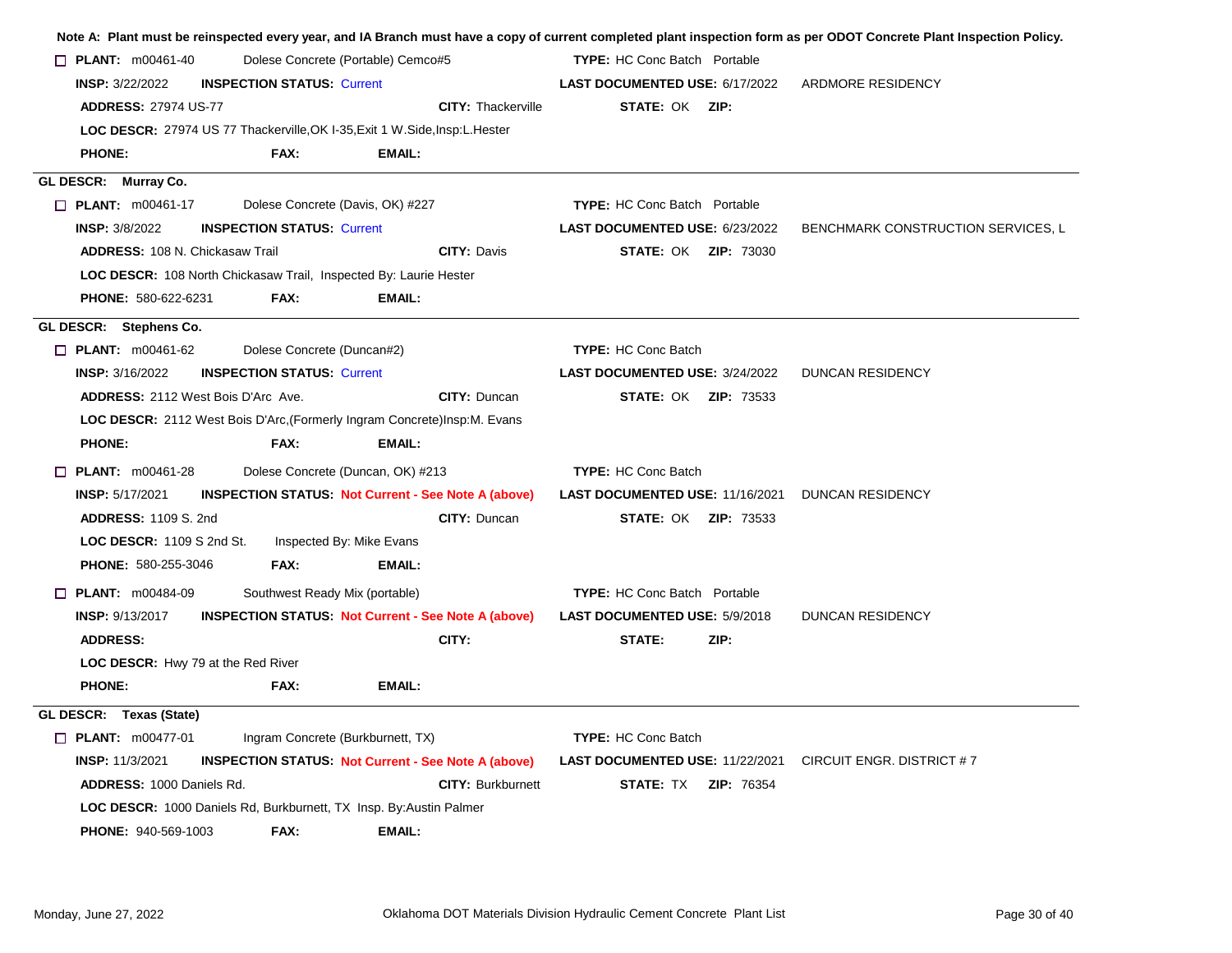|                                                                                                                                                                 |                                   |                                                                                                 |                                                                                                 | Note A: Plant must be reinspected every year, and IA Branch must have a copy of current completed plant inspection form as per ODOT Concrete Plant Inspection Policy. |
|-----------------------------------------------------------------------------------------------------------------------------------------------------------------|-----------------------------------|-------------------------------------------------------------------------------------------------|-------------------------------------------------------------------------------------------------|-----------------------------------------------------------------------------------------------------------------------------------------------------------------------|
| $\Box$ PLANT: m00461-40                                                                                                                                         |                                   | Dolese Concrete (Portable) Cemco#5                                                              | <b>TYPE:</b> HC Conc Batch Portable                                                             |                                                                                                                                                                       |
| <b>INSP: 3/22/2022</b>                                                                                                                                          | <b>INSPECTION STATUS: Current</b> |                                                                                                 | <b>LAST DOCUMENTED USE: 6/17/2022</b>                                                           | ARDMORE RESIDENCY                                                                                                                                                     |
| <b>ADDRESS: 27974 US-77</b>                                                                                                                                     |                                   | <b>CITY: Thackerville</b>                                                                       | <b>STATE: OK ZIP:</b>                                                                           |                                                                                                                                                                       |
|                                                                                                                                                                 |                                   | LOC DESCR: 27974 US 77 Thackerville, OK I-35, Exit 1 W. Side, Insp: L. Hester                   |                                                                                                 |                                                                                                                                                                       |
| <b>PHONE:</b>                                                                                                                                                   | FAX:                              | EMAIL:                                                                                          |                                                                                                 |                                                                                                                                                                       |
| GL DESCR: Murray Co.                                                                                                                                            |                                   |                                                                                                 |                                                                                                 |                                                                                                                                                                       |
| $\Box$ PLANT: m00461-17                                                                                                                                         | Dolese Concrete (Davis, OK) #227  |                                                                                                 | <b>TYPE:</b> HC Conc Batch Portable                                                             |                                                                                                                                                                       |
| <b>INSP: 3/8/2022</b>                                                                                                                                           | <b>INSPECTION STATUS: Current</b> |                                                                                                 | LAST DOCUMENTED USE: 6/23/2022                                                                  | BENCHMARK CONSTRUCTION SERVICES, L                                                                                                                                    |
| <b>ADDRESS: 108 N. Chickasaw Trail</b>                                                                                                                          |                                   | <b>CITY: Davis</b>                                                                              | <b>STATE: OK ZIP: 73030</b>                                                                     |                                                                                                                                                                       |
| LOC DESCR: 108 North Chickasaw Trail, Inspected By: Laurie Hester                                                                                               |                                   |                                                                                                 |                                                                                                 |                                                                                                                                                                       |
| PHONE: 580-622-6231                                                                                                                                             | FAX:                              | <b>EMAIL:</b>                                                                                   |                                                                                                 |                                                                                                                                                                       |
| GL DESCR: Stephens Co.                                                                                                                                          |                                   |                                                                                                 |                                                                                                 |                                                                                                                                                                       |
| $\Box$ PLANT: m00461-62                                                                                                                                         | Dolese Concrete (Duncan#2)        |                                                                                                 | <b>TYPE: HC Conc Batch</b>                                                                      |                                                                                                                                                                       |
| <b>INSP: 3/16/2022</b>                                                                                                                                          | <b>INSPECTION STATUS: Current</b> |                                                                                                 | LAST DOCUMENTED USE: 3/24/2022                                                                  | <b>DUNCAN RESIDENCY</b>                                                                                                                                               |
| <b>ADDRESS: 2112 West Bois D'Arc Ave.</b>                                                                                                                       |                                   | <b>CITY: Duncan</b>                                                                             | <b>STATE: OK ZIP: 73533</b>                                                                     |                                                                                                                                                                       |
|                                                                                                                                                                 |                                   | <b>LOC DESCR:</b> 2112 West Bois D'Arc, (Formerly Ingram Concrete) Insp. M. Evans               |                                                                                                 |                                                                                                                                                                       |
| <b>PHONE:</b>                                                                                                                                                   | FAX:                              | EMAIL:                                                                                          |                                                                                                 |                                                                                                                                                                       |
| $\Box$ PLANT: m00461-28                                                                                                                                         | Dolese Concrete (Duncan, OK) #213 |                                                                                                 | <b>TYPE: HC Conc Batch</b>                                                                      |                                                                                                                                                                       |
| <b>INSP: 5/17/2021</b>                                                                                                                                          |                                   | <b>INSPECTION STATUS: Not Current - See Note A (above)</b>                                      | <b>LAST DOCUMENTED USE: 11/16/2021 DUNCAN RESIDENCY</b>                                         |                                                                                                                                                                       |
| <b>ADDRESS: 1109 S. 2nd</b>                                                                                                                                     |                                   | CITY: Duncan                                                                                    | <b>STATE: OK ZIP: 73533</b>                                                                     |                                                                                                                                                                       |
| LOC DESCR: 1109 S 2nd St.                                                                                                                                       | Inspected By: Mike Evans          |                                                                                                 |                                                                                                 |                                                                                                                                                                       |
| <b>PHONE: 580-255-3046</b>                                                                                                                                      | FAX:                              | EMAIL:                                                                                          |                                                                                                 |                                                                                                                                                                       |
| $\Box$ PLANT: $m00484-09$                                                                                                                                       | Southwest Ready Mix (portable)    |                                                                                                 | <b>TYPE:</b> HC Conc Batch Portable                                                             |                                                                                                                                                                       |
| <b>INSP: 9/13/2017</b>                                                                                                                                          |                                   | <b>INSPECTION STATUS: Not Current - See Note A (above)</b>                                      | LAST DOCUMENTED USE: 5/9/2018                                                                   | DUNCAN RESIDENCY                                                                                                                                                      |
| <b>ADDRESS:</b>                                                                                                                                                 |                                   | CITY:                                                                                           | ZIP:<br>STATE:                                                                                  |                                                                                                                                                                       |
| <b>LOC DESCR:</b> Hwy 79 at the Red River                                                                                                                       |                                   |                                                                                                 |                                                                                                 |                                                                                                                                                                       |
| <b>PHONE:</b>                                                                                                                                                   | FAX:                              | <b>EMAIL:</b>                                                                                   |                                                                                                 |                                                                                                                                                                       |
| GL DESCR: Texas (State)                                                                                                                                         |                                   |                                                                                                 |                                                                                                 |                                                                                                                                                                       |
| <b>PLANT:</b> $m00477-01$                                                                                                                                       | Ingram Concrete (Burkburnett, TX) |                                                                                                 | <b>TYPE: HC Conc Batch</b>                                                                      |                                                                                                                                                                       |
|                                                                                                                                                                 |                                   |                                                                                                 |                                                                                                 |                                                                                                                                                                       |
|                                                                                                                                                                 |                                   |                                                                                                 |                                                                                                 |                                                                                                                                                                       |
|                                                                                                                                                                 |                                   |                                                                                                 |                                                                                                 |                                                                                                                                                                       |
|                                                                                                                                                                 |                                   |                                                                                                 |                                                                                                 |                                                                                                                                                                       |
| <b>INSP: 11/3/2021</b><br><b>ADDRESS: 1000 Daniels Rd.</b><br>LOC DESCR: 1000 Daniels Rd, Burkburnett, TX Insp. By: Austin Palmer<br><b>PHONE: 940-569-1003</b> | FAX:                              | <b>INSPECTION STATUS Not Current - See Note A (above)</b><br><b>CITY: Burkburnett</b><br>EMAIL: | <b>LAST DOCUMENTED USE: 11/22/2021 CIRCUIT ENGR. DISTRICT #7</b><br><b>STATE: TX ZIP: 76354</b> |                                                                                                                                                                       |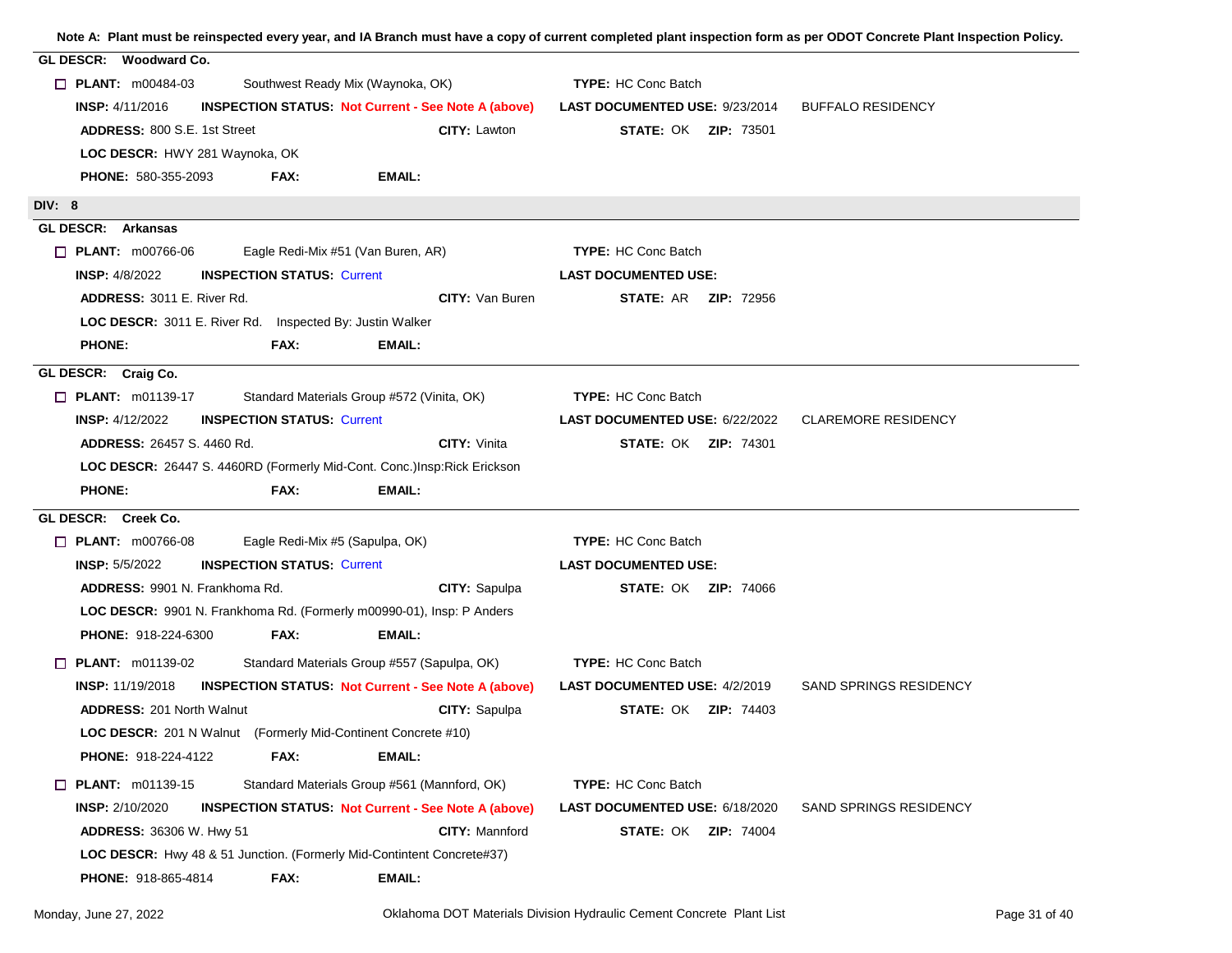**Note A: Plant must be reinspected every year, and IA Branch must have a copy of current completed plant inspection form as per ODOT Concrete Plant Inspection Policy. GL DESCR: Woodward Co. PLANT:** m00484-03 Southwest Ready Mix (Waynoka, OK) INSP: 4/11/2016 **TYPE:** HC Conc Batch **INSPECTION STATUS: Not Current - See Note A (above) LAST DOCUMENTED USE: 9/23/2014 BUFFALO RESIDENCY** 800 S.E. 1st Street **Lawton CITY:** Lawton **CITY: Lawton STATE:** OK **ZIP:** 73501 580-355-2093 **PHONE: FAX: LOC DESCR: H**WY 281 Waynoka, OK **ADDRESS: 800 S.F. 1st Street EMAIL: DIV: 8 GL DESCR: Arkansas PLANT:**  $m00766-06$  Eagle Redi-Mix #51 (Van Buren, AR) INSP: 4/8/2022 **TYPE: INSPECTION STATUS:** Current **LAST DOCUMENTED USE: CITY:** Van Buren **STATE:** AR **ZIP:** 72956 **CITY:** Van Buren **STATE:** AR **ZIP:** 72956 **LOC DESCR:** 3011 E. River Rd. Inspected By: Justin Walker ADDRESS: 3011 E. River Rd. **PHONE: FAX: EMAIL: GL DESCR: Craig Co. PLANT:** m01139-17 Standard Materials Group #572 (Vinita, OK) INSP: 4/12/2022 **TYPE: INSPECTION STATUS:** Current **LAST DOCUMENTED USE:** 6/22/2022 CLAREMORE RESIDENCY 26457 S. 4460 Rd. Vinita OK 74301 **CITY: STATE: ZIP:** LOC DESCR: 26447 S. 4460RD (Formerly Mid-Cont. Conc.)Insp:Rick Erickson **ADDRESS: PHONE: FAX: EMAIL: GL DESCR: Creek Co. PLANT:** m00766-08 Eagle Redi-Mix #5 (Sapulpa, OK) **INSP: 5/5/2022 TYPE: INSPECTION STATUS:** Current **LAST DOCUMENTED USE:** 9901 N. Frankhoma Rd. Sapulpa OK 74066 **CITY: STATE: ZIP:** 918-224-6300 **PHONE: FAX:** LOC DESCR: 9901 N. Frankhoma Rd. (Formerly m00990-01), Insp: P Anders ADDRESS: 9901 N Frankhoma Rd **EMAIL: PLANT:** m01139-02 Standard Materials Group #557 (Sapulpa, OK) INSP: 11/19/2018 **TYPE: INSPECTION STATUS: Not Current - See Note A (above) LAST DOCUMENTED USE: 4/2/2019 SAND SPRINGS RESIDENCY** 201 North Walnut **CITY:** Sapulpa **CITY: Sapulpa STATE: OK ZIP: 74403** 918-224-4122 **PHONE: FAX: LOC DESCR:** 201 N Walnut (Formerly Mid-Continent Concrete #10) **ADDRESS: 201 North Walnut EMAIL: PLANT:** m01139-15 Standard Materials Group #561 (Mannford, OK) **INSP: 2/10/2020 TYPE: HC Conc Batch INSPECTION STATUS: Not Current - See Note A (above) LAST DOCUMENTED USE: 6/18/2020 SAND SPRINGS RESIDENCY** 36306 W. Hwy 51 **Mannistry: Mannistry: Mannistry: STATE: OK 2IP: 74004** 918-865-4814 **PHONE: FAX:** LOC DESCR: Hwy 48 & 51 Junction. (Formerly Mid-Contintent Concrete#37) **ADDRESS: EMAIL:**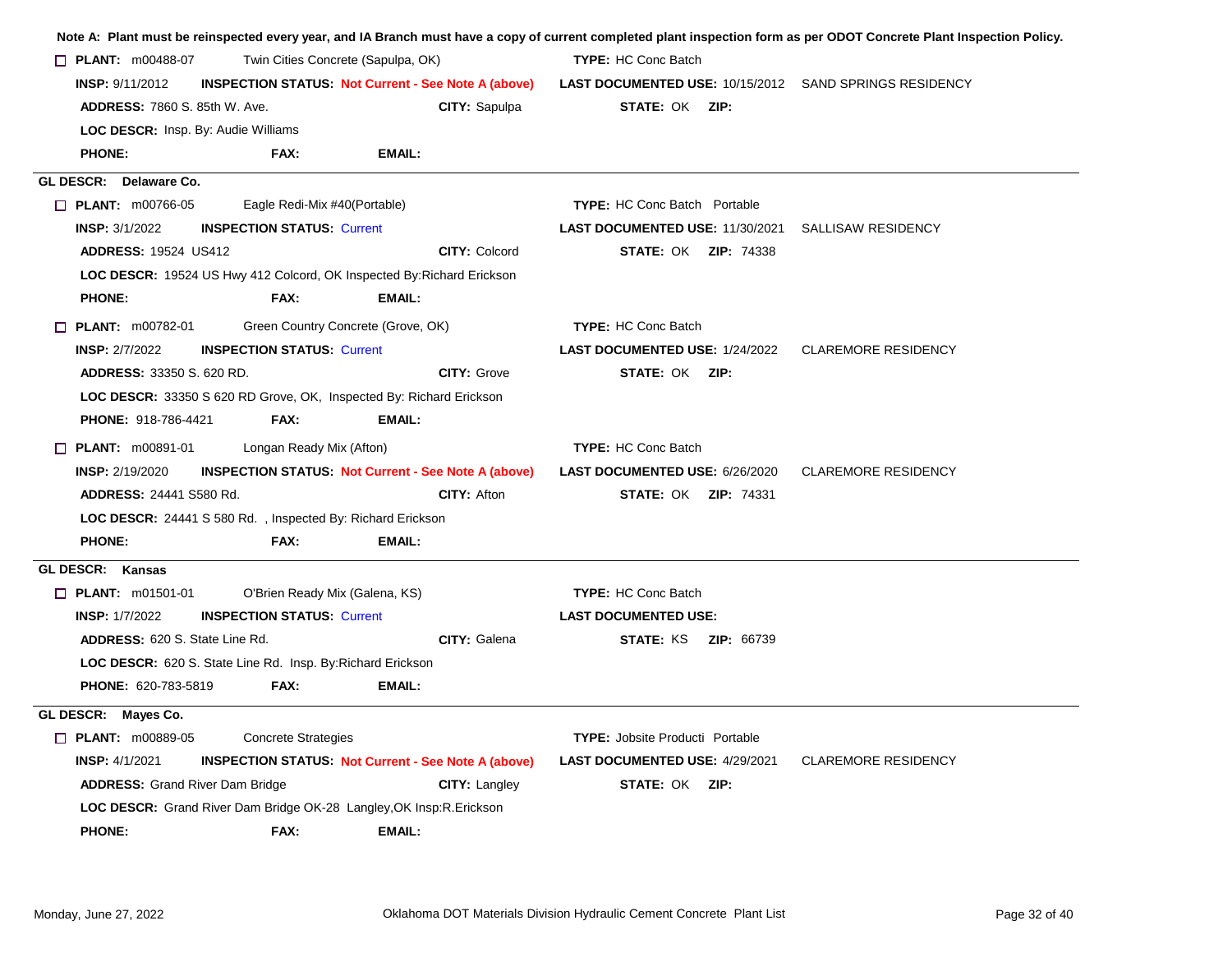| <b>PLANT:</b> $m00488-07$  |                                                                                                                                                                                                                |                                                                                                                                                                                                                                                                     |                                                                                                                                                                                                                                         |                                                                                                                                                                                                                                                                                                                                                                                                                                                                                               |                                                                                                                          |                                                                                                                                                                                                                                                                                                                                                                                                                                                                                                                                                                                                                                                                                                                                                                                          |
|----------------------------|----------------------------------------------------------------------------------------------------------------------------------------------------------------------------------------------------------------|---------------------------------------------------------------------------------------------------------------------------------------------------------------------------------------------------------------------------------------------------------------------|-----------------------------------------------------------------------------------------------------------------------------------------------------------------------------------------------------------------------------------------|-----------------------------------------------------------------------------------------------------------------------------------------------------------------------------------------------------------------------------------------------------------------------------------------------------------------------------------------------------------------------------------------------------------------------------------------------------------------------------------------------|--------------------------------------------------------------------------------------------------------------------------|------------------------------------------------------------------------------------------------------------------------------------------------------------------------------------------------------------------------------------------------------------------------------------------------------------------------------------------------------------------------------------------------------------------------------------------------------------------------------------------------------------------------------------------------------------------------------------------------------------------------------------------------------------------------------------------------------------------------------------------------------------------------------------------|
| <b>INSP: 9/11/2012</b>     |                                                                                                                                                                                                                |                                                                                                                                                                                                                                                                     |                                                                                                                                                                                                                                         |                                                                                                                                                                                                                                                                                                                                                                                                                                                                                               |                                                                                                                          |                                                                                                                                                                                                                                                                                                                                                                                                                                                                                                                                                                                                                                                                                                                                                                                          |
|                            |                                                                                                                                                                                                                |                                                                                                                                                                                                                                                                     | <b>CITY: Sapulpa</b>                                                                                                                                                                                                                    |                                                                                                                                                                                                                                                                                                                                                                                                                                                                                               |                                                                                                                          |                                                                                                                                                                                                                                                                                                                                                                                                                                                                                                                                                                                                                                                                                                                                                                                          |
|                            |                                                                                                                                                                                                                |                                                                                                                                                                                                                                                                     |                                                                                                                                                                                                                                         |                                                                                                                                                                                                                                                                                                                                                                                                                                                                                               |                                                                                                                          |                                                                                                                                                                                                                                                                                                                                                                                                                                                                                                                                                                                                                                                                                                                                                                                          |
| <b>PHONE:</b>              | FAX:                                                                                                                                                                                                           | EMAIL:                                                                                                                                                                                                                                                              |                                                                                                                                                                                                                                         |                                                                                                                                                                                                                                                                                                                                                                                                                                                                                               |                                                                                                                          |                                                                                                                                                                                                                                                                                                                                                                                                                                                                                                                                                                                                                                                                                                                                                                                          |
|                            |                                                                                                                                                                                                                |                                                                                                                                                                                                                                                                     |                                                                                                                                                                                                                                         |                                                                                                                                                                                                                                                                                                                                                                                                                                                                                               |                                                                                                                          |                                                                                                                                                                                                                                                                                                                                                                                                                                                                                                                                                                                                                                                                                                                                                                                          |
|                            |                                                                                                                                                                                                                |                                                                                                                                                                                                                                                                     |                                                                                                                                                                                                                                         |                                                                                                                                                                                                                                                                                                                                                                                                                                                                                               |                                                                                                                          |                                                                                                                                                                                                                                                                                                                                                                                                                                                                                                                                                                                                                                                                                                                                                                                          |
| <b>INSP: 3/1/2022</b>      |                                                                                                                                                                                                                |                                                                                                                                                                                                                                                                     |                                                                                                                                                                                                                                         |                                                                                                                                                                                                                                                                                                                                                                                                                                                                                               |                                                                                                                          | SALLISAW RESIDENCY                                                                                                                                                                                                                                                                                                                                                                                                                                                                                                                                                                                                                                                                                                                                                                       |
|                            |                                                                                                                                                                                                                |                                                                                                                                                                                                                                                                     | <b>CITY: Colcord</b>                                                                                                                                                                                                                    |                                                                                                                                                                                                                                                                                                                                                                                                                                                                                               |                                                                                                                          |                                                                                                                                                                                                                                                                                                                                                                                                                                                                                                                                                                                                                                                                                                                                                                                          |
|                            |                                                                                                                                                                                                                |                                                                                                                                                                                                                                                                     |                                                                                                                                                                                                                                         |                                                                                                                                                                                                                                                                                                                                                                                                                                                                                               |                                                                                                                          |                                                                                                                                                                                                                                                                                                                                                                                                                                                                                                                                                                                                                                                                                                                                                                                          |
| <b>PHONE:</b>              | FAX:                                                                                                                                                                                                           | <b>EMAIL:</b>                                                                                                                                                                                                                                                       |                                                                                                                                                                                                                                         |                                                                                                                                                                                                                                                                                                                                                                                                                                                                                               |                                                                                                                          |                                                                                                                                                                                                                                                                                                                                                                                                                                                                                                                                                                                                                                                                                                                                                                                          |
|                            |                                                                                                                                                                                                                |                                                                                                                                                                                                                                                                     |                                                                                                                                                                                                                                         |                                                                                                                                                                                                                                                                                                                                                                                                                                                                                               |                                                                                                                          |                                                                                                                                                                                                                                                                                                                                                                                                                                                                                                                                                                                                                                                                                                                                                                                          |
| <b>INSP: 2/7/2022</b>      |                                                                                                                                                                                                                |                                                                                                                                                                                                                                                                     |                                                                                                                                                                                                                                         |                                                                                                                                                                                                                                                                                                                                                                                                                                                                                               |                                                                                                                          | <b>CLAREMORE RESIDENCY</b>                                                                                                                                                                                                                                                                                                                                                                                                                                                                                                                                                                                                                                                                                                                                                               |
|                            |                                                                                                                                                                                                                |                                                                                                                                                                                                                                                                     | <b>CITY: Grove</b>                                                                                                                                                                                                                      |                                                                                                                                                                                                                                                                                                                                                                                                                                                                                               |                                                                                                                          |                                                                                                                                                                                                                                                                                                                                                                                                                                                                                                                                                                                                                                                                                                                                                                                          |
|                            |                                                                                                                                                                                                                |                                                                                                                                                                                                                                                                     |                                                                                                                                                                                                                                         |                                                                                                                                                                                                                                                                                                                                                                                                                                                                                               |                                                                                                                          |                                                                                                                                                                                                                                                                                                                                                                                                                                                                                                                                                                                                                                                                                                                                                                                          |
| <b>PHONE: 918-786-4421</b> | FAX:                                                                                                                                                                                                           | <b>EMAIL:</b>                                                                                                                                                                                                                                                       |                                                                                                                                                                                                                                         |                                                                                                                                                                                                                                                                                                                                                                                                                                                                                               |                                                                                                                          |                                                                                                                                                                                                                                                                                                                                                                                                                                                                                                                                                                                                                                                                                                                                                                                          |
|                            |                                                                                                                                                                                                                |                                                                                                                                                                                                                                                                     |                                                                                                                                                                                                                                         |                                                                                                                                                                                                                                                                                                                                                                                                                                                                                               |                                                                                                                          |                                                                                                                                                                                                                                                                                                                                                                                                                                                                                                                                                                                                                                                                                                                                                                                          |
| <b>INSP: 2/19/2020</b>     |                                                                                                                                                                                                                |                                                                                                                                                                                                                                                                     |                                                                                                                                                                                                                                         |                                                                                                                                                                                                                                                                                                                                                                                                                                                                                               |                                                                                                                          | <b>CLAREMORE RESIDENCY</b>                                                                                                                                                                                                                                                                                                                                                                                                                                                                                                                                                                                                                                                                                                                                                               |
|                            |                                                                                                                                                                                                                |                                                                                                                                                                                                                                                                     | <b>CITY: Afton</b>                                                                                                                                                                                                                      |                                                                                                                                                                                                                                                                                                                                                                                                                                                                                               |                                                                                                                          |                                                                                                                                                                                                                                                                                                                                                                                                                                                                                                                                                                                                                                                                                                                                                                                          |
|                            |                                                                                                                                                                                                                |                                                                                                                                                                                                                                                                     |                                                                                                                                                                                                                                         |                                                                                                                                                                                                                                                                                                                                                                                                                                                                                               |                                                                                                                          |                                                                                                                                                                                                                                                                                                                                                                                                                                                                                                                                                                                                                                                                                                                                                                                          |
| <b>PHONE:</b>              | FAX:                                                                                                                                                                                                           | <b>EMAIL:</b>                                                                                                                                                                                                                                                       |                                                                                                                                                                                                                                         |                                                                                                                                                                                                                                                                                                                                                                                                                                                                                               |                                                                                                                          |                                                                                                                                                                                                                                                                                                                                                                                                                                                                                                                                                                                                                                                                                                                                                                                          |
|                            |                                                                                                                                                                                                                |                                                                                                                                                                                                                                                                     |                                                                                                                                                                                                                                         |                                                                                                                                                                                                                                                                                                                                                                                                                                                                                               |                                                                                                                          |                                                                                                                                                                                                                                                                                                                                                                                                                                                                                                                                                                                                                                                                                                                                                                                          |
|                            |                                                                                                                                                                                                                |                                                                                                                                                                                                                                                                     |                                                                                                                                                                                                                                         |                                                                                                                                                                                                                                                                                                                                                                                                                                                                                               |                                                                                                                          |                                                                                                                                                                                                                                                                                                                                                                                                                                                                                                                                                                                                                                                                                                                                                                                          |
| <b>INSP: 1/7/2022</b>      |                                                                                                                                                                                                                |                                                                                                                                                                                                                                                                     |                                                                                                                                                                                                                                         |                                                                                                                                                                                                                                                                                                                                                                                                                                                                                               |                                                                                                                          |                                                                                                                                                                                                                                                                                                                                                                                                                                                                                                                                                                                                                                                                                                                                                                                          |
|                            |                                                                                                                                                                                                                |                                                                                                                                                                                                                                                                     | CITY: Galena                                                                                                                                                                                                                            |                                                                                                                                                                                                                                                                                                                                                                                                                                                                                               |                                                                                                                          |                                                                                                                                                                                                                                                                                                                                                                                                                                                                                                                                                                                                                                                                                                                                                                                          |
|                            |                                                                                                                                                                                                                |                                                                                                                                                                                                                                                                     |                                                                                                                                                                                                                                         |                                                                                                                                                                                                                                                                                                                                                                                                                                                                                               |                                                                                                                          |                                                                                                                                                                                                                                                                                                                                                                                                                                                                                                                                                                                                                                                                                                                                                                                          |
| PHONE: 620-783-5819        | FAX:                                                                                                                                                                                                           | <b>EMAIL:</b>                                                                                                                                                                                                                                                       |                                                                                                                                                                                                                                         |                                                                                                                                                                                                                                                                                                                                                                                                                                                                                               |                                                                                                                          |                                                                                                                                                                                                                                                                                                                                                                                                                                                                                                                                                                                                                                                                                                                                                                                          |
|                            |                                                                                                                                                                                                                |                                                                                                                                                                                                                                                                     |                                                                                                                                                                                                                                         |                                                                                                                                                                                                                                                                                                                                                                                                                                                                                               |                                                                                                                          |                                                                                                                                                                                                                                                                                                                                                                                                                                                                                                                                                                                                                                                                                                                                                                                          |
|                            |                                                                                                                                                                                                                |                                                                                                                                                                                                                                                                     |                                                                                                                                                                                                                                         |                                                                                                                                                                                                                                                                                                                                                                                                                                                                                               |                                                                                                                          |                                                                                                                                                                                                                                                                                                                                                                                                                                                                                                                                                                                                                                                                                                                                                                                          |
| <b>INSP: 4/1/2021</b>      |                                                                                                                                                                                                                |                                                                                                                                                                                                                                                                     |                                                                                                                                                                                                                                         |                                                                                                                                                                                                                                                                                                                                                                                                                                                                                               |                                                                                                                          | <b>CLAREMORE RESIDENCY</b>                                                                                                                                                                                                                                                                                                                                                                                                                                                                                                                                                                                                                                                                                                                                                               |
|                            |                                                                                                                                                                                                                |                                                                                                                                                                                                                                                                     | <b>CITY: Langley</b>                                                                                                                                                                                                                    |                                                                                                                                                                                                                                                                                                                                                                                                                                                                                               |                                                                                                                          |                                                                                                                                                                                                                                                                                                                                                                                                                                                                                                                                                                                                                                                                                                                                                                                          |
|                            |                                                                                                                                                                                                                |                                                                                                                                                                                                                                                                     |                                                                                                                                                                                                                                         |                                                                                                                                                                                                                                                                                                                                                                                                                                                                                               |                                                                                                                          |                                                                                                                                                                                                                                                                                                                                                                                                                                                                                                                                                                                                                                                                                                                                                                                          |
| <b>PHONE:</b>              | FAX:                                                                                                                                                                                                           | <b>EMAIL:</b>                                                                                                                                                                                                                                                       |                                                                                                                                                                                                                                         |                                                                                                                                                                                                                                                                                                                                                                                                                                                                                               |                                                                                                                          |                                                                                                                                                                                                                                                                                                                                                                                                                                                                                                                                                                                                                                                                                                                                                                                          |
|                            | GL DESCR: Delaware Co.<br>$\Box$ PLANT: $m00766-05$<br>$\Box$ PLANT: $m00782-01$<br>$\Box$ PLANT: m00891-01<br>GL DESCR: Kansas<br>$\Box$ PLANT: m01501-01<br>GL DESCR: Mayes Co.<br><b>D</b> PLANT: m00889-05 | <b>ADDRESS: 7860 S. 85th W. Ave.</b><br><b>LOC DESCR:</b> Insp. By: Audie Williams<br><b>ADDRESS: 19524 US412</b><br><b>ADDRESS: 33350 S. 620 RD.</b><br>ADDRESS: 24441 S580 Rd.<br><b>ADDRESS: 620 S. State Line Rd.</b><br><b>ADDRESS: Grand River Dam Bridge</b> | Eagle Redi-Mix #40(Portable)<br><b>INSPECTION STATUS: Current</b><br><b>INSPECTION STATUS: Current</b><br>Longan Ready Mix (Afton)<br>O'Brien Ready Mix (Galena, KS)<br><b>INSPECTION STATUS: Current</b><br><b>Concrete Strategies</b> | Twin Cities Concrete (Sapulpa, OK)<br>LOC DESCR: 19524 US Hwy 412 Colcord, OK Inspected By: Richard Erickson<br>Green Country Concrete (Grove, OK)<br>LOC DESCR: 33350 S 620 RD Grove, OK, Inspected By: Richard Erickson<br><b>INSPECTION STATUS. Not Current - See Note A (above)</b><br>LOC DESCR: 24441 S 580 Rd., Inspected By: Richard Erickson<br>LOC DESCR: 620 S. State Line Rd. Insp. By: Richard Erickson<br>LOC DESCR: Grand River Dam Bridge OK-28 Langley, OK Insp: R. Erickson | <b>INSPECTION STATUS: Not Current - See Note A (above)</b><br><b>INSPECTION STATUS: Not Current - See Note A (above)</b> | Note A: Plant must be reinspected every year, and IA Branch must have a copy of current completed plant inspection form as per ODOT Concrete Plant Inspection Policy.<br><b>TYPE: HC Conc Batch</b><br>LAST DOCUMENTED USE: 10/15/2012 SAND SPRINGS RESIDENCY<br>STATE: OK ZIP:<br><b>TYPE:</b> HC Conc Batch Portable<br>LAST DOCUMENTED USE: 11/30/2021<br><b>STATE: OK ZIP: 74338</b><br><b>TYPE: HC Conc Batch</b><br>LAST DOCUMENTED USE: 1/24/2022<br><b>STATE: OK ZIP:</b><br><b>TYPE: HC Conc Batch</b><br>LAST DOCUMENTED USE: 6/26/2020<br><b>STATE: OK ZIP: 74331</b><br><b>TYPE: HC Conc Batch</b><br><b>LAST DOCUMENTED USE:</b><br><b>STATE: KS ZIP: 66739</b><br><b>TYPE:</b> Jobsite Producti Portable<br><b>LAST DOCUMENTED USE: 4/29/2021</b><br><b>STATE: OK ZIP:</b> |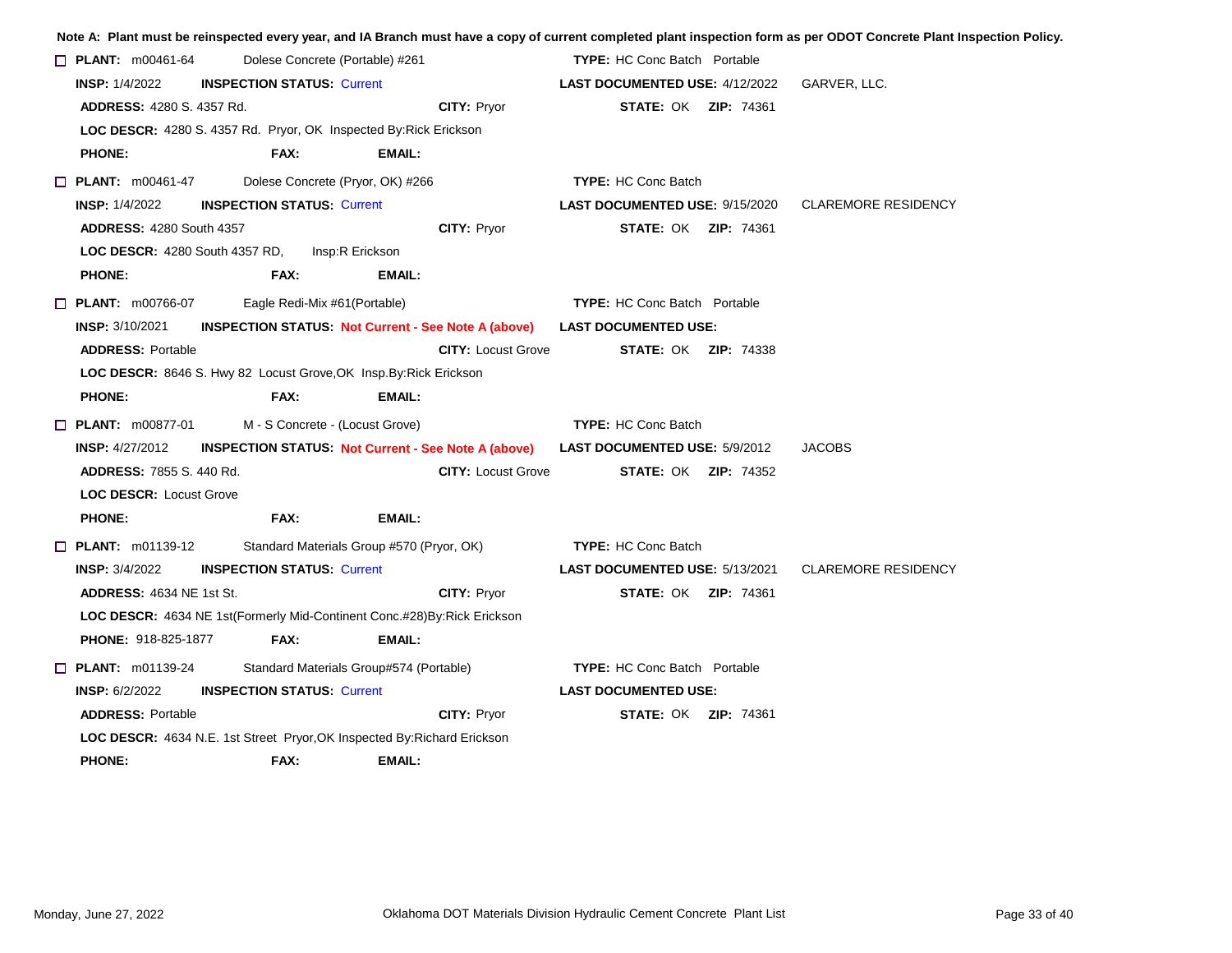|                                                                                 |                                           |                                         |                                                            |                                       |  | Note A: Plant must be reinspected every year, and IA Branch must have a copy of current completed plant inspection form as per ODOT Concrete Plant Inspection Policy. |
|---------------------------------------------------------------------------------|-------------------------------------------|-----------------------------------------|------------------------------------------------------------|---------------------------------------|--|-----------------------------------------------------------------------------------------------------------------------------------------------------------------------|
| $\Box$ PLANT: m00461-64<br>Dolese Concrete (Portable) #261                      |                                           |                                         | <b>TYPE:</b> HC Conc Batch Portable                        |                                       |  |                                                                                                                                                                       |
| <b>INSP: 1/4/2022</b><br><b>INSPECTION STATUS: Current</b>                      |                                           |                                         |                                                            | <b>LAST DOCUMENTED USE: 4/12/2022</b> |  | GARVER, LLC.                                                                                                                                                          |
| <b>ADDRESS: 4280 S. 4357 Rd.</b>                                                |                                           |                                         | <b>CITY: Pryor</b>                                         | <b>STATE: OK ZIP: 74361</b>           |  |                                                                                                                                                                       |
| <b>LOC DESCR:</b> 4280 S. 4357 Rd. Pryor, OK Inspected By: Rick Erickson        |                                           |                                         |                                                            |                                       |  |                                                                                                                                                                       |
| <b>PHONE:</b>                                                                   | FAX:                                      | <b>EMAIL:</b>                           |                                                            |                                       |  |                                                                                                                                                                       |
| $\Box$ PLANT: $m00461-47$                                                       | Dolese Concrete (Pryor, OK) #266          |                                         |                                                            | <b>TYPE: HC Conc Batch</b>            |  |                                                                                                                                                                       |
| <b>INSP: 1/4/2022</b>                                                           | <b>INSPECTION STATUS: Current</b>         |                                         |                                                            | <b>LAST DOCUMENTED USE: 9/15/2020</b> |  | <b>CLAREMORE RESIDENCY</b>                                                                                                                                            |
| <b>ADDRESS: 4280 South 4357</b>                                                 |                                           |                                         | CITY: Pryor                                                | <b>STATE: OK ZIP: 74361</b>           |  |                                                                                                                                                                       |
| <b>LOC DESCR:</b> 4280 South 4357 RD, Insp:R Erickson                           |                                           |                                         |                                                            |                                       |  |                                                                                                                                                                       |
| <b>PHONE:</b>                                                                   | FAX:                                      | EMAIL:                                  |                                                            |                                       |  |                                                                                                                                                                       |
| $\Box$ PLANT: $m00766-07$                                                       | Eagle Redi-Mix #61(Portable)              |                                         |                                                            | <b>TYPE:</b> HC Conc Batch Portable   |  |                                                                                                                                                                       |
| <b>INSP: 3/10/2021</b>                                                          |                                           |                                         | <b>INSPECTION STATUS Not Current - See Note A (above)</b>  | <b>LAST DOCUMENTED USE:</b>           |  |                                                                                                                                                                       |
| <b>ADDRESS: Portable</b>                                                        |                                           |                                         | <b>CITY: Locust Grove</b>                                  | <b>STATE: OK ZIP: 74338</b>           |  |                                                                                                                                                                       |
| LOC DESCR: 8646 S. Hwy 82 Locust Grove, OK Insp. By: Rick Erickson              |                                           |                                         |                                                            |                                       |  |                                                                                                                                                                       |
| <b>PHONE:</b>                                                                   | FAX:                                      | <b>EMAIL:</b>                           |                                                            |                                       |  |                                                                                                                                                                       |
| $\Box$ PLANT: m00877-01                                                         | M - S Concrete - (Locust Grove)           |                                         |                                                            | <b>TYPE: HC Conc Batch</b>            |  |                                                                                                                                                                       |
| <b>INSP: 4/27/2012</b>                                                          |                                           |                                         | <b>INSPECTION STATUS: Not Current - See Note A (above)</b> | <b>LAST DOCUMENTED USE: 5/9/2012</b>  |  | <b>JACOBS</b>                                                                                                                                                         |
| <b>ADDRESS: 7855 S. 440 Rd.</b>                                                 |                                           |                                         | <b>CITY: Locust Grove</b>                                  | <b>STATE: OK ZIP: 74352</b>           |  |                                                                                                                                                                       |
| <b>LOC DESCR: Locust Grove</b>                                                  |                                           |                                         |                                                            |                                       |  |                                                                                                                                                                       |
| <b>PHONE:</b>                                                                   | FAX:                                      | <b>EMAIL:</b>                           |                                                            |                                       |  |                                                                                                                                                                       |
| $\Box$ PLANT: m01139-12                                                         | Standard Materials Group #570 (Pryor, OK) |                                         |                                                            | <b>TYPE: HC Conc Batch</b>            |  |                                                                                                                                                                       |
| <b>INSP:</b> $3/4/2022$                                                         | <b>INSPECTION STATUS: Current</b>         |                                         |                                                            | <b>LAST DOCUMENTED USE: 5/13/2021</b> |  | <b>CLAREMORE RESIDENCY</b>                                                                                                                                            |
| <b>ADDRESS: 4634 NE 1st St.</b>                                                 |                                           |                                         | <b>CITY: Pryor</b>                                         | <b>STATE: OK ZIP: 74361</b>           |  |                                                                                                                                                                       |
| LOC DESCR: 4634 NE 1st(Formerly Mid-Continent Conc.#28) By: Rick Erickson       |                                           |                                         |                                                            |                                       |  |                                                                                                                                                                       |
| PHONE: 918-825-1877                                                             | FAX:                                      | <b>EMAIL:</b>                           |                                                            |                                       |  |                                                                                                                                                                       |
| $\Box$ PLANT: m01139-24                                                         |                                           | Standard Materials Group#574 (Portable) |                                                            | <b>TYPE:</b> HC Conc Batch Portable   |  |                                                                                                                                                                       |
| <b>INSP: 6/2/2022</b>                                                           | <b>INSPECTION STATUS: Current</b>         |                                         |                                                            | <b>LAST DOCUMENTED USE:</b>           |  |                                                                                                                                                                       |
| <b>ADDRESS: Portable</b>                                                        |                                           |                                         | <b>CITY: Prvor</b>                                         | <b>STATE: OK ZIP: 74361</b>           |  |                                                                                                                                                                       |
| <b>LOC DESCR: 4634 N.E. 1st Street Pryor, OK Inspected By: Richard Erickson</b> |                                           |                                         |                                                            |                                       |  |                                                                                                                                                                       |
| <b>PHONE:</b>                                                                   | FAX:                                      | <b>EMAIL:</b>                           |                                                            |                                       |  |                                                                                                                                                                       |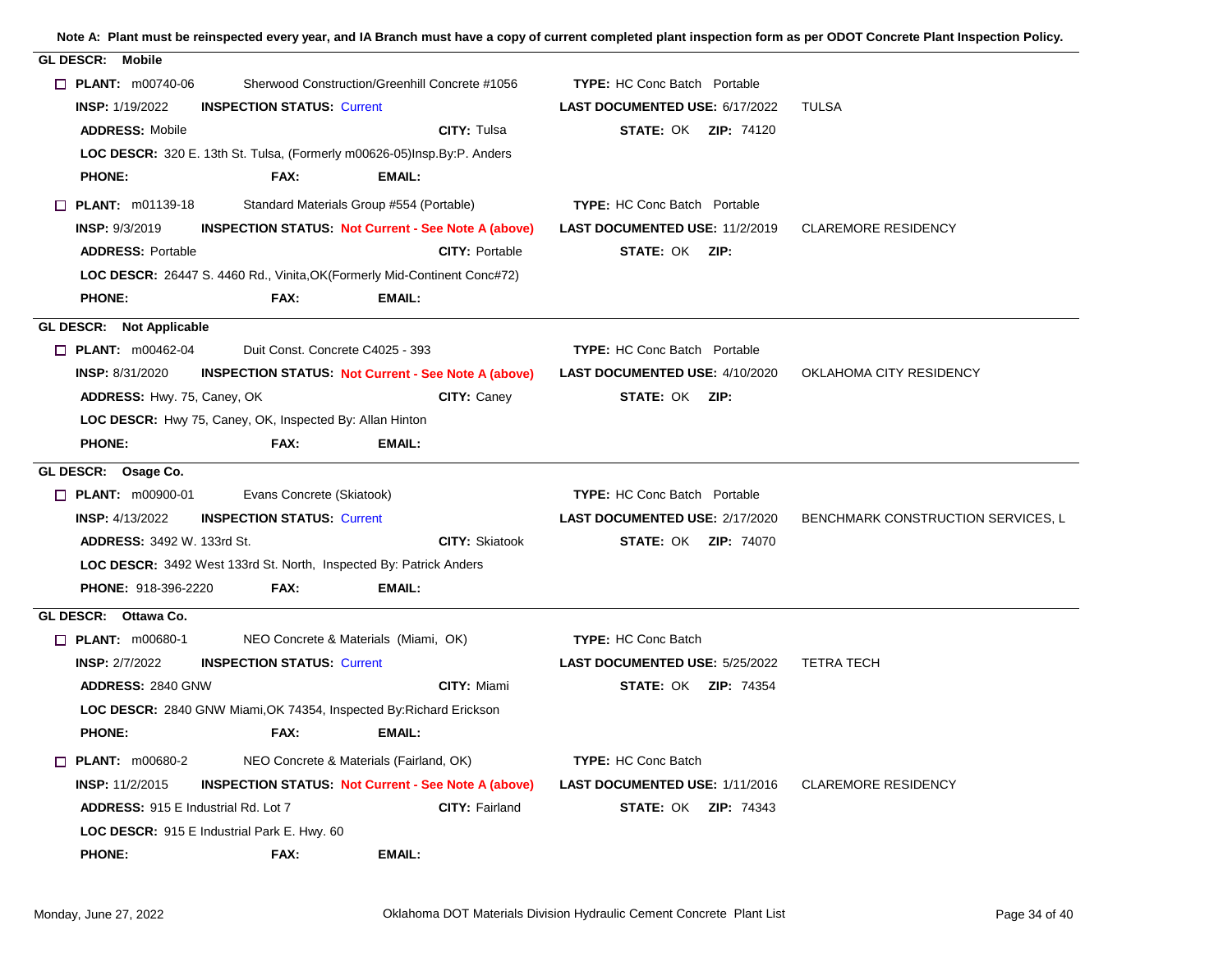| <b>GL DESCR: Mobile</b>                                                              |                                       |                                    |
|--------------------------------------------------------------------------------------|---------------------------------------|------------------------------------|
| $\Box$ PLANT: m00740-06<br>Sherwood Construction/Greenhill Concrete #1056            | <b>TYPE:</b> HC Conc Batch Portable   |                                    |
| <b>INSP: 1/19/2022</b><br><b>INSPECTION STATUS: Current</b>                          | LAST DOCUMENTED USE: 6/17/2022        | TULSA                              |
| CITY: Tulsa<br><b>ADDRESS: Mobile</b>                                                | <b>STATE: OK ZIP: 74120</b>           |                                    |
| LOC DESCR: 320 E. 13th St. Tulsa, (Formerly m00626-05)Insp.By:P. Anders              |                                       |                                    |
| <b>PHONE:</b><br>FAX:<br>EMAIL:                                                      |                                       |                                    |
| $\Box$ PLANT: m01139-18<br>Standard Materials Group #554 (Portable)                  | <b>TYPE:</b> HC Conc Batch Portable   |                                    |
| <b>INSP: 9/3/2019</b><br><b>INSPECTION STATUS Not Current - See Note A (above)</b>   | <b>LAST DOCUMENTED USE: 11/2/2019</b> | <b>CLAREMORE RESIDENCY</b>         |
| <b>ADDRESS: Portable</b><br><b>CITY: Portable</b>                                    | <b>STATE: OK ZIP:</b>                 |                                    |
| LOC DESCR: 26447 S. 4460 Rd., Vinita, OK (Formerly Mid-Continent Conc#72)            |                                       |                                    |
| <b>PHONE:</b><br>FAX:<br>EMAIL:                                                      |                                       |                                    |
| GL DESCR: Not Applicable                                                             |                                       |                                    |
| Duit Const. Concrete C4025 - 393<br>$\Box$ PLANT: m00462-04                          | <b>TYPE: HC Conc Batch Portable</b>   |                                    |
| <b>INSP: 8/31/2020</b><br><b>INSPECTION STATUS: Not Current - See Note A (above)</b> | <b>LAST DOCUMENTED USE: 4/10/2020</b> | OKLAHOMA CITY RESIDENCY            |
| CITY: Caney<br><b>ADDRESS: Hwy. 75, Caney, OK</b>                                    | <b>STATE: OK ZIP:</b>                 |                                    |
| LOC DESCR: Hwy 75, Caney, OK, Inspected By: Allan Hinton                             |                                       |                                    |
| <b>PHONE:</b><br>FAX:<br>EMAIL:                                                      |                                       |                                    |
|                                                                                      |                                       |                                    |
| GL DESCR: Osage Co.                                                                  |                                       |                                    |
| Evans Concrete (Skiatook)<br>$\Box$ PLANT: m00900-01                                 | <b>TYPE:</b> HC Conc Batch Portable   |                                    |
| <b>INSP: 4/13/2022</b><br><b>INSPECTION STATUS: Current</b>                          | LAST DOCUMENTED USE: 2/17/2020        | BENCHMARK CONSTRUCTION SERVICES, L |
| <b>CITY: Skiatook</b><br><b>ADDRESS: 3492 W. 133rd St.</b>                           | <b>STATE: OK ZIP: 74070</b>           |                                    |
| LOC DESCR: 3492 West 133rd St. North, Inspected By: Patrick Anders                   |                                       |                                    |
| <b>PHONE: 918-396-2220</b><br>FAX:<br>EMAIL:                                         |                                       |                                    |
| GL DESCR: Ottawa Co.                                                                 |                                       |                                    |
| $\Box$ PLANT: m00680-1<br>NEO Concrete & Materials (Miami, OK)                       | <b>TYPE: HC Conc Batch</b>            |                                    |
| <b>INSP: 2/7/2022</b><br><b>INSPECTION STATUS: Current</b>                           | <b>LAST DOCUMENTED USE: 5/25/2022</b> | <b>TETRA TECH</b>                  |
| CITY: Miami<br><b>ADDRESS: 2840 GNW</b>                                              | <b>STATE: OK ZIP: 74354</b>           |                                    |
| LOC DESCR: 2840 GNW Miami, OK 74354, Inspected By: Richard Erickson                  |                                       |                                    |
| <b>PHONE:</b><br>FAX:<br>EMAIL:                                                      |                                       |                                    |
| NEO Concrete & Materials (Fairland, OK)<br>$\Box$ PLANT: m00680-2                    | <b>TYPE: HC Conc Batch</b>            |                                    |
| <b>INSP: 11/2/2015</b><br><b>INSPECTION STATUS: Not Current - See Note A (above)</b> | <b>LAST DOCUMENTED USE: 1/11/2016</b> | <b>CLAREMORE RESIDENCY</b>         |
| <b>ADDRESS: 915 E Industrial Rd. Lot 7</b><br>CITY: Fairland                         | <b>STATE: OK ZIP: 74343</b>           |                                    |
| LOC DESCR: 915 E Industrial Park E. Hwy. 60                                          |                                       |                                    |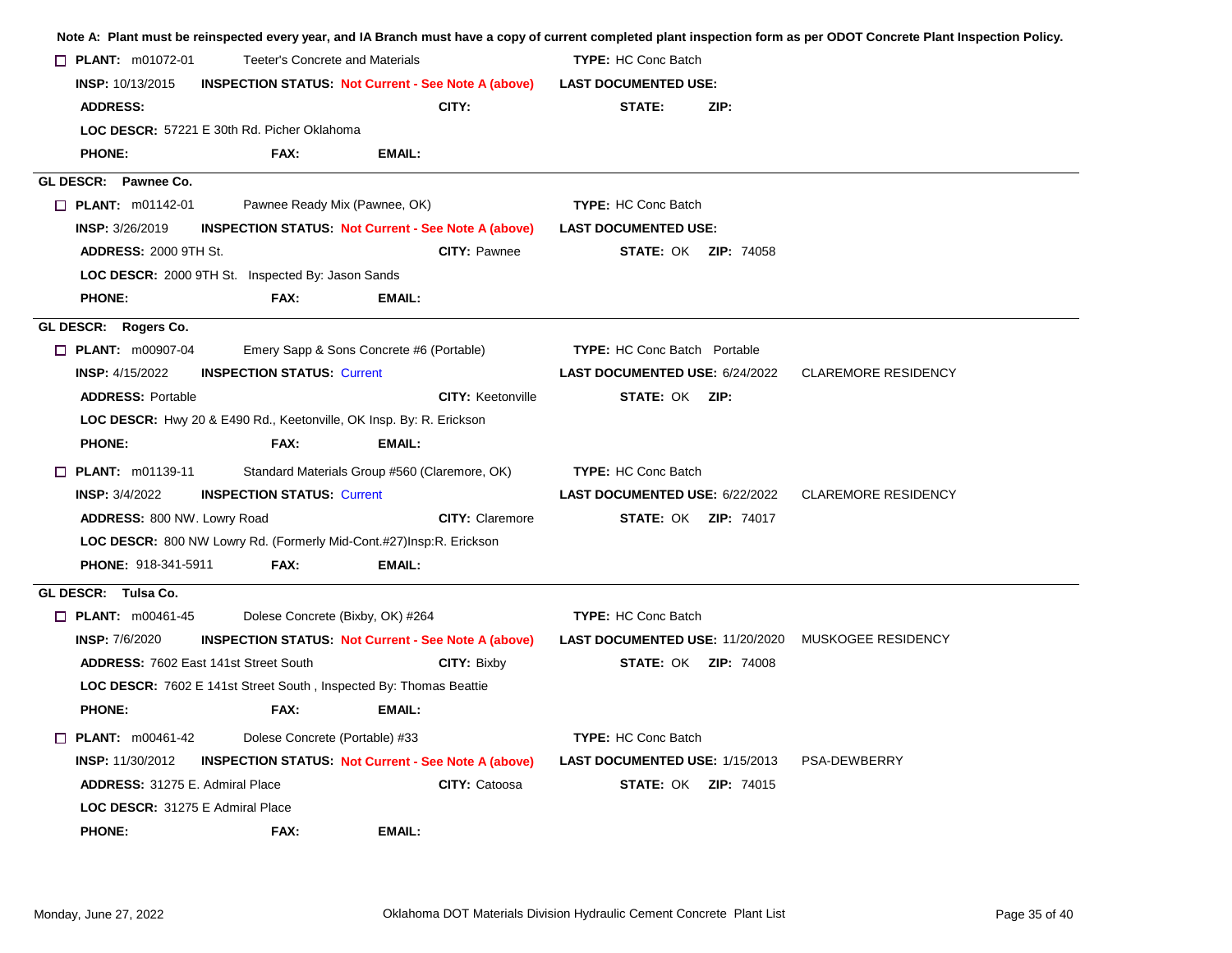|  |                                                                                                                                              |                                                                     |                                                            |                                                           |                             | Note A: Plant must be reinspected every year, and IA Branch must have a copy of current completed plant inspection form as per ODOT Concrete Plant Inspection Policy. |  |
|--|----------------------------------------------------------------------------------------------------------------------------------------------|---------------------------------------------------------------------|------------------------------------------------------------|-----------------------------------------------------------|-----------------------------|-----------------------------------------------------------------------------------------------------------------------------------------------------------------------|--|
|  | $\Box$ PLANT: m01072-01<br>Teeter's Concrete and Materials<br>INSP: 10/13/2015<br><b>INSPECTION STATUS: Not Current - See Note A (above)</b> |                                                                     |                                                            | <b>TYPE:</b> HC Conc Batch<br><b>LAST DOCUMENTED USE:</b> |                             |                                                                                                                                                                       |  |
|  |                                                                                                                                              |                                                                     |                                                            |                                                           |                             |                                                                                                                                                                       |  |
|  | <b>ADDRESS:</b>                                                                                                                              |                                                                     | CITY:                                                      | STATE:                                                    | ZIP:                        |                                                                                                                                                                       |  |
|  |                                                                                                                                              | LOC DESCR: 57221 E 30th Rd. Picher Oklahoma                         |                                                            |                                                           |                             |                                                                                                                                                                       |  |
|  | <b>PHONE:</b>                                                                                                                                | FAX:                                                                | <b>EMAIL:</b>                                              |                                                           |                             |                                                                                                                                                                       |  |
|  | GL DESCR: Pawnee Co.                                                                                                                         |                                                                     |                                                            |                                                           |                             |                                                                                                                                                                       |  |
|  | $\Box$ PLANT: m01142-01                                                                                                                      | Pawnee Ready Mix (Pawnee, OK)                                       |                                                            | <b>TYPE: HC Conc Batch</b>                                |                             |                                                                                                                                                                       |  |
|  | <b>INSP: 3/26/2019</b>                                                                                                                       |                                                                     | <b>INSPECTION STATUS: Not Current - See Note A (above)</b> | <b>LAST DOCUMENTED USE:</b>                               |                             |                                                                                                                                                                       |  |
|  | <b>ADDRESS: 2000 9TH St.</b>                                                                                                                 |                                                                     | <b>CITY: Pawnee</b>                                        | <b>STATE: OK ZIP: 74058</b>                               |                             |                                                                                                                                                                       |  |
|  |                                                                                                                                              | LOC DESCR: 2000 9TH St. Inspected By: Jason Sands                   |                                                            |                                                           |                             |                                                                                                                                                                       |  |
|  | <b>PHONE:</b>                                                                                                                                | FAX:                                                                | <b>EMAIL:</b>                                              |                                                           |                             |                                                                                                                                                                       |  |
|  | GL DESCR: Rogers Co.                                                                                                                         |                                                                     |                                                            |                                                           |                             |                                                                                                                                                                       |  |
|  | $\Box$ PLANT: m00907-04                                                                                                                      |                                                                     | Emery Sapp & Sons Concrete #6 (Portable)                   | <b>TYPE:</b> HC Conc Batch Portable                       |                             |                                                                                                                                                                       |  |
|  | <b>INSP: 4/15/2022</b>                                                                                                                       | <b>INSPECTION STATUS: Current</b>                                   |                                                            | LAST DOCUMENTED USE: 6/24/2022                            |                             | <b>CLAREMORE RESIDENCY</b>                                                                                                                                            |  |
|  | <b>ADDRESS: Portable</b>                                                                                                                     |                                                                     | <b>CITY: Keetonville</b>                                   | <b>STATE: OK ZIP:</b>                                     |                             |                                                                                                                                                                       |  |
|  |                                                                                                                                              | LOC DESCR: Hwy 20 & E490 Rd., Keetonville, OK Insp. By: R. Erickson |                                                            |                                                           |                             |                                                                                                                                                                       |  |
|  | <b>PHONE:</b>                                                                                                                                | FAX:                                                                | EMAIL:                                                     |                                                           |                             |                                                                                                                                                                       |  |
|  | $\Box$ PLANT: m01139-11                                                                                                                      |                                                                     | Standard Materials Group #560 (Claremore, OK)              | <b>TYPE: HC Conc Batch</b>                                |                             |                                                                                                                                                                       |  |
|  | <b>INSP: 3/4/2022</b>                                                                                                                        | <b>INSPECTION STATUS: Current</b>                                   |                                                            | LAST DOCUMENTED USE: 6/22/2022                            |                             | <b>CLAREMORE RESIDENCY</b>                                                                                                                                            |  |
|  | ADDRESS: 800 NW. Lowry Road                                                                                                                  |                                                                     | <b>CITY: Claremore</b>                                     |                                                           | <b>STATE: OK ZIP: 74017</b> |                                                                                                                                                                       |  |
|  |                                                                                                                                              | LOC DESCR: 800 NW Lowry Rd. (Formerly Mid-Cont.#27)Insp:R. Erickson |                                                            |                                                           |                             |                                                                                                                                                                       |  |
|  | <b>PHONE: 918-341-5911</b>                                                                                                                   | FAX:                                                                | <b>EMAIL:</b>                                              |                                                           |                             |                                                                                                                                                                       |  |
|  | GL DESCR: Tulsa Co.                                                                                                                          |                                                                     |                                                            |                                                           |                             |                                                                                                                                                                       |  |
|  | $\Box$ PLANT: m00461-45                                                                                                                      | Dolese Concrete (Bixby, OK) #264                                    |                                                            | <b>TYPE: HC Conc Batch</b>                                |                             |                                                                                                                                                                       |  |
|  | <b>INSP: 7/6/2020</b>                                                                                                                        |                                                                     | <b>INSPECTION STATUS: Not Current - See Note A (above)</b> |                                                           |                             | <b>LAST DOCUMENTED USE: 11/20/2020 MUSKOGEE RESIDENCY</b>                                                                                                             |  |
|  |                                                                                                                                              | <b>ADDRESS: 7602 East 141st Street South</b>                        | <b>CITY: Bixby</b>                                         |                                                           | <b>STATE: OK ZIP: 74008</b> |                                                                                                                                                                       |  |
|  |                                                                                                                                              | LOC DESCR: 7602 E 141st Street South, Inspected By: Thomas Beattie  |                                                            |                                                           |                             |                                                                                                                                                                       |  |
|  | <b>PHONE:</b>                                                                                                                                | FAX:                                                                | <b>EMAIL:</b>                                              |                                                           |                             |                                                                                                                                                                       |  |
|  | $\Box$ PLANT: m00461-42                                                                                                                      | Dolese Concrete (Portable) #33                                      |                                                            | <b>TYPE: HC Conc Batch</b>                                |                             |                                                                                                                                                                       |  |
|  | <b>INSP: 11/30/2012</b>                                                                                                                      |                                                                     | <b>INSPECTION STATUS: Not Current - See Note A (above)</b> | LAST DOCUMENTED USE: 1/15/2013                            |                             | PSA-DEWBERRY                                                                                                                                                          |  |
|  | <b>ADDRESS: 31275 E. Admiral Place</b>                                                                                                       |                                                                     | CITY: Catoosa                                              |                                                           | <b>STATE: OK ZIP: 74015</b> |                                                                                                                                                                       |  |
|  | LOC DESCR: 31275 E Admiral Place                                                                                                             |                                                                     |                                                            |                                                           |                             |                                                                                                                                                                       |  |
|  | <b>PHONE:</b>                                                                                                                                | FAX:                                                                | <b>EMAIL:</b>                                              |                                                           |                             |                                                                                                                                                                       |  |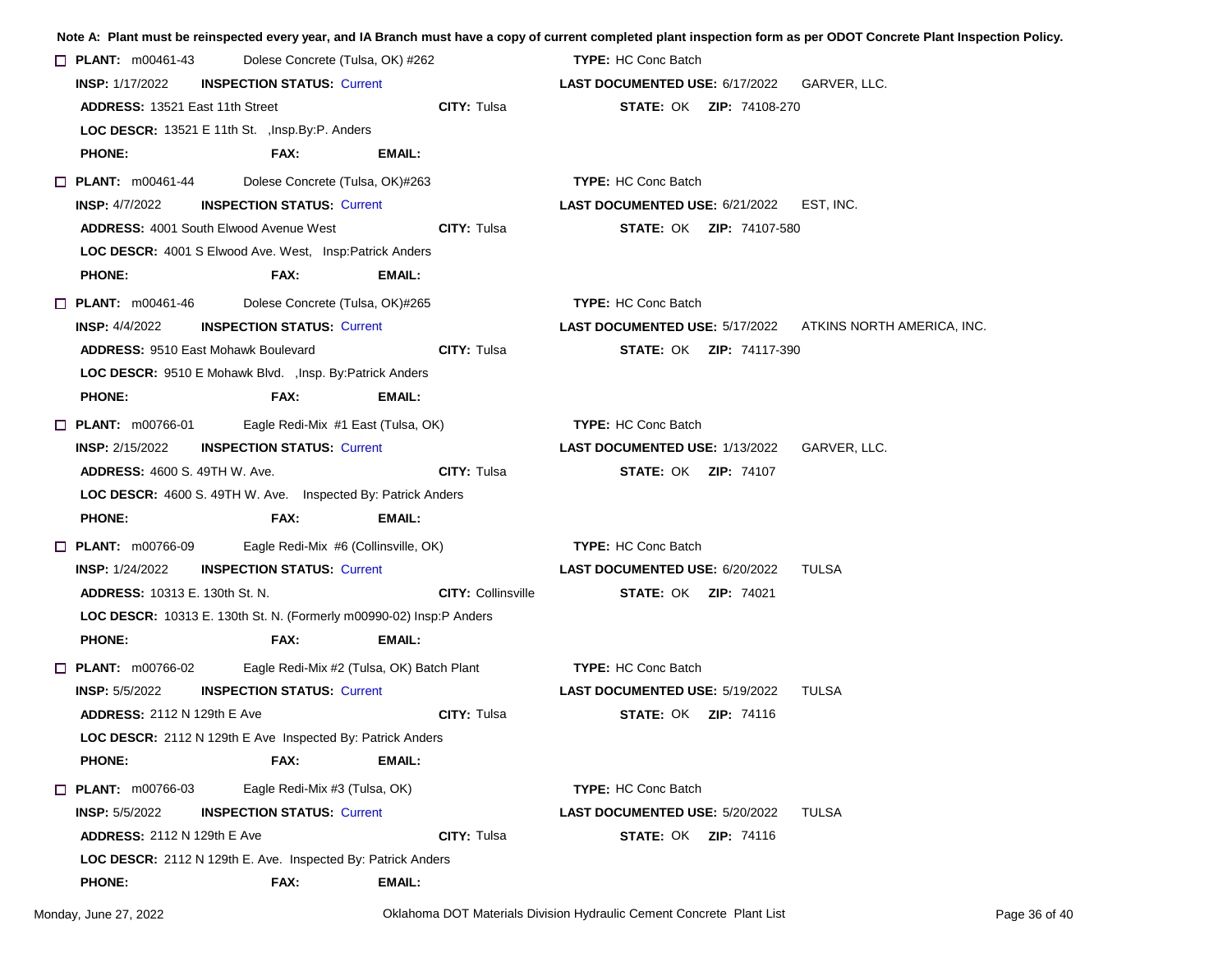|                                                             |                                                                     |                                                                   |             |                                                    |                                          |                                 | Note A: Plant must be reinspected every year, and IA Branch must have a copy of current completed plant inspection form as per ODOT Concrete Plant Inspection Policy. |
|-------------------------------------------------------------|---------------------------------------------------------------------|-------------------------------------------------------------------|-------------|----------------------------------------------------|------------------------------------------|---------------------------------|-----------------------------------------------------------------------------------------------------------------------------------------------------------------------|
| $\Box$ PLANT: m00461-43<br>Dolese Concrete (Tulsa, OK) #262 |                                                                     |                                                                   |             | <b>TYPE:</b> HC Conc Batch                         |                                          |                                 |                                                                                                                                                                       |
|                                                             | <b>INSP: 1/17/2022</b><br><b>INSPECTION STATUS: Current</b>         |                                                                   |             | <b>LAST DOCUMENTED USE: 6/17/2022 GARVER, LLC.</b> |                                          |                                 |                                                                                                                                                                       |
|                                                             | <b>ADDRESS: 13521 East 11th Street</b>                              |                                                                   |             | <b>CITY: Tulsa</b>                                 |                                          | <b>STATE: OK ZIP: 74108-270</b> |                                                                                                                                                                       |
|                                                             | LOC DESCR: 13521 E 11th St., Insp. By: P. Anders                    |                                                                   |             |                                                    |                                          |                                 |                                                                                                                                                                       |
|                                                             | <b>PHONE:</b>                                                       | FAX:                                                              | EMAIL:      |                                                    |                                          |                                 |                                                                                                                                                                       |
|                                                             | $\Box$ PLANT: $m00461-44$                                           | Dolese Concrete (Tulsa, OK)#263                                   |             |                                                    | <b>TYPE: HC Conc Batch</b>               |                                 |                                                                                                                                                                       |
|                                                             | <b>INSP: 4/7/2022</b>                                               | <b>INSPECTION STATUS: Current</b>                                 |             |                                                    | LAST DOCUMENTED USE: 6/21/2022 EST, INC. |                                 |                                                                                                                                                                       |
|                                                             | <b>ADDRESS: 4001 South Elwood Avenue West</b>                       |                                                                   | CITY: Tulsa |                                                    | <b>STATE: OK ZIP: 74107-580</b>          |                                 |                                                                                                                                                                       |
|                                                             | <b>LOC DESCR: 4001 S Elwood Ave. West, Insp:Patrick Anders</b>      |                                                                   |             |                                                    |                                          |                                 |                                                                                                                                                                       |
|                                                             | <b>PHONE:</b>                                                       | FAX:                                                              | EMAIL:      |                                                    |                                          |                                 |                                                                                                                                                                       |
|                                                             | $\Box$ PLANT: m00461-46                                             | Dolese Concrete (Tulsa, OK)#265                                   |             |                                                    | <b>TYPE: HC Conc Batch</b>               |                                 |                                                                                                                                                                       |
|                                                             | <b>INSP:</b> $4/4/2022$                                             | <b>INSPECTION STATUS: Current</b>                                 |             |                                                    |                                          |                                 | LAST DOCUMENTED USE: 5/17/2022 ATKINS NORTH AMERICA, INC.                                                                                                             |
|                                                             | <b>ADDRESS: 9510 East Mohawk Boulevard</b>                          |                                                                   |             | CITY: Tulsa                                        |                                          | <b>STATE: OK ZIP: 74117-390</b> |                                                                                                                                                                       |
|                                                             | LOC DESCR: 9510 E Mohawk Blvd. , Insp. By:Patrick Anders            |                                                                   |             |                                                    |                                          |                                 |                                                                                                                                                                       |
|                                                             | <b>PHONE:</b>                                                       | FAX:                                                              | EMAIL:      |                                                    |                                          |                                 |                                                                                                                                                                       |
|                                                             | $\Box$ PLANT: m00766-01                                             | Eagle Redi-Mix #1 East (Tulsa, OK)                                |             |                                                    | TYPE: HC Conc Batch                      |                                 |                                                                                                                                                                       |
|                                                             | <b>INSP:</b> $2/15/2022$                                            | <b>INSPECTION STATUS: Current</b>                                 |             |                                                    | <b>LAST DOCUMENTED USE: 1/13/2022</b>    |                                 | GARVER, LLC.                                                                                                                                                          |
|                                                             | <b>ADDRESS: 4600 S. 49TH W. Ave.</b>                                |                                                                   |             | <b>CITY: Tulsa</b>                                 |                                          | <b>STATE: OK ZIP: 74107</b>     |                                                                                                                                                                       |
|                                                             | LOC DESCR: 4600 S. 49TH W. Ave. Inspected By: Patrick Anders        |                                                                   |             |                                                    |                                          |                                 |                                                                                                                                                                       |
|                                                             | <b>PHONE:</b>                                                       | FAX:                                                              | EMAIL:      |                                                    |                                          |                                 |                                                                                                                                                                       |
|                                                             | $\Box$ PLANT: m00766-09                                             | Eagle Redi-Mix #6 (Collinsville, OK)                              |             |                                                    | <b>TYPE: HC Conc Batch</b>               |                                 |                                                                                                                                                                       |
|                                                             | <b>INSP: 1/24/2022</b>                                              | <b>INSPECTION STATUS: Current</b>                                 |             |                                                    | <b>LAST DOCUMENTED USE: 6/20/2022</b>    |                                 | TULSA                                                                                                                                                                 |
|                                                             | <b>ADDRESS: 10313 E. 130th St. N.</b>                               |                                                                   |             | <b>CITY: Collinsville</b>                          |                                          | <b>STATE: OK ZIP: 74021</b>     |                                                                                                                                                                       |
|                                                             | LOC DESCR: 10313 E. 130th St. N. (Formerly m00990-02) Insp:P Anders |                                                                   |             |                                                    |                                          |                                 |                                                                                                                                                                       |
|                                                             | <b>PHONE:</b>                                                       | FAX:                                                              | EMAIL:      |                                                    |                                          |                                 |                                                                                                                                                                       |
|                                                             | $\Box$ PLANT: m00766-02                                             | Eagle Redi-Mix #2 (Tulsa, OK) Batch Plant                         |             |                                                    | <b>TYPE: HC Conc Batch</b>               |                                 |                                                                                                                                                                       |
|                                                             | <b>INSP:</b> $5/5/2022$                                             | <b>INSPECTION STATUS: Current</b>                                 |             |                                                    | <b>LAST DOCUMENTED USE: 5/19/2022</b>    |                                 | TULSA                                                                                                                                                                 |
|                                                             | <b>ADDRESS: 2112 N 129th E Ave</b>                                  |                                                                   |             | CITY: Tulsa                                        |                                          | <b>STATE: OK ZIP: 74116</b>     |                                                                                                                                                                       |
|                                                             |                                                                     | <b>LOC DESCR:</b> 2112 N 129th E Ave Inspected By: Patrick Anders |             |                                                    |                                          |                                 |                                                                                                                                                                       |
|                                                             | <b>PHONE:</b>                                                       | FAX:                                                              | EMAIL:      |                                                    |                                          |                                 |                                                                                                                                                                       |
|                                                             | $\Box$ PLANT: m00766-03                                             | Eagle Redi-Mix #3 (Tulsa, OK)                                     |             |                                                    | <b>TYPE: HC Conc Batch</b>               |                                 |                                                                                                                                                                       |
|                                                             | <b>INSP: 5/5/2022</b>                                               | <b>INSPECTION STATUS: Current</b>                                 |             |                                                    | <b>LAST DOCUMENTED USE: 5/20/2022</b>    |                                 | <b>TULSA</b>                                                                                                                                                          |
|                                                             | <b>ADDRESS: 2112 N 129th E Ave</b>                                  |                                                                   |             | <b>CITY: Tulsa</b>                                 |                                          | <b>STATE: OK ZIP: 74116</b>     |                                                                                                                                                                       |
|                                                             | LOC DESCR: 2112 N 129th E. Ave. Inspected By: Patrick Anders        |                                                                   |             |                                                    |                                          |                                 |                                                                                                                                                                       |
|                                                             | <b>PHONE:</b>                                                       | FAX:                                                              | EMAIL:      |                                                    |                                          |                                 |                                                                                                                                                                       |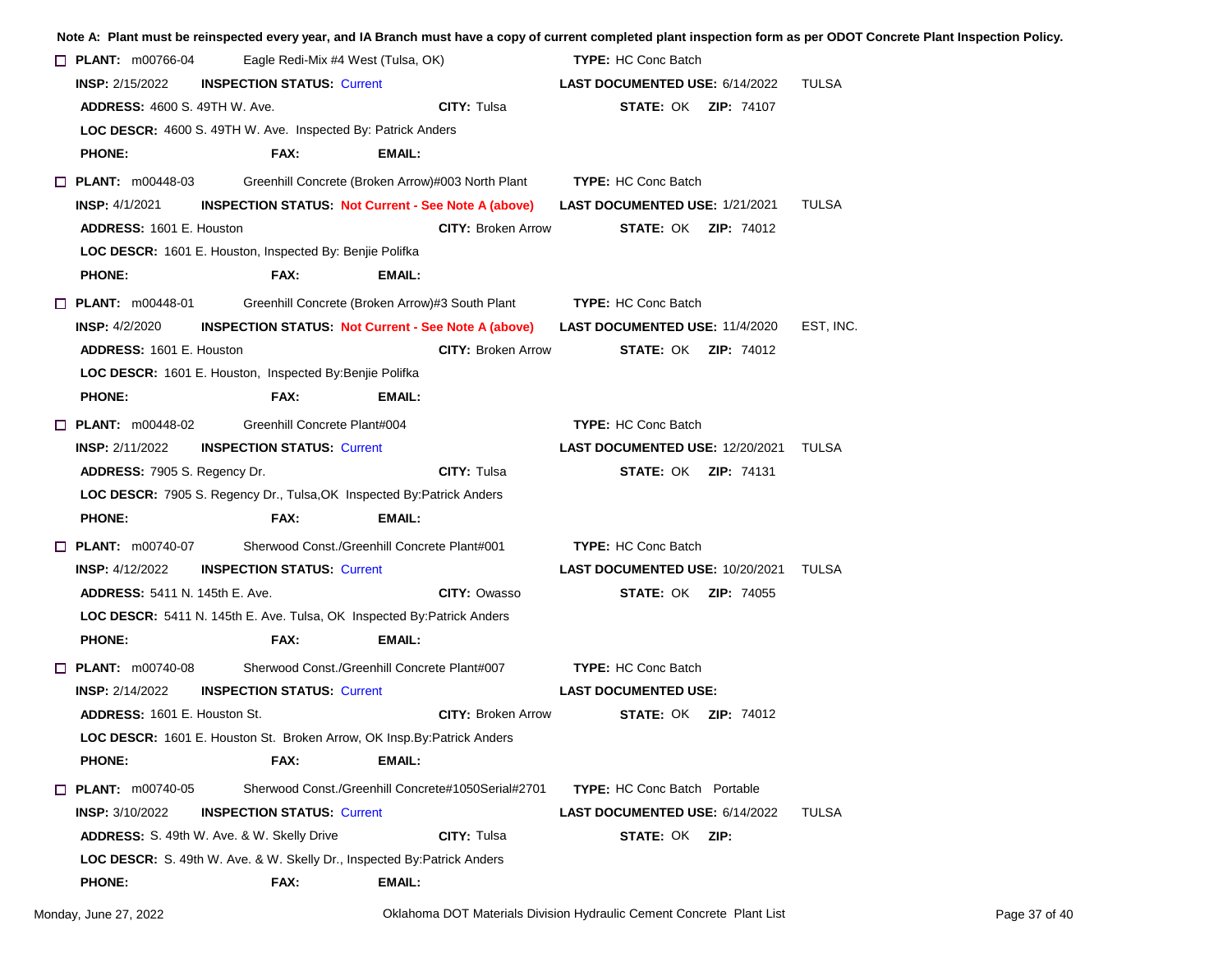|  |                                                                                 |  |                                                 |               |                                                           |                                |                                        |                                              | Note A: Plant must be reinspected every year, and IA Branch must have a copy of current completed plant inspection form as per ODOT Concrete Plant Inspection Policy. |  |
|--|---------------------------------------------------------------------------------|--|-------------------------------------------------|---------------|-----------------------------------------------------------|--------------------------------|----------------------------------------|----------------------------------------------|-----------------------------------------------------------------------------------------------------------------------------------------------------------------------|--|
|  | $\Box$ PLANT: m00766-04<br>Eagle Redi-Mix #4 West (Tulsa, OK)                   |  |                                                 |               |                                                           | <b>TYPE: HC Conc Batch</b>     |                                        |                                              |                                                                                                                                                                       |  |
|  | <b>INSP:</b> 2/15/2022<br><b>INSPECTION STATUS: Current</b>                     |  |                                                 |               |                                                           | LAST DOCUMENTED USE: 6/14/2022 |                                        |                                              | TULSA                                                                                                                                                                 |  |
|  | <b>ADDRESS: 4600 S. 49TH W. Ave.</b>                                            |  |                                                 |               | <b>CITY: Tulsa</b>                                        |                                |                                        | <b>STATE: OK ZIP: 74107</b>                  |                                                                                                                                                                       |  |
|  | LOC DESCR: 4600 S. 49TH W. Ave. Inspected By: Patrick Anders                    |  |                                                 |               |                                                           |                                |                                        |                                              |                                                                                                                                                                       |  |
|  | <b>PHONE:</b>                                                                   |  | FAX:                                            | EMAIL:        |                                                           |                                |                                        |                                              |                                                                                                                                                                       |  |
|  | $\Box$ PLANT: $m00448-03$                                                       |  |                                                 |               | Greenhill Concrete (Broken Arrow)#003 North Plant         |                                | <b>TYPE: HC Conc Batch</b>             |                                              |                                                                                                                                                                       |  |
|  | <b>INSP: 4/1/2021</b>                                                           |  |                                                 |               | <b>INSPECTION STATUS Not Current - See Note A (above)</b> |                                |                                        | <b>LAST DOCUMENTED USE: 1/21/2021</b>        | <b>TULSA</b>                                                                                                                                                          |  |
|  | <b>ADDRESS: 1601 E. Houston</b>                                                 |  |                                                 |               | <b>CITY: Broken Arrow</b>                                 |                                |                                        | <b>STATE: OK ZIP: 74012</b>                  |                                                                                                                                                                       |  |
|  | LOC DESCR: 1601 E. Houston, Inspected By: Benjie Polifka                        |  |                                                 |               |                                                           |                                |                                        |                                              |                                                                                                                                                                       |  |
|  | <b>PHONE:</b>                                                                   |  | FAX:                                            | <b>EMAIL:</b> |                                                           |                                |                                        |                                              |                                                                                                                                                                       |  |
|  | $\Box$ PLANT: m00448-01                                                         |  | Greenhill Concrete (Broken Arrow)#3 South Plant |               |                                                           |                                | <b>TYPE: HC Conc Batch</b>             |                                              |                                                                                                                                                                       |  |
|  | <b>INSP: 4/2/2020</b>                                                           |  |                                                 |               | <b>INSPECTION STATUS Not Current - See Note A (above)</b> |                                |                                        | <b>LAST DOCUMENTED USE: 11/4/2020</b>        | EST, INC.                                                                                                                                                             |  |
|  | ADDRESS: 1601 E. Houston                                                        |  |                                                 |               | <b>CITY: Broken Arrow</b>                                 |                                |                                        | <b>STATE: OK ZIP: 74012</b>                  |                                                                                                                                                                       |  |
|  | LOC DESCR: 1601 E. Houston, Inspected By: Benjie Polifka                        |  |                                                 |               |                                                           |                                |                                        |                                              |                                                                                                                                                                       |  |
|  | <b>PHONE:</b>                                                                   |  | FAX:                                            | EMAIL:        |                                                           |                                |                                        |                                              |                                                                                                                                                                       |  |
|  | $\Box$ PLANT: $m00448-02$                                                       |  | Greenhill Concrete Plant#004                    |               |                                                           |                                | <b>TYPE: HC Conc Batch</b>             |                                              |                                                                                                                                                                       |  |
|  | <b>INSP: 2/11/2022</b>                                                          |  | <b>INSPECTION STATUS: Current</b>               |               |                                                           |                                |                                        | <b>LAST DOCUMENTED USE: 12/20/2021 TULSA</b> |                                                                                                                                                                       |  |
|  | ADDRESS: 7905 S. Regency Dr.                                                    |  |                                                 |               | <b>CITY: Tulsa</b>                                        |                                |                                        | <b>STATE: OK ZIP: 74131</b>                  |                                                                                                                                                                       |  |
|  | <b>LOC DESCR: 7905 S. Regency Dr., Tulsa, OK Inspected By: Patrick Anders</b>   |  |                                                 |               |                                                           |                                |                                        |                                              |                                                                                                                                                                       |  |
|  | <b>PHONE:</b>                                                                   |  | FAX:                                            | EMAIL:        |                                                           |                                |                                        |                                              |                                                                                                                                                                       |  |
|  | Sherwood Const./Greenhill Concrete Plant#001<br>$\Box$ PLANT: m00740-07         |  |                                                 |               |                                                           | <b>TYPE: HC Conc Batch</b>     |                                        |                                              |                                                                                                                                                                       |  |
|  | <b>INSP:</b> 4/12/2022<br><b>INSPECTION STATUS: Current</b>                     |  |                                                 |               |                                                           |                                | <b>LAST DOCUMENTED USE: 10/20/2021</b> |                                              | TULSA                                                                                                                                                                 |  |
|  | <b>ADDRESS: 5411 N. 145th E. Ave.</b>                                           |  |                                                 |               | CITY: Owasso                                              |                                |                                        | <b>STATE: OK ZIP: 74055</b>                  |                                                                                                                                                                       |  |
|  | LOC DESCR: 5411 N. 145th E. Ave. Tulsa, OK Inspected By: Patrick Anders         |  |                                                 |               |                                                           |                                |                                        |                                              |                                                                                                                                                                       |  |
|  | <b>PHONE:</b>                                                                   |  | FAX:                                            | EMAIL:        |                                                           |                                |                                        |                                              |                                                                                                                                                                       |  |
|  | $\Box$ PLANT: m00740-08                                                         |  | Sherwood Const./Greenhill Concrete Plant#007    |               |                                                           |                                | <b>TYPE: HC Conc Batch</b>             |                                              |                                                                                                                                                                       |  |
|  | <b>INSP: 2/14/2022</b><br><b>INSPECTION STATUS: Current</b>                     |  |                                                 |               |                                                           | <b>LAST DOCUMENTED USE:</b>    |                                        |                                              |                                                                                                                                                                       |  |
|  | <b>ADDRESS: 1601 E. Houston St.</b>                                             |  |                                                 |               | <b>CITY: Broken Arrow</b>                                 |                                |                                        | <b>STATE: OK ZIP: 74012</b>                  |                                                                                                                                                                       |  |
|  | LOC DESCR: 1601 E. Houston St. Broken Arrow, OK Insp.By:Patrick Anders          |  |                                                 |               |                                                           |                                |                                        |                                              |                                                                                                                                                                       |  |
|  | <b>PHONE:</b>                                                                   |  | FAX:                                            | EMAIL:        |                                                           |                                |                                        |                                              |                                                                                                                                                                       |  |
|  | <b>D</b> PLANT: m00740-05<br>Sherwood Const./Greenhill Concrete#1050Serial#2701 |  |                                                 |               |                                                           |                                | <b>TYPE:</b> HC Conc Batch Portable    |                                              |                                                                                                                                                                       |  |
|  | <b>INSP: 3/10/2022</b><br><b>INSPECTION STATUS: Current</b>                     |  |                                                 |               |                                                           |                                |                                        | <b>LAST DOCUMENTED USE: 6/14/2022</b>        | TULSA                                                                                                                                                                 |  |
|  | <b>ADDRESS:</b> S. 49th W. Ave. & W. Skelly Drive                               |  |                                                 |               | <b>CITY: Tulsa</b>                                        |                                | <b>STATE: OK ZIP:</b>                  |                                              |                                                                                                                                                                       |  |
|  | LOC DESCR: S. 49th W. Ave. & W. Skelly Dr., Inspected By: Patrick Anders        |  |                                                 |               |                                                           |                                |                                        |                                              |                                                                                                                                                                       |  |
|  | <b>PHONE:</b>                                                                   |  | FAX:                                            | EMAIL:        |                                                           |                                |                                        |                                              |                                                                                                                                                                       |  |
|  |                                                                                 |  |                                                 |               |                                                           |                                |                                        |                                              |                                                                                                                                                                       |  |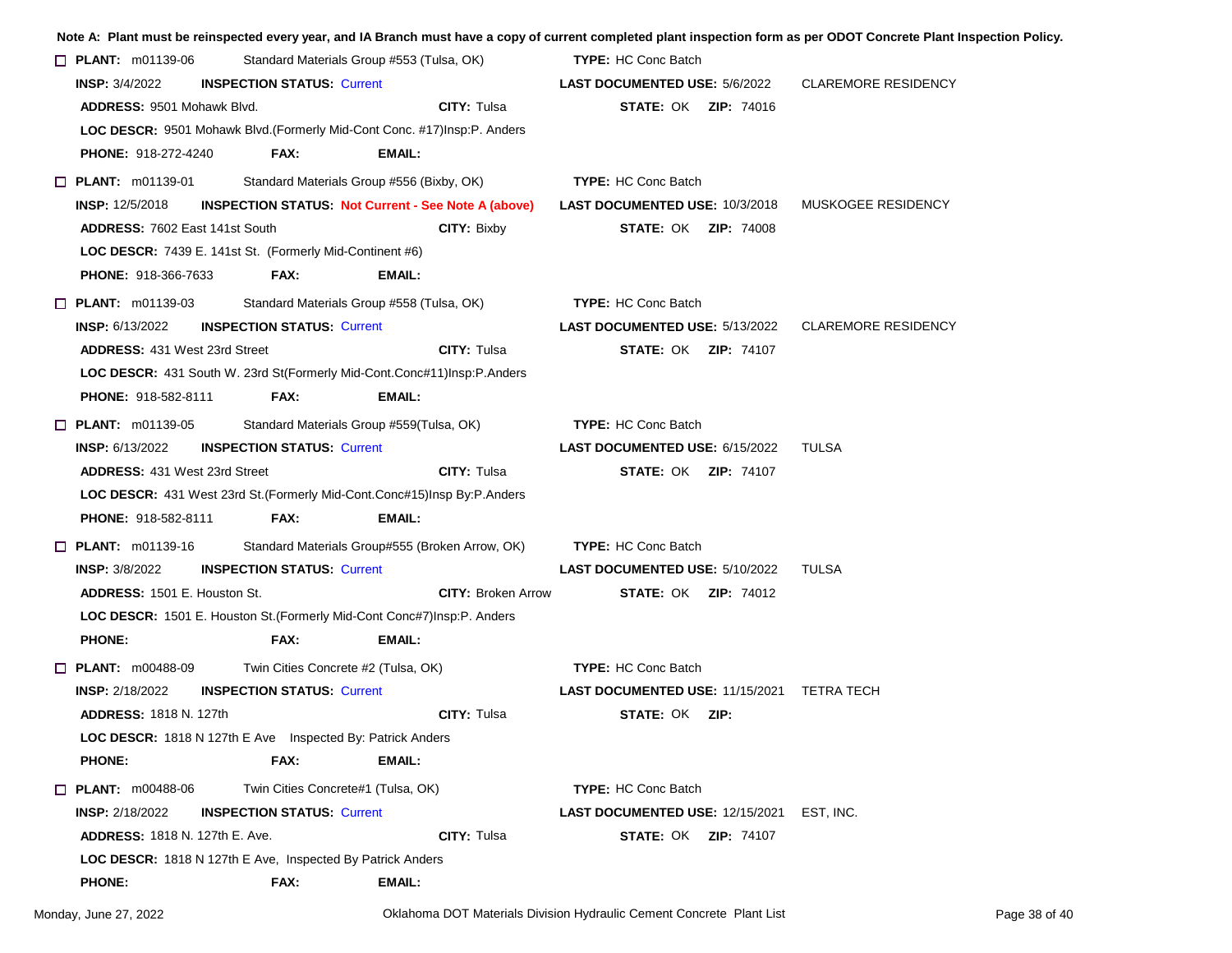|                                                            |                                     |                                                                             |                                                                                    | Note A: Plant must be reinspected every year, and IA Branch must have a copy of current completed plant inspection form as per ODOT Concrete Plant Inspection Policy. |
|------------------------------------------------------------|-------------------------------------|-----------------------------------------------------------------------------|------------------------------------------------------------------------------------|-----------------------------------------------------------------------------------------------------------------------------------------------------------------------|
| $\Box$ PLANT: m01139-06                                    |                                     | Standard Materials Group #553 (Tulsa, OK)                                   | <b>TYPE: HC Conc Batch</b>                                                         |                                                                                                                                                                       |
| <b>INSP:</b> $3/4/2022$                                    | <b>INSPECTION STATUS: Current</b>   |                                                                             | <b>LAST DOCUMENTED USE: 5/6/2022</b>                                               | <b>CLAREMORE RESIDENCY</b>                                                                                                                                            |
| <b>ADDRESS: 9501 Mohawk Blvd.</b>                          |                                     | <b>CITY: Tulsa</b>                                                          | <b>STATE: OK ZIP: 74016</b>                                                        |                                                                                                                                                                       |
|                                                            |                                     | LOC DESCR: 9501 Mohawk Blvd. (Formerly Mid-Cont Conc. #17) Insp: P. Anders  |                                                                                    |                                                                                                                                                                       |
| <b>PHONE: 918-272-4240</b>                                 | FAX:                                | EMAIL:                                                                      |                                                                                    |                                                                                                                                                                       |
| $\Box$ PLANT: m01139-01                                    |                                     | Standard Materials Group #556 (Bixby, OK)                                   | <b>TYPE: HC Conc Batch</b>                                                         |                                                                                                                                                                       |
| <b>INSP:</b> 12/5/2018                                     |                                     |                                                                             | INSPECTION STATUS: Not Current - See Note A (above) LAST DOCUMENTED USE: 10/3/2018 | MUSKOGEE RESIDENCY                                                                                                                                                    |
| <b>ADDRESS: 7602 East 141st South</b>                      |                                     | <b>CITY: Bixby</b>                                                          | <b>STATE: OK ZIP: 74008</b>                                                        |                                                                                                                                                                       |
| LOC DESCR: 7439 E. 141st St. (Formerly Mid-Continent #6)   |                                     |                                                                             |                                                                                    |                                                                                                                                                                       |
| <b>PHONE: 918-366-7633</b>                                 | FAX:                                | <b>EMAIL:</b>                                                               |                                                                                    |                                                                                                                                                                       |
| $\Box$ PLANT: m01139-03                                    |                                     | Standard Materials Group #558 (Tulsa, OK)                                   | <b>TYPE: HC Conc Batch</b>                                                         |                                                                                                                                                                       |
| <b>INSP: 6/13/2022</b>                                     | <b>INSPECTION STATUS: Current</b>   |                                                                             | <b>LAST DOCUMENTED USE: 5/13/2022</b>                                              | <b>CLAREMORE RESIDENCY</b>                                                                                                                                            |
| <b>ADDRESS: 431 West 23rd Street</b>                       |                                     | <b>CITY: Tulsa</b>                                                          | <b>STATE: OK ZIP: 74107</b>                                                        |                                                                                                                                                                       |
|                                                            |                                     | LOC DESCR: 431 South W. 23rd St(Formerly Mid-Cont.Conc#11)Insp:P.Anders     |                                                                                    |                                                                                                                                                                       |
| <b>PHONE: 918-582-8111</b>                                 | FAX:                                | <b>EMAIL:</b>                                                               |                                                                                    |                                                                                                                                                                       |
| $\Box$ PLANT: m01139-05                                    |                                     | Standard Materials Group #559(Tulsa, OK)                                    | <b>TYPE: HC Conc Batch</b>                                                         |                                                                                                                                                                       |
| <b>INSP:</b> 6/13/2022                                     | <b>INSPECTION STATUS: Current</b>   |                                                                             | <b>LAST DOCUMENTED USE: 6/15/2022</b>                                              | TULSA                                                                                                                                                                 |
| <b>ADDRESS: 431 West 23rd Street</b>                       |                                     | <b>CITY: Tulsa</b>                                                          | <b>STATE: OK ZIP: 74107</b>                                                        |                                                                                                                                                                       |
|                                                            |                                     | LOC DESCR: 431 West 23rd St. (Formerly Mid-Cont.Conc#15) Insp By: P. Anders |                                                                                    |                                                                                                                                                                       |
| <b>PHONE: 918-582-8111</b>                                 | FAX:                                | EMAIL:                                                                      |                                                                                    |                                                                                                                                                                       |
| $\Box$ PLANT: m01139-16                                    |                                     | Standard Materials Group#555 (Broken Arrow, OK)                             | <b>TYPE: HC Conc Batch</b>                                                         |                                                                                                                                                                       |
| <b>INSP: 3/8/2022</b>                                      | <b>INSPECTION STATUS: Current</b>   |                                                                             | <b>LAST DOCUMENTED USE: 5/10/2022</b>                                              | TULSA                                                                                                                                                                 |
| ADDRESS: 1501 E. Houston St.                               |                                     | <b>CITY: Broken Arrow</b>                                                   | <b>STATE: OK ZIP: 74012</b>                                                        |                                                                                                                                                                       |
|                                                            |                                     | LOC DESCR: 1501 E. Houston St. (Formerly Mid-Cont Conc#7) Insp: P. Anders   |                                                                                    |                                                                                                                                                                       |
| <b>PHONE:</b>                                              | FAX:                                | <b>EMAIL:</b>                                                               |                                                                                    |                                                                                                                                                                       |
| $\Box$ PLANT: $m00488-09$                                  | Twin Cities Concrete #2 (Tulsa, OK) |                                                                             | <b>TYPE: HC Conc Batch</b>                                                         |                                                                                                                                                                       |
| <b>INSP: 2/18/2022</b>                                     | <b>INSPECTION STATUS: Current</b>   |                                                                             | LAST DOCUMENTED USE: 11/15/2021 TETRA TECH                                         |                                                                                                                                                                       |
| <b>ADDRESS: 1818 N. 127th</b>                              |                                     | <b>CITY: Tulsa</b>                                                          | <b>STATE: OK ZIP:</b>                                                              |                                                                                                                                                                       |
| LOC DESCR: 1818 N 127th E Ave Inspected By: Patrick Anders |                                     |                                                                             |                                                                                    |                                                                                                                                                                       |
| <b>PHONE:</b>                                              | FAX:                                | EMAIL:                                                                      |                                                                                    |                                                                                                                                                                       |
| $\Box$ PLANT: m00488-06                                    | Twin Cities Concrete#1 (Tulsa, OK)  |                                                                             | <b>TYPE: HC Conc Batch</b>                                                         |                                                                                                                                                                       |
| <b>INSP:</b> 2/18/2022                                     | <b>INSPECTION STATUS: Current</b>   |                                                                             | <b>LAST DOCUMENTED USE: 12/15/2021</b>                                             | EST, INC.                                                                                                                                                             |
| <b>ADDRESS: 1818 N. 127th E. Ave.</b>                      |                                     | CITY: Tulsa                                                                 | <b>STATE: OK ZIP: 74107</b>                                                        |                                                                                                                                                                       |
| LOC DESCR: 1818 N 127th E Ave, Inspected By Patrick Anders |                                     |                                                                             |                                                                                    |                                                                                                                                                                       |
| <b>PHONE:</b>                                              | FAX:                                | EMAIL:                                                                      |                                                                                    |                                                                                                                                                                       |
|                                                            |                                     |                                                                             |                                                                                    |                                                                                                                                                                       |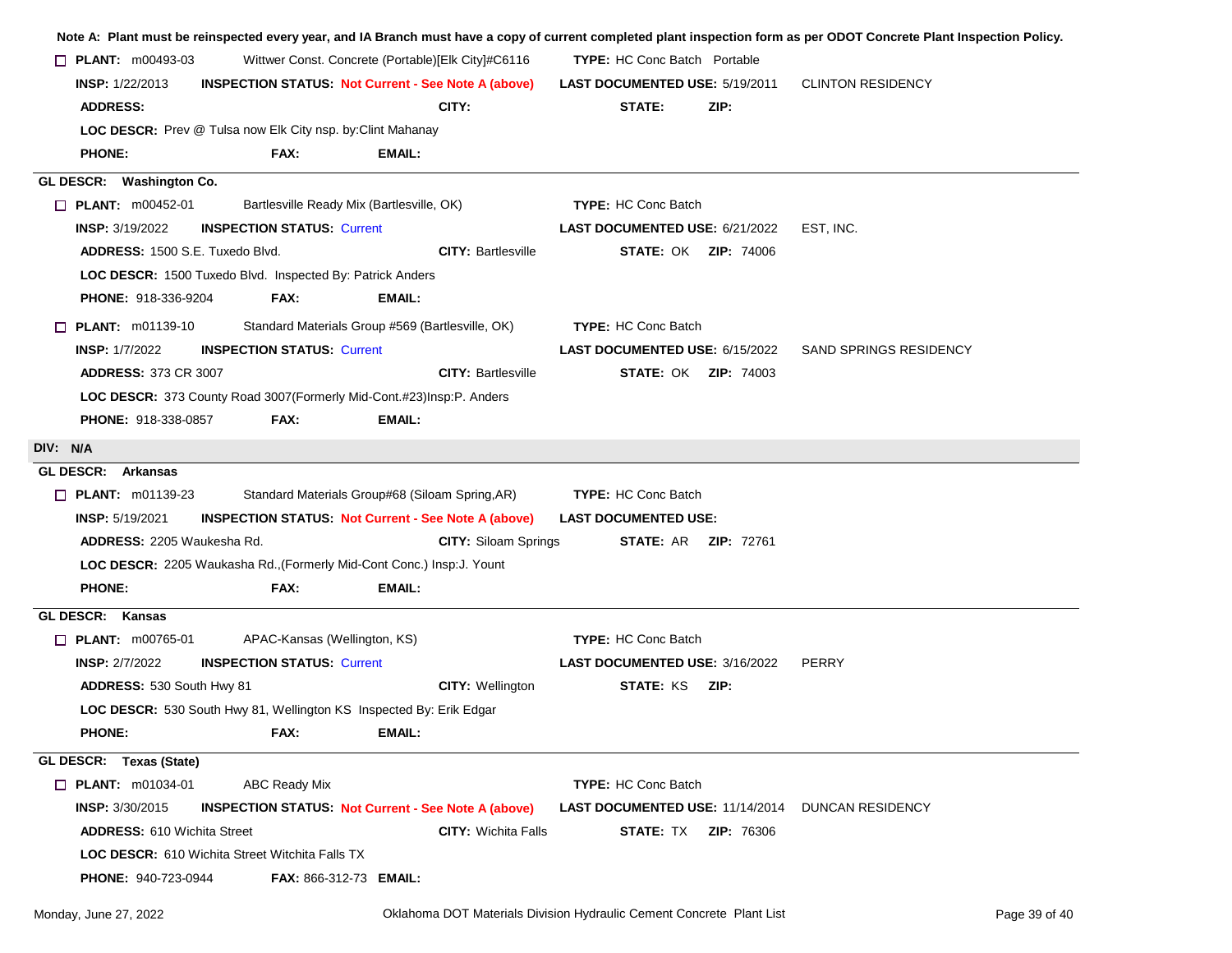|                                                                                              | $\Box$ PLANT: $m00493-03$<br>Wittwer Const. Concrete (Portable)[Elk City]#C6116 |                                                                         |                                                         |                          |
|----------------------------------------------------------------------------------------------|---------------------------------------------------------------------------------|-------------------------------------------------------------------------|---------------------------------------------------------|--------------------------|
| <b>INSP: 1/22/2013</b>                                                                       |                                                                                 | <b>INSPECTION STATUS: Not Current - See Note A (above)</b>              | <b>LAST DOCUMENTED USE: 5/19/2011</b>                   | <b>CLINTON RESIDENCY</b> |
| <b>ADDRESS:</b>                                                                              |                                                                                 | CITY:                                                                   | STATE:<br>ZIP:                                          |                          |
| LOC DESCR: Prev @ Tulsa now Elk City nsp. by: Clint Mahanay                                  |                                                                                 |                                                                         |                                                         |                          |
| <b>PHONE:</b>                                                                                | FAX:                                                                            | <b>EMAIL:</b>                                                           |                                                         |                          |
| GL DESCR: Washington Co.                                                                     |                                                                                 |                                                                         |                                                         |                          |
| <b>PLANT:</b> $m00452-01$                                                                    |                                                                                 | Bartlesville Ready Mix (Bartlesville, OK)                               | <b>TYPE: HC Conc Batch</b>                              |                          |
| <b>INSP: 3/19/2022</b>                                                                       | <b>INSPECTION STATUS: Current</b>                                               |                                                                         | LAST DOCUMENTED USE: 6/21/2022                          | EST, INC.                |
| <b>ADDRESS: 1500 S.E. Tuxedo Blvd.</b>                                                       |                                                                                 | <b>CITY: Bartlesville</b>                                               | <b>STATE: OK ZIP: 74006</b>                             |                          |
| LOC DESCR: 1500 Tuxedo Blvd. Inspected By: Patrick Anders                                    |                                                                                 |                                                                         |                                                         |                          |
| PHONE: 918-336-9204                                                                          | FAX:                                                                            | EMAIL:                                                                  |                                                         |                          |
| $\Box$ PLANT: m01139-10                                                                      |                                                                                 | Standard Materials Group #569 (Bartlesville, OK)                        | <b>TYPE: HC Conc Batch</b>                              |                          |
| <b>INSP: 1/7/2022</b>                                                                        | <b>INSPECTION STATUS: Current</b>                                               |                                                                         | <b>LAST DOCUMENTED USE: 6/15/2022</b>                   | SAND SPRINGS RESIDENCY   |
| <b>ADDRESS: 373 CR 3007</b>                                                                  |                                                                                 | <b>CITY: Bartlesville</b>                                               | <b>STATE: OK ZIP: 74003</b>                             |                          |
|                                                                                              |                                                                                 | LOC DESCR: 373 County Road 3007 (Formerly Mid-Cont.#23) Insp: P. Anders |                                                         |                          |
| <b>PHONE: 918-338-0857</b>                                                                   | FAX:                                                                            | EMAIL:                                                                  |                                                         |                          |
| DIV: N/A                                                                                     |                                                                                 |                                                                         |                                                         |                          |
| GL DESCR: Arkansas                                                                           |                                                                                 |                                                                         |                                                         |                          |
| $\Box$ PLANT: m01139-23                                                                      |                                                                                 | Standard Materials Group#68 (Siloam Spring, AR)                         | <b>TYPE: HC Conc Batch</b>                              |                          |
| <b>INSP: 5/19/2021</b>                                                                       |                                                                                 | <b>INSPECTION STATUS: Not Current - See Note A (above)</b>              | <b>LAST DOCUMENTED USE:</b>                             |                          |
| ADDRESS: 2205 Waukesha Rd.                                                                   |                                                                                 | <b>CITY: Siloam Springs</b>                                             | <b>STATE: AR ZIP: 72761</b>                             |                          |
|                                                                                              |                                                                                 | LOC DESCR: 2205 Waukasha Rd., (Formerly Mid-Cont Conc.) Insp:J. Yount   |                                                         |                          |
| <b>PHONE:</b>                                                                                | FAX:                                                                            | EMAIL:                                                                  |                                                         |                          |
|                                                                                              |                                                                                 |                                                                         |                                                         |                          |
|                                                                                              |                                                                                 |                                                                         |                                                         |                          |
|                                                                                              |                                                                                 |                                                                         |                                                         |                          |
| $\Box$ PLANT: m00765-01                                                                      | APAC-Kansas (Wellington, KS)                                                    |                                                                         | <b>TYPE: HC Conc Batch</b>                              |                          |
| <b>INSP: 2/7/2022</b>                                                                        | <b>INSPECTION STATUS: Current</b>                                               |                                                                         | <b>LAST DOCUMENTED USE: 3/16/2022</b>                   | <b>PERRY</b>             |
| GL DESCR: Kansas<br>ADDRESS: 530 South Hwy 81                                                |                                                                                 | <b>CITY: Wellington</b>                                                 | <b>STATE: KS ZIP:</b>                                   |                          |
|                                                                                              |                                                                                 | LOC DESCR: 530 South Hwy 81, Wellington KS Inspected By: Erik Edgar     |                                                         |                          |
| <b>PHONE:</b>                                                                                | <b>FAX:</b>                                                                     | <b>EMAIL:</b>                                                           |                                                         |                          |
|                                                                                              |                                                                                 |                                                                         |                                                         |                          |
| GL DESCR: Texas (State)<br><b>D</b> PLANT: m01034-01                                         | <b>ABC Ready Mix</b>                                                            |                                                                         | TYPE: HC Conc Batch                                     |                          |
| <b>INSP: 3/30/2015</b>                                                                       |                                                                                 | <b>INSPECTION STATUS: Not Current - See Note A (above)</b>              | <b>LAST DOCUMENTED USE: 11/14/2014 DUNCAN RESIDENCY</b> |                          |
| <b>ADDRESS: 610 Wichita Street</b><br><b>LOC DESCR:</b> 610 Wichita Street Witchita Falls TX |                                                                                 | <b>CITY:</b> Wichita Falls                                              | <b>STATE: TX ZIP: 76306</b>                             |                          |